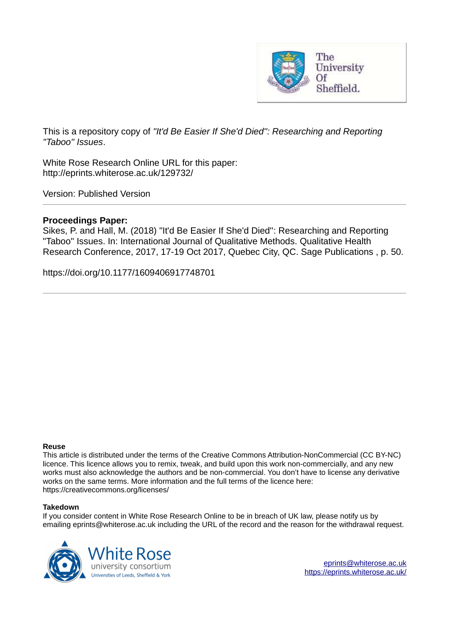

This is a repository copy of *"It'd Be Easier If She'd Died'': Researching and Reporting "Taboo'' Issues*.

White Rose Research Online URL for this paper: http://eprints.whiterose.ac.uk/129732/

Version: Published Version

# **Proceedings Paper:**

Sikes, P. and Hall, M. (2018) "It'd Be Easier If She'd Died'': Researching and Reporting "Taboo'' Issues. In: International Journal of Qualitative Methods. Qualitative Health Research Conference, 2017, 17-19 Oct 2017, Quebec City, QC. Sage Publications , p. 50.

https://doi.org/10.1177/1609406917748701

## **Reuse**

This article is distributed under the terms of the Creative Commons Attribution-NonCommercial (CC BY-NC) licence. This licence allows you to remix, tweak, and build upon this work non-commercially, and any new works must also acknowledge the authors and be non-commercial. You don't have to license any derivative works on the same terms. More information and the full terms of the licence here: https://creativecommons.org/licenses/

## **Takedown**

If you consider content in White Rose Research Online to be in breach of UK law, please notify us by emailing eprints@whiterose.ac.uk including the URL of the record and the reason for the withdrawal request.



[eprints@whiterose.ac.uk](mailto:eprints@whiterose.ac.uk) <https://eprints.whiterose.ac.uk/>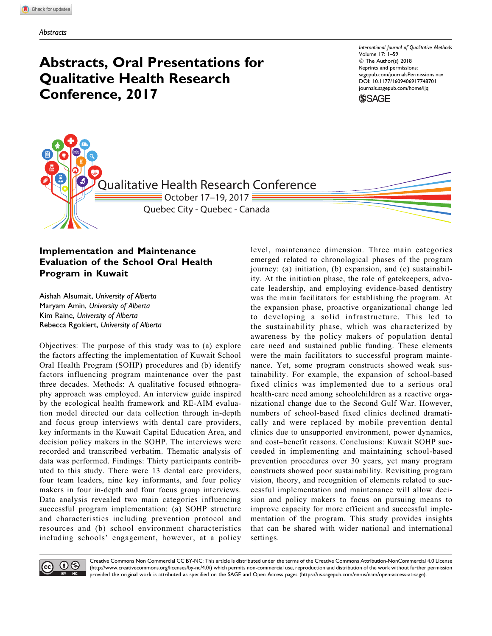# Abstracts, Oral Presentations for Qualitative Health Research Conference, 2017

International Journal of Qualitative Methods Volume 17: 1–59 © The Author(s) 2018 Reprints and permissions: [sagepub.com/journalsPermissions.nav](https://us.sagepub.com/en-us/journals-permissions) [DOI: 10.1177/1609406917748701](https://doi.org/) [journals.sagepub.com/home/ijq](http://journals.sagepub.com/home/ijq)



Qualitative Health Research Conference  $\equiv$  October 17–19, 2017  $\equiv$ Quebec City - Quebec - Canada

# Implementation and Maintenance Evaluation of the School Oral Health Program in Kuwait

Aishah Alsumait, University of Alberta Maryam Amin, University of Alberta Kim Raine, University of Alberta Rebecca Rgokiert, University of Alberta

Objectives: The purpose of this study was to (a) explore the factors affecting the implementation of Kuwait School Oral Health Program (SOHP) procedures and (b) identify factors influencing program maintenance over the past three decades. Methods: A qualitative focused ethnography approach was employed. An interview guide inspired by the ecological health framework and RE-AIM evaluation model directed our data collection through in-depth and focus group interviews with dental care providers, key informants in the Kuwait Capital Education Area, and decision policy makers in the SOHP. The interviews were recorded and transcribed verbatim. Thematic analysis of data was performed. Findings: Thirty participants contributed to this study. There were 13 dental care providers, four team leaders, nine key informants, and four policy makers in four in-depth and four focus group interviews. Data analysis revealed two main categories influencing successful program implementation: (a) SOHP structure and characteristics including prevention protocol and resources and (b) school environment characteristics including schools' engagement, however, at a policy

level, maintenance dimension. Three main categories emerged related to chronological phases of the program journey: (a) initiation, (b) expansion, and (c) sustainability. At the initiation phase, the role of gatekeepers, advocate leadership, and employing evidence-based dentistry was the main facilitators for establishing the program. At the expansion phase, proactive organizational change led to developing a solid infrastructure. This led to the sustainability phase, which was characterized by awareness by the policy makers of population dental care need and sustained public funding. These elements were the main facilitators to successful program maintenance. Yet, some program constructs showed weak sustainability. For example, the expansion of school-based fixed clinics was implemented due to a serious oral health-care need among schoolchildren as a reactive organizational change due to the Second Gulf War. However, numbers of school-based fixed clinics declined dramatically and were replaced by mobile prevention dental clinics due to unsupported environment, power dynamics, and cost–benefit reasons. Conclusions: Kuwait SOHP succeeded in implementing and maintaining school-based prevention procedures over 30 years, yet many program constructs showed poor sustainability. Revisiting program vision, theory, and recognition of elements related to successful implementation and maintenance will allow decision and policy makers to focus on pursuing means to improve capacity for more efficient and successful implementation of the program. This study provides insights that can be shared with wider national and international settings.



Creative Commons Non Commercial CC BY-NC: This article is distributed under the terms of the Creative Commons Attribution-NonCommercial 4.0 License ([http://www.creativecommons.org/licenses/by-nc/4.0/\)](http://www.creativecommons.org/licenses/by-nc/4.0/) which permits non-commercial use, reproduction and distribution of the work without further permission provided the original work is attributed as specified on the SAGE and Open Access pages [\(https://us.sagepub.com/en-us/nam/open-access-at-sage\)](https://us.sagepub.com/en-us/nam/open-access-at-sage).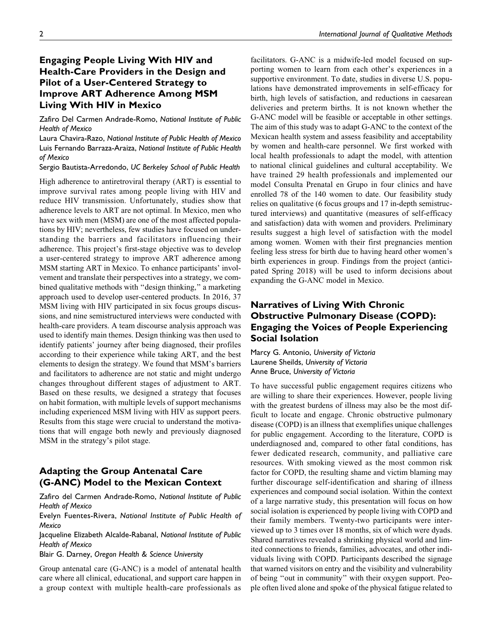# Engaging People Living With HIV and Health-Care Providers in the Design and Pilot of a User-Centered Strategy to Improve ART Adherence Among MSM Living With HIV in Mexico

Zafiro Del Carmen Andrade-Romo, National Institute of Public Health of Mexico

Laura Chavira-Razo, National Institute of Public Health of Mexico Luis Fernando Barraza-Araiza, National Institute of Public Health of Mexico

Sergio Bautista-Arredondo, UC Berkeley School of Public Health

High adherence to antiretroviral therapy (ART) is essential to improve survival rates among people living with HIV and reduce HIV transmission. Unfortunately, studies show that adherence levels to ART are not optimal. In Mexico, men who have sex with men (MSM) are one of the most affected populations by HIV; nevertheless, few studies have focused on understanding the barriers and facilitators influencing their adherence. This project's first-stage objective was to develop a user-centered strategy to improve ART adherence among MSM starting ART in Mexico. To enhance participants' involvement and translate their perspectives into a strategy, we combined qualitative methods with ''design thinking,'' a marketing approach used to develop user-centered products. In 2016, 37 MSM living with HIV participated in six focus groups discussions, and nine semistructured interviews were conducted with health-care providers. A team discourse analysis approach was used to identify main themes. Design thinking was then used to identify patients' journey after being diagnosed, their profiles according to their experience while taking ART, and the best elements to design the strategy. We found that MSM's barriers and facilitators to adherence are not static and might undergo changes throughout different stages of adjustment to ART. Based on these results, we designed a strategy that focuses on habit formation, with multiple levels of support mechanisms including experienced MSM living with HIV as support peers. Results from this stage were crucial to understand the motivations that will engage both newly and previously diagnosed MSM in the strategy's pilot stage.

## Adapting the Group Antenatal Care (G-ANC) Model to the Mexican Context

Zafiro del Carmen Andrade-Romo, National Institute of Public Health of Mexico

Evelyn Fuentes-Rivera, National Institute of Public Health of Mexico

Jacqueline Elizabeth Alcalde-Rabanal, National Institute of Public Health of Mexico

Blair G. Darney, Oregon Health & Science University

Group antenatal care (G-ANC) is a model of antenatal health care where all clinical, educational, and support care happen in a group context with multiple health-care professionals as

facilitators. G-ANC is a midwife-led model focused on supporting women to learn from each other's experiences in a supportive environment. To date, studies in diverse U.S. populations have demonstrated improvements in self-efficacy for birth, high levels of satisfaction, and reductions in caesarean deliveries and preterm births. It is not known whether the G-ANC model will be feasible or acceptable in other settings. The aim of this study was to adapt G-ANC to the context of the Mexican health system and assess feasibility and acceptability by women and health-care personnel. We first worked with local health professionals to adapt the model, with attention to national clinical guidelines and cultural acceptability. We have trained 29 health professionals and implemented our model Consulta Prenatal en Grupo in four clinics and have enrolled 78 of the 140 women to date. Our feasibility study relies on qualitative (6 focus groups and 17 in-depth semistructured interviews) and quantitative (measures of self-efficacy and satisfaction) data with women and providers. Preliminary results suggest a high level of satisfaction with the model among women. Women with their first pregnancies mention feeling less stress for birth due to having heard other women's

birth experiences in group. Findings from the project (anticipated Spring 2018) will be used to inform decisions about expanding the G-ANC model in Mexico.

# Narratives of Living With Chronic Obstructive Pulmonary Disease (COPD): Engaging the Voices of People Experiencing Social Isolation

Marcy G. Antonio, University of Victoria Laurene Sheilds, University of Victoria Anne Bruce, University of Victoria

To have successful public engagement requires citizens who are willing to share their experiences. However, people living with the greatest burdens of illness may also be the most difficult to locate and engage. Chronic obstructive pulmonary disease (COPD) is an illness that exemplifies unique challenges for public engagement. According to the literature, COPD is underdiagnosed and, compared to other fatal conditions, has fewer dedicated research, community, and palliative care resources. With smoking viewed as the most common risk factor for COPD, the resulting shame and victim blaming may further discourage self-identification and sharing of illness experiences and compound social isolation. Within the context of a large narrative study, this presentation will focus on how social isolation is experienced by people living with COPD and their family members. Twenty-two participants were interviewed up to 3 times over 18 months, six of which were dyads. Shared narratives revealed a shrinking physical world and limited connections to friends, families, advocates, and other individuals living with COPD. Participants described the signage that warned visitors on entry and the visibility and vulnerability of being ''out in community'' with their oxygen support. People often lived alone and spoke of the physical fatigue related to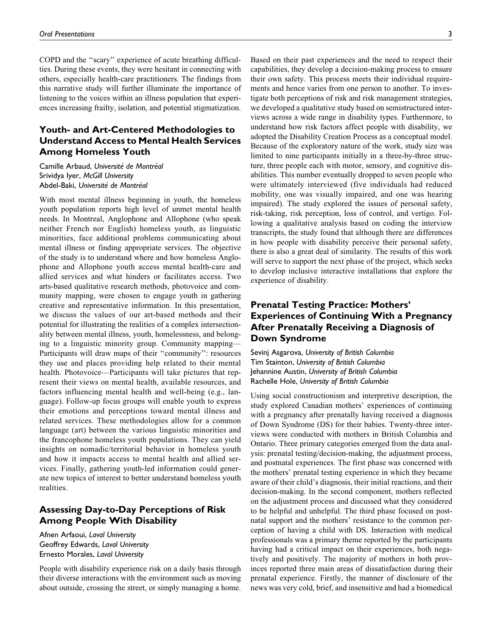COPD and the ''scary'' experience of acute breathing difficulties. During these events, they were hesitant in connecting with others, especially health-care practitioners. The findings from this narrative study will further illuminate the importance of listening to the voices within an illness population that experiences increasing frailty, isolation, and potential stigmatization.

# Youth- and Art-Centered Methodologies to Understand Access to Mental Health Services Among Homeless Youth

Camille Arbaud, Université de Montréal Srividya Iyer, McGill University Abdel-Baki, Université de Montréal

With most mental illness beginning in youth, the homeless youth population reports high level of unmet mental health needs. In Montreal, Anglophone and Allophone (who speak neither French nor English) homeless youth, as linguistic minorities, face additional problems communicating about mental illness or finding appropriate services. The objective of the study is to understand where and how homeless Anglophone and Allophone youth access mental health-care and allied services and what hinders or facilitates access. Two arts-based qualitative research methods, photovoice and community mapping, were chosen to engage youth in gathering creative and representative information. In this presentation, we discuss the values of our art-based methods and their potential for illustrating the realities of a complex intersectionality between mental illness, youth, homelessness, and belonging to a linguistic minority group. Community mapping— Participants will draw maps of their ''community'': resources they use and places providing help related to their mental health. Photovoice—Participants will take pictures that represent their views on mental health, available resources, and factors influencing mental health and well-being (e.g., language). Follow-up focus groups will enable youth to express their emotions and perceptions toward mental illness and related services. These methodologies allow for a common language (art) between the various linguistic minorities and the francophone homeless youth populations. They can yield insights on nomadic/territorial behavior in homeless youth and how it impacts access to mental health and allied services. Finally, gathering youth-led information could generate new topics of interest to better understand homeless youth realities.

## Assessing Day-to-Day Perceptions of Risk Among People With Disability

Afnen Arfaoui, Laval University Geoffrey Edwards, Laval University Ernesto Morales, Laval University

People with disability experience risk on a daily basis through their diverse interactions with the environment such as moving about outside, crossing the street, or simply managing a home.

Based on their past experiences and the need to respect their capabilities, they develop a decision-making process to ensure their own safety. This process meets their individual requirements and hence varies from one person to another. To investigate both perceptions of risk and risk management strategies, we developed a qualitative study based on semistructured interviews across a wide range in disability types. Furthermore, to understand how risk factors affect people with disability, we adopted the Disability Creation Process as a conceptual model. Because of the exploratory nature of the work, study size was limited to nine participants initially in a three-by-three structure, three people each with motor, sensory, and cognitive disabilities. This number eventually dropped to seven people who were ultimately interviewed (five individuals had reduced mobility, one was visually impaired, and one was hearing impaired). The study explored the issues of personal safety, risk-taking, risk perception, loss of control, and vertigo. Following a qualitative analysis based on coding the interview transcripts, the study found that although there are differences in how people with disability perceive their personal safety, there is also a great deal of similarity. The results of this work will serve to support the next phase of the project, which seeks to develop inclusive interactive installations that explore the experience of disability.

# Prenatal Testing Practice: Mothers' Experiences of Continuing With a Pregnancy After Prenatally Receiving a Diagnosis of Down Syndrome

Sevinj Asgarova, University of British Columbia Tim Stainton, University of British Columbia Jehannine Austin, University of British Columbia Rachelle Hole, University of British Columbia

Using social constructionism and interpretive description, the study explored Canadian mothers' experiences of continuing with a pregnancy after prenatally having received a diagnosis of Down Syndrome (DS) for their babies. Twenty-three interviews were conducted with mothers in British Columbia and Ontario. Three primary categories emerged from the data analysis: prenatal testing/decision-making, the adjustment process, and postnatal experiences. The first phase was concerned with the mothers' prenatal testing experience in which they became aware of their child's diagnosis, their initial reactions, and their decision-making. In the second component, mothers reflected on the adjustment process and discussed what they considered to be helpful and unhelpful. The third phase focused on postnatal support and the mothers' resistance to the common perception of having a child with DS. Interaction with medical professionals was a primary theme reported by the participants having had a critical impact on their experiences, both negatively and positively. The majority of mothers in both provinces reported three main areas of dissatisfaction during their prenatal experience. Firstly, the manner of disclosure of the news was very cold, brief, and insensitive and had a biomedical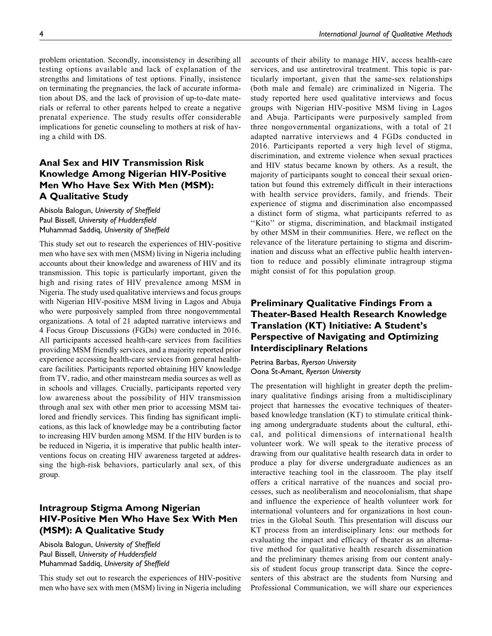4 International Journal of Qualitative Methods

problem orientation. Secondly, inconsistency in describing all testing options available and lack of explanation of the strengths and limitations of test options. Finally, insistence on terminating the pregnancies, the lack of accurate information about DS, and the lack of provision of up-to-date materials or referral to other parents helped to create a negative prenatal experience. The study results offer considerable implications for genetic counseling to mothers at risk of having a child with DS.

# Anal Sex and HIV Transmission Risk Knowledge Among Nigerian HIV-Positive Men Who Have Sex With Men (MSM): A Qualitative Study

Abisola Balogun, University of Sheffield Paul Bissell, University of Huddersfield Muhammad Saddiq, University of Sheffield

This study set out to research the experiences of HIV-positive men who have sex with men (MSM) living in Nigeria including accounts about their knowledge and awareness of HIV and its transmission. This topic is particularly important, given the high and rising rates of HIV prevalence among MSM in Nigeria. The study used qualitative interviews and focus groups with Nigerian HIV-positive MSM living in Lagos and Abuja who were purposively sampled from three nongovernmental organizations. A total of 21 adapted narrative interviews and 4 Focus Group Discussions (FGDs) were conducted in 2016. All participants accessed health-care services from facilities providing MSM friendly services, and a majority reported prior experience accessing health-care services from general healthcare facilities. Participants reported obtaining HIV knowledge from TV, radio, and other mainstream media sources as well as in schools and villages. Crucially, participants reported very low awareness about the possibility of HIV transmission through anal sex with other men prior to accessing MSM tailored and friendly services. This finding has significant implications, as this lack of knowledge may be a contributing factor to increasing HIV burden among MSM. If the HIV burden is to be reduced in Nigeria, it is imperative that public health interventions focus on creating HIV awareness targeted at addressing the high-risk behaviors, particularly anal sex, of this group.

## Intragroup Stigma Among Nigerian HIV-Positive Men Who Have Sex With Men (MSM): A Qualitative Study

Abisola Balogun, University of Sheffield Paul Bissell, University of Huddersfield Muhammad Saddiq, University of Sheffield

This study set out to research the experiences of HIV-positive men who have sex with men (MSM) living in Nigeria including accounts of their ability to manage HIV, access health-care services, and use antiretroviral treatment. This topic is particularly important, given that the same-sex relationships (both male and female) are criminalized in Nigeria. The study reported here used qualitative interviews and focus groups with Nigerian HIV-positive MSM living in Lagos and Abuja. Participants were purposively sampled from three nongovernmental organizations, with a total of 21 adapted narrative interviews and 4 FGDs conducted in 2016. Participants reported a very high level of stigma, discrimination, and extreme violence when sexual practices and HIV status became known by others. As a result, the majority of participants sought to conceal their sexual orientation but found this extremely difficult in their interactions with health service providers, family, and friends. Their experience of stigma and discrimination also encompassed a distinct form of stigma, what participants referred to as "Kito" or stigma, discrimination, and blackmail instigated by other MSM in their communities. Here, we reflect on the relevance of the literature pertaining to stigma and discrimination and discuss what an effective public health intervention to reduce and possibly eliminate intragroup stigma might consist of for this population group.

# Preliminary Qualitative Findings From a Theater-Based Health Research Knowledge Translation (KT) Initiative: A Student's Perspective of Navigating and Optimizing Interdisciplinary Relations

Petrina Barbas, Ryerson University Oona St-Amant, Ryerson University

The presentation will highlight in greater depth the preliminary qualitative findings arising from a multidisciplinary project that harnesses the evocative techniques of theaterbased knowledge translation (KT) to stimulate critical thinking among undergraduate students about the cultural, ethical, and political dimensions of international health volunteer work. We will speak to the iterative process of drawing from our qualitative health research data in order to produce a play for diverse undergraduate audiences as an interactive teaching tool in the classroom. The play itself offers a critical narrative of the nuances and social processes, such as neoliberalism and neocolonialism, that shape and influence the experience of health volunteer work for international volunteers and for organizations in host countries in the Global South. This presentation will discuss our KT process from an interdisciplinary lens: our methods for evaluating the impact and efficacy of theater as an alternative method for qualitative health research dissemination and the preliminary themes arising from our content analysis of student focus group transcript data. Since the copresenters of this abstract are the students from Nursing and Professional Communication, we will share our experiences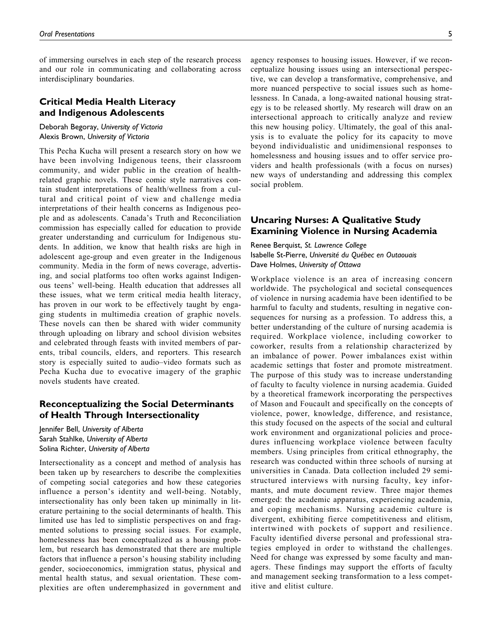of immersing ourselves in each step of the research process and our role in communicating and collaborating across interdisciplinary boundaries.

## Critical Media Health Literacy and Indigenous Adolescents

Deborah Begoray, University of Victoria Alexis Brown, University of Victoria

This Pecha Kucha will present a research story on how we have been involving Indigenous teens, their classroom community, and wider public in the creation of healthrelated graphic novels. These comic style narratives contain student interpretations of health/wellness from a cultural and critical point of view and challenge media interpretations of their health concerns as Indigenous people and as adolescents. Canada's Truth and Reconciliation commission has especially called for education to provide greater understanding and curriculum for Indigenous students. In addition, we know that health risks are high in adolescent age-group and even greater in the Indigenous community. Media in the form of news coverage, advertising, and social platforms too often works against Indigenous teens' well-being. Health education that addresses all these issues, what we term critical media health literacy, has proven in our work to be effectively taught by engaging students in multimedia creation of graphic novels. These novels can then be shared with wider community through uploading on library and school division websites and celebrated through feasts with invited members of parents, tribal councils, elders, and reporters. This research story is especially suited to audio–video formats such as Pecha Kucha due to evocative imagery of the graphic novels students have created.

## Reconceptualizing the Social Determinants of Health Through Intersectionality

Jennifer Bell, University of Alberta Sarah Stahlke, University of Alberta Solina Richter, University of Alberta

Intersectionality as a concept and method of analysis has been taken up by researchers to describe the complexities of competing social categories and how these categories influence a person's identity and well-being. Notably, intersectionality has only been taken up minimally in literature pertaining to the social determinants of health. This limited use has led to simplistic perspectives on and fragmented solutions to pressing social issues. For example, homelessness has been conceptualized as a housing problem, but research has demonstrated that there are multiple factors that influence a person's housing stability including gender, socioeconomics, immigration status, physical and mental health status, and sexual orientation. These complexities are often underemphasized in government and

agency responses to housing issues. However, if we reconceptualize housing issues using an intersectional perspective, we can develop a transformative, comprehensive, and more nuanced perspective to social issues such as homelessness. In Canada, a long-awaited national housing strategy is to be released shortly. My research will draw on an intersectional approach to critically analyze and review this new housing policy. Ultimately, the goal of this analysis is to evaluate the policy for its capacity to move beyond individualistic and unidimensional responses to homelessness and housing issues and to offer service providers and health professionals (with a focus on nurses) new ways of understanding and addressing this complex social problem.

## Uncaring Nurses: A Qualitative Study Examining Violence in Nursing Academia

Renee Berquist, St. Lawrence College Isabelle St-Pierre, Université du Québec en Outaouais Dave Holmes, University of Ottawa

Workplace violence is an area of increasing concern worldwide. The psychological and societal consequences of violence in nursing academia have been identified to be harmful to faculty and students, resulting in negative consequences for nursing as a profession. To address this, a better understanding of the culture of nursing academia is required. Workplace violence, including coworker to coworker, results from a relationship characterized by an imbalance of power. Power imbalances exist within academic settings that foster and promote mistreatment. The purpose of this study was to increase understanding of faculty to faculty violence in nursing academia. Guided by a theoretical framework incorporating the perspectives of Mason and Foucault and specifically on the concepts of violence, power, knowledge, difference, and resistance, this study focused on the aspects of the social and cultural work environment and organizational policies and procedures influencing workplace violence between faculty members. Using principles from critical ethnography, the research was conducted within three schools of nursing at universities in Canada. Data collection included 29 semistructured interviews with nursing faculty, key informants, and mute document review. Three major themes emerged: the academic apparatus, experiencing academia, and coping mechanisms. Nursing academic culture is divergent, exhibiting fierce competitiveness and elitism, intertwined with pockets of support and resilience. Faculty identified diverse personal and professional strategies employed in order to withstand the challenges. Need for change was expressed by some faculty and managers. These findings may support the efforts of faculty and management seeking transformation to a less competitive and elitist culture.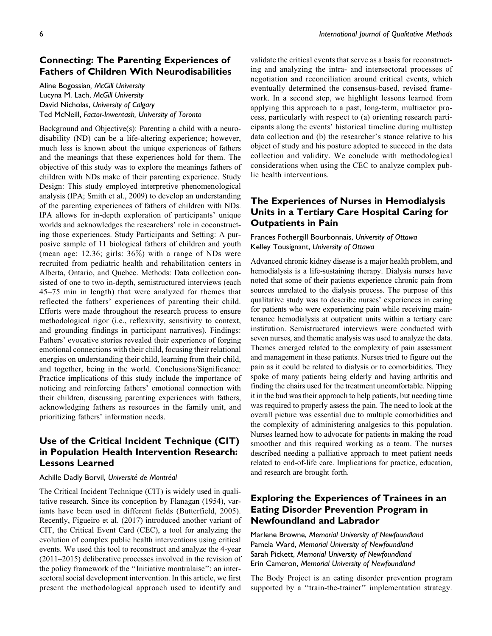## Connecting: The Parenting Experiences of Fathers of Children With Neurodisabilities

Aline Bogossian, McGill University Lucyna M. Lach, McGill University David Nicholas, University of Calgary Ted McNeill, Factor-Inwentash, University of Toronto

Background and Objective(s): Parenting a child with a neurodisability (ND) can be a life-altering experience; however, much less is known about the unique experiences of fathers and the meanings that these experiences hold for them. The objective of this study was to explore the meanings fathers of children with NDs make of their parenting experience. Study Design: This study employed interpretive phenomenological analysis (IPA; Smith et al., 2009) to develop an understanding of the parenting experiences of fathers of children with NDs. IPA allows for in-depth exploration of participants' unique worlds and acknowledges the researchers' role in coconstructing those experiences. Study Participants and Setting: A purposive sample of 11 biological fathers of children and youth (mean age: 12.36; girls: 36%) with a range of NDs were recruited from pediatric health and rehabilitation centers in Alberta, Ontario, and Quebec. Methods: Data collection consisted of one to two in-depth, semistructured interviews (each 45–75 min in length) that were analyzed for themes that reflected the fathers' experiences of parenting their child. Efforts were made throughout the research process to ensure methodological rigor (i.e., reflexivity, sensitivity to context, and grounding findings in participant narratives). Findings: Fathers' evocative stories revealed their experience of forging emotional connections with their child, focusing their relational energies on understanding their child, learning from their child, and together, being in the world. Conclusions/Significance: Practice implications of this study include the importance of noticing and reinforcing fathers' emotional connection with their children, discussing parenting experiences with fathers, acknowledging fathers as resources in the family unit, and prioritizing fathers' information needs.

# Use of the Critical Incident Technique (CIT) in Population Health Intervention Research: Lessons Learned

#### Achille Dadly Borvil, Université de Montréal

The Critical Incident Technique (CIT) is widely used in qualitative research. Since its conception by Flanagan (1954), variants have been used in different fields (Butterfield, 2005). Recently, Figueiro et al. (2017) introduced another variant of CIT, the Critical Event Card (CEC), a tool for analyzing the evolution of complex public health interventions using critical events. We used this tool to reconstruct and analyze the 4-year (2011–2015) deliberative processes involved in the revision of the policy framework of the ''Initiative montralaise'': an intersectoral social development intervention. In this article, we first present the methodological approach used to identify and

validate the critical events that serve as a basis for reconstructing and analyzing the intra- and intersectoral processes of negotiation and reconciliation around critical events, which eventually determined the consensus-based, revised framework. In a second step, we highlight lessons learned from applying this approach to a past, long-term, multiactor process, particularly with respect to (a) orienting research participants along the events' historical timeline during multistep data collection and (b) the researcher's stance relative to his object of study and his posture adopted to succeed in the data collection and validity. We conclude with methodological considerations when using the CEC to analyze complex public health interventions.

## The Experiences of Nurses in Hemodialysis Units in a Tertiary Care Hospital Caring for Outpatients in Pain

## Frances Fothergill Bourbonnais, University of Ottawa Kelley Tousignant, University of Ottawa

Advanced chronic kidney disease is a major health problem, and hemodialysis is a life-sustaining therapy. Dialysis nurses have noted that some of their patients experience chronic pain from sources unrelated to the dialysis process. The purpose of this qualitative study was to describe nurses' experiences in caring for patients who were experiencing pain while receiving maintenance hemodialysis at outpatient units within a tertiary care institution. Semistructured interviews were conducted with seven nurses, and thematic analysis was used to analyze the data. Themes emerged related to the complexity of pain assessment and management in these patients. Nurses tried to figure out the pain as it could be related to dialysis or to comorbidities. They spoke of many patients being elderly and having arthritis and finding the chairs used for the treatment uncomfortable. Nipping it in the bud was their approach to help patients, but needing time was required to properly assess the pain. The need to look at the overall picture was essential due to multiple comorbidities and the complexity of administering analgesics to this population. Nurses learned how to advocate for patients in making the road smoother and this required working as a team. The nurses described needing a palliative approach to meet patient needs related to end-of-life care. Implications for practice, education, and research are brought forth.

## Exploring the Experiences of Trainees in an Eating Disorder Prevention Program in Newfoundland and Labrador

Marlene Browne, Memorial University of Newfoundland Pamela Ward, Memorial University of Newfoundland Sarah Pickett, Memorial University of Newfoundland Erin Cameron, Memorial University of Newfoundland

The Body Project is an eating disorder prevention program supported by a "train-the-trainer" implementation strategy.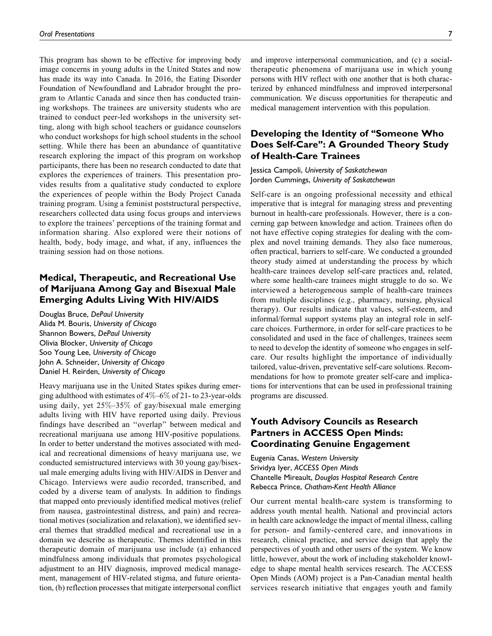This program has shown to be effective for improving body image concerns in young adults in the United States and now has made its way into Canada. In 2016, the Eating Disorder Foundation of Newfoundland and Labrador brought the program to Atlantic Canada and since then has conducted training workshops. The trainees are university students who are trained to conduct peer-led workshops in the university setting, along with high school teachers or guidance counselors who conduct workshops for high school students in the school setting. While there has been an abundance of quantitative research exploring the impact of this program on workshop participants, there has been no research conducted to date that explores the experiences of trainers. This presentation provides results from a qualitative study conducted to explore the experiences of people within the Body Project Canada training program. Using a feminist poststructural perspective, researchers collected data using focus groups and interviews to explore the trainees' perceptions of the training format and information sharing. Also explored were their notions of health, body, body image, and what, if any, influences the training session had on those notions.

# Medical, Therapeutic, and Recreational Use of Marijuana Among Gay and Bisexual Male Emerging Adults Living With HIV/AIDS

Douglas Bruce, DePaul University Alida M. Bouris, University of Chicago Shannon Bowers, DePaul University Olivia Blocker, University of Chicago Soo Young Lee, University of Chicago John A. Schneider, University of Chicago Daniel H. Reirden, University of Chicago

Heavy marijuana use in the United States spikes during emerging adulthood with estimates of  $4\% - 6\%$  of 21- to 23-year-olds using daily, yet 25%–35% of gay/bisexual male emerging adults living with HIV have reported using daily. Previous findings have described an ''overlap'' between medical and recreational marijuana use among HIV-positive populations. In order to better understand the motives associated with medical and recreational dimensions of heavy marijuana use, we conducted semistructured interviews with 30 young gay/bisexual male emerging adults living with HIV/AIDS in Denver and Chicago. Interviews were audio recorded, transcribed, and coded by a diverse team of analysts. In addition to findings that mapped onto previously identified medical motives (relief from nausea, gastrointestinal distress, and pain) and recreational motives (socialization and relaxation), we identified several themes that straddled medical and recreational use in a domain we describe as therapeutic. Themes identified in this therapeutic domain of marijuana use include (a) enhanced mindfulness among individuals that promotes psychological adjustment to an HIV diagnosis, improved medical management, management of HIV-related stigma, and future orientation, (b) reflection processes that mitigate interpersonal conflict

and improve interpersonal communication, and (c) a socialtherapeutic phenomena of marijuana use in which young persons with HIV reflect with one another that is both characterized by enhanced mindfulness and improved interpersonal communication. We discuss opportunities for therapeutic and medical management intervention with this population.

## Developing the Identity of ''Someone Who Does Self-Care'': A Grounded Theory Study of Health-Care Trainees

## Jessica Campoli, University of Saskatchewan Jorden Cummings, University of Saskatchewan

Self-care is an ongoing professional necessity and ethical imperative that is integral for managing stress and preventing burnout in health-care professionals. However, there is a concerning gap between knowledge and action. Trainees often do not have effective coping strategies for dealing with the complex and novel training demands. They also face numerous, often practical, barriers to self-care. We conducted a grounded theory study aimed at understanding the process by which health-care trainees develop self-care practices and, related, where some health-care trainees might struggle to do so. We interviewed a heterogeneous sample of health-care trainees from multiple disciplines (e.g., pharmacy, nursing, physical therapy). Our results indicate that values, self-esteem, and informal/formal support systems play an integral role in selfcare choices. Furthermore, in order for self-care practices to be consolidated and used in the face of challenges, trainees seem to need to develop the identity of someone who engages in selfcare. Our results highlight the importance of individually tailored, value-driven, preventative self-care solutions. Recommendations for how to promote greater self-care and implications for interventions that can be used in professional training programs are discussed.

## Youth Advisory Councils as Research Partners in ACCESS Open Minds: Coordinating Genuine Engagement

Eugenia Canas, Western University Srividya Iyer, ACCESS Open Minds Chantelle Mireault, Douglas Hospital Research Centre Rebecca Prince, Chatham-Kent Health Alliance

Our current mental health-care system is transforming to address youth mental health. National and provincial actors in health care acknowledge the impact of mental illness, calling for person- and family-centered care, and innovations in research, clinical practice, and service design that apply the perspectives of youth and other users of the system. We know little, however, about the work of including stakeholder knowledge to shape mental health services research. The ACCESS Open Minds (AOM) project is a Pan-Canadian mental health services research initiative that engages youth and family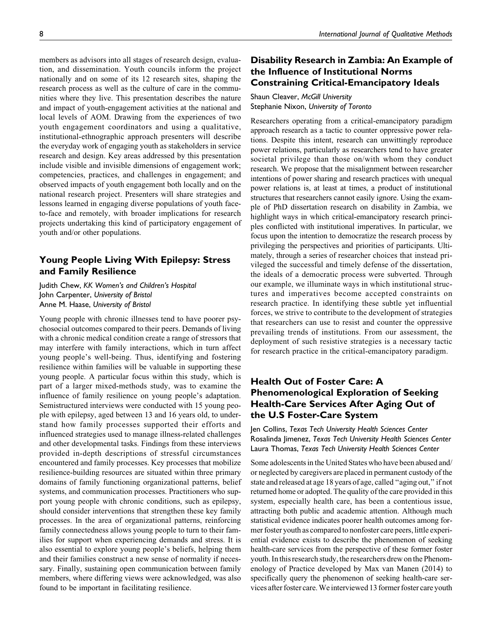members as advisors into all stages of research design, evaluation, and dissemination. Youth councils inform the project nationally and on some of its 12 research sites, shaping the research process as well as the culture of care in the communities where they live. This presentation describes the nature and impact of youth-engagement activities at the national and local levels of AOM. Drawing from the experiences of two youth engagement coordinators and using a qualitative, institutional-ethnographic approach presenters will describe the everyday work of engaging youth as stakeholders in service research and design. Key areas addressed by this presentation include visible and invisible dimensions of engagement work; competencies, practices, and challenges in engagement; and observed impacts of youth engagement both locally and on the national research project. Presenters will share strategies and lessons learned in engaging diverse populations of youth faceto-face and remotely, with broader implications for research projects undertaking this kind of participatory engagement of youth and/or other populations.

## Young People Living With Epilepsy: Stress and Family Resilience

Judith Chew, KK Women's and Children's Hospital John Carpenter, University of Bristol Anne M. Haase, University of Bristol

Young people with chronic illnesses tend to have poorer psychosocial outcomes compared to their peers. Demands of living with a chronic medical condition create a range of stressors that may interfere with family interactions, which in turn affect young people's well-being. Thus, identifying and fostering resilience within families will be valuable in supporting these young people. A particular focus within this study, which is part of a larger mixed-methods study, was to examine the influence of family resilience on young people's adaptation. Semistructured interviews were conducted with 15 young people with epilepsy, aged between 13 and 16 years old, to understand how family processes supported their efforts and influenced strategies used to manage illness-related challenges and other developmental tasks. Findings from these interviews provided in-depth descriptions of stressful circumstances encountered and family processes. Key processes that mobilize resilience-building resources are situated within three primary domains of family functioning organizational patterns, belief systems, and communication processes. Practitioners who support young people with chronic conditions, such as epilepsy, should consider interventions that strengthen these key family processes. In the area of organizational patterns, reinforcing family connectedness allows young people to turn to their families for support when experiencing demands and stress. It is also essential to explore young people's beliefs, helping them and their families construct a new sense of normality if necessary. Finally, sustaining open communication between family members, where differing views were acknowledged, was also found to be important in facilitating resilience.

# Disability Research in Zambia: An Example of the Influence of Institutional Norms Constraining Critical-Emancipatory Ideals

Shaun Cleaver, McGill University Stephanie Nixon, University of Toronto

Researchers operating from a critical-emancipatory paradigm approach research as a tactic to counter oppressive power relations. Despite this intent, research can unwittingly reproduce power relations, particularly as researchers tend to have greater societal privilege than those on/with whom they conduct research. We propose that the misalignment between researcher intentions of power sharing and research practices with unequal power relations is, at least at times, a product of institutional structures that researchers cannot easily ignore. Using the example of PhD dissertation research on disability in Zambia, we highlight ways in which critical-emancipatory research principles conflicted with institutional imperatives. In particular, we focus upon the intention to democratize the research process by privileging the perspectives and priorities of participants. Ultimately, through a series of researcher choices that instead privileged the successful and timely defense of the dissertation, the ideals of a democratic process were subverted. Through our example, we illuminate ways in which institutional structures and imperatives become accepted constraints on research practice. In identifying these subtle yet influential forces, we strive to contribute to the development of strategies that researchers can use to resist and counter the oppressive prevailing trends of institutions. From our assessment, the deployment of such resistive strategies is a necessary tactic for research practice in the critical-emancipatory paradigm.

# Health Out of Foster Care: A Phenomenological Exploration of Seeking Health-Care Services After Aging Out of the U.S Foster-Care System

Jen Collins, Texas Tech University Health Sciences Center Rosalinda Jimenez, Texas Tech University Health Sciences Center Laura Thomas, Texas Tech University Health Sciences Center

Some adolescents in the United States who have been abused and/ or neglected by caregivers are placed in permanent custody of the state and released at age 18 years of age, called ''aging out,'' if not returned home or adopted. The quality of the care provided in this system, especially health care, has been a contentious issue, attracting both public and academic attention. Although much statistical evidence indicates poorer health outcomes among former foster youth as compared to nonfoster care peers, little experiential evidence exists to describe the phenomenon of seeking health-care services from the perspective of these former foster youth. In this research study, the researchers drew on the Phenomenology of Practice developed by Max van Manen (2014) to specifically query the phenomenon of seeking health-care services after foster care.Weinterviewed 13 former foster care youth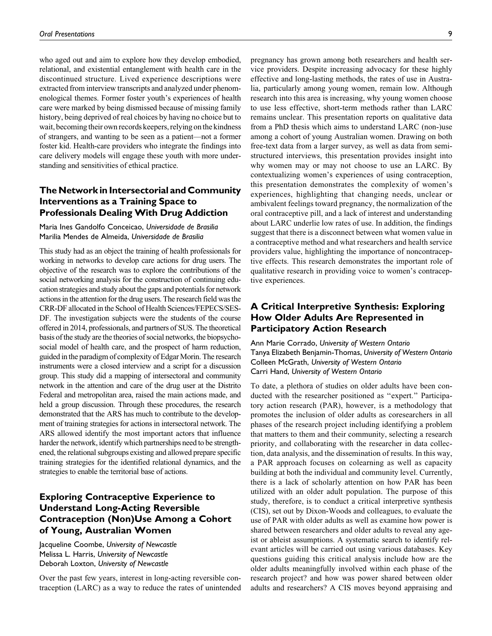who aged out and aim to explore how they develop embodied, relational, and existential entanglement with health care in the discontinued structure. Lived experience descriptions were extracted from interview transcripts and analyzed under phenomenological themes. Former foster youth's experiences of health care were marked by being dismissed because of missing family history, being deprived of real choices by having no choice but to wait, becoming their own records keepers, relying onthe kindness of strangers, and wanting to be seen as a patient—not a former foster kid. Health-care providers who integrate the findings into care delivery models will engage these youth with more understanding and sensitivities of ethical practice.

## The Network in Intersectorial and Community Interventions as a Training Space to Professionals Dealing With Drug Addiction

Maria Ines Gandolfo Conceicao, Universidade de Brasilia Marilia Mendes de Almeida, Universidade de Brasilia

This study had as an object the training of health professionals for working in networks to develop care actions for drug users. The objective of the research was to explore the contributions of the social networking analysis for the construction of continuing education strategies and study about the gaps and potentials for network actions in the attention for the drug users. The research field was the CRR-DF allocated in the School of Health Sciences/FEPECS/SES-DF. The investigation subjects were the students of the course offered in 2014, professionals, and partners of SUS. The theoretical basis of the study are the theories of social networks, the biopsychosocial model of health care, and the prospect of harm reduction, guided in the paradigm of complexity of Edgar Morin. The research instruments were a closed interview and a script for a discussion group. This study did a mapping of intersectoral and community network in the attention and care of the drug user at the Distrito Federal and metropolitan area, raised the main actions made, and held a group discussion. Through these procedures, the research demonstrated that the ARS has much to contribute to the development of training strategies for actions in intersectoral network. The ARS allowed identify the most important actors that influence harder the network, identify which partnerships need to be strengthened, the relational subgroups existing and allowed prepare specific training strategies for the identified relational dynamics, and the strategies to enable the territorial base of actions.

## Exploring Contraceptive Experience to Understand Long-Acting Reversible Contraception (Non)Use Among a Cohort of Young, Australian Women

Jacqueline Coombe, University of Newcastle Melissa L. Harris, University of Newcastle Deborah Loxton, University of Newcastle

Over the past few years, interest in long-acting reversible contraception (LARC) as a way to reduce the rates of unintended pregnancy has grown among both researchers and health service providers. Despite increasing advocacy for these highly effective and long-lasting methods, the rates of use in Australia, particularly among young women, remain low. Although research into this area is increasing, why young women choose to use less effective, short-term methods rather than LARC remains unclear. This presentation reports on qualitative data from a PhD thesis which aims to understand LARC (non-)use among a cohort of young Australian women. Drawing on both free-text data from a larger survey, as well as data from semistructured interviews, this presentation provides insight into why women may or may not choose to use an LARC. By contextualizing women's experiences of using contraception, this presentation demonstrates the complexity of women's experiences, highlighting that changing needs, unclear or ambivalent feelings toward pregnancy, the normalization of the oral contraceptive pill, and a lack of interest and understanding about LARC underlie low rates of use. In addition, the findings suggest that there is a disconnect between what women value in a contraceptive method and what researchers and health service providers value, highlighting the importance of noncontraceptive effects. This research demonstrates the important role of qualitative research in providing voice to women's contraceptive experiences.

## A Critical Interpretive Synthesis: Exploring How Older Adults Are Represented in Participatory Action Research

Ann Marie Corrado, University of Western Ontario Tanya Elizabeth Benjamin-Thomas, University of Western Ontario Colleen McGrath, University of Western Ontario Carri Hand, University of Western Ontario

To date, a plethora of studies on older adults have been conducted with the researcher positioned as ''expert.'' Participatory action research (PAR), however, is a methodology that promotes the inclusion of older adults as coresearchers in all phases of the research project including identifying a problem that matters to them and their community, selecting a research priority, and collaborating with the researcher in data collection, data analysis, and the dissemination of results. In this way, a PAR approach focuses on colearning as well as capacity building at both the individual and community level. Currently, there is a lack of scholarly attention on how PAR has been utilized with an older adult population. The purpose of this study, therefore, is to conduct a critical interpretive synthesis (CIS), set out by Dixon-Woods and colleagues, to evaluate the use of PAR with older adults as well as examine how power is shared between researchers and older adults to reveal any ageist or ableist assumptions. A systematic search to identify relevant articles will be carried out using various databases. Key questions guiding this critical analysis include how are the older adults meaningfully involved within each phase of the research project? and how was power shared between older adults and researchers? A CIS moves beyond appraising and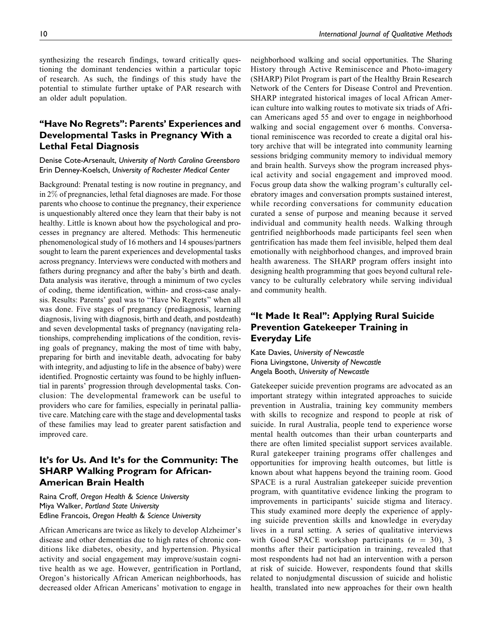synthesizing the research findings, toward critically questioning the dominant tendencies within a particular topic of research. As such, the findings of this study have the potential to stimulate further uptake of PAR research with an older adult population.

## ''Have No Regrets'': Parents' Experiences and Developmental Tasks in Pregnancy With a Lethal Fetal Diagnosis

Denise Cote-Arsenault, University of North Carolina Greensboro Erin Denney-Koelsch, University of Rochester Medical Center

Background: Prenatal testing is now routine in pregnancy, and in 2% of pregnancies, lethal fetal diagnoses are made. For those parents who choose to continue the pregnancy, their experience is unquestionably altered once they learn that their baby is not healthy. Little is known about how the psychological and processes in pregnancy are altered. Methods: This hermeneutic phenomenological study of 16 mothers and 14 spouses/partners sought to learn the parent experiences and developmental tasks across pregnancy. Interviews were conducted with mothers and fathers during pregnancy and after the baby's birth and death. Data analysis was iterative, through a minimum of two cycles of coding, theme identification, within- and cross-case analysis. Results: Parents' goal was to ''Have No Regrets'' when all was done. Five stages of pregnancy (prediagnosis, learning diagnosis, living with diagnosis, birth and death, and postdeath) and seven developmental tasks of pregnancy (navigating relationships, comprehending implications of the condition, revising goals of pregnancy, making the most of time with baby, preparing for birth and inevitable death, advocating for baby with integrity, and adjusting to life in the absence of baby) were identified. Prognostic certainty was found to be highly influential in parents' progression through developmental tasks. Conclusion: The developmental framework can be useful to providers who care for families, especially in perinatal palliative care. Matching care with the stage and developmental tasks of these families may lead to greater parent satisfaction and improved care.

## It's for Us. And It's for the Community: The SHARP Walking Program for African-American Brain Health

Raina Croff, Oregon Health & Science University Miya Walker, Portland State University Edline Francois, Oregon Health & Science University

African Americans are twice as likely to develop Alzheimer's disease and other dementias due to high rates of chronic conditions like diabetes, obesity, and hypertension. Physical activity and social engagement may improve/sustain cognitive health as we age. However, gentrification in Portland, Oregon's historically African American neighborhoods, has decreased older African Americans' motivation to engage in

neighborhood walking and social opportunities. The Sharing History through Active Reminiscence and Photo-imagery (SHARP) Pilot Program is part of the Healthy Brain Research Network of the Centers for Disease Control and Prevention. SHARP integrated historical images of local African American culture into walking routes to motivate six triads of African Americans aged 55 and over to engage in neighborhood walking and social engagement over 6 months. Conversational reminiscence was recorded to create a digital oral history archive that will be integrated into community learning sessions bridging community memory to individual memory and brain health. Surveys show the program increased physical activity and social engagement and improved mood. Focus group data show the walking program's culturally celebratory images and conversation prompts sustained interest, while recording conversations for community education curated a sense of purpose and meaning because it served individual and community health needs. Walking through gentrified neighborhoods made participants feel seen when gentrification has made them feel invisible, helped them deal emotionally with neighborhood changes, and improved brain health awareness. The SHARP program offers insight into designing health programming that goes beyond cultural relevancy to be culturally celebratory while serving individual and community health.

## "It Made It Real": Applying Rural Suicide Prevention Gatekeeper Training in Everyday Life

Kate Davies, University of Newcastle Fiona Livingstone, University of Newcastle Angela Booth, University of Newcastle

Gatekeeper suicide prevention programs are advocated as an important strategy within integrated approaches to suicide prevention in Australia, training key community members with skills to recognize and respond to people at risk of suicide. In rural Australia, people tend to experience worse mental health outcomes than their urban counterparts and there are often limited specialist support services available. Rural gatekeeper training programs offer challenges and opportunities for improving health outcomes, but little is known about what happens beyond the training room. Good SPACE is a rural Australian gatekeeper suicide prevention program, with quantitative evidence linking the program to improvements in participants' suicide stigma and literacy. This study examined more deeply the experience of applying suicide prevention skills and knowledge in everyday lives in a rural setting. A series of qualitative interviews with Good SPACE workshop participants  $(n = 30)$ , 3 months after their participation in training, revealed that most respondents had not had an intervention with a person at risk of suicide. However, respondents found that skills related to nonjudgmental discussion of suicide and holistic health, translated into new approaches for their own health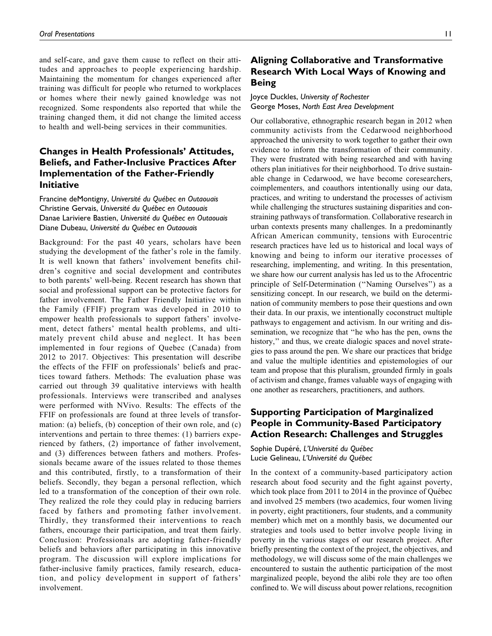and self-care, and gave them cause to reflect on their attitudes and approaches to people experiencing hardship. Maintaining the momentum for changes experienced after training was difficult for people who returned to workplaces or homes where their newly gained knowledge was not recognized. Some respondents also reported that while the training changed them, it did not change the limited access to health and well-being services in their communities.

# Changes in Health Professionals' Attitudes, Beliefs, and Father-Inclusive Practices After Implementation of the Father-Friendly Initiative

Francine deMontigny, Université du Québec en Outaouais Christine Gervais, Université du Québec en Outaouais Danae Lariviere Bastien, Université du Québec en Outaouais Diane Dubeau, Université du Québec en Outaouais

Background: For the past 40 years, scholars have been studying the development of the father's role in the family. It is well known that fathers' involvement benefits children's cognitive and social development and contributes to both parents' well-being. Recent research has shown that social and professional support can be protective factors for father involvement. The Father Friendly Initiative within the Family (FFIF) program was developed in 2010 to empower health professionals to support fathers' involvement, detect fathers' mental health problems, and ultimately prevent child abuse and neglect. It has been implemented in four regions of Quebec (Canada) from 2012 to 2017. Objectives: This presentation will describe the effects of the FFIF on professionals' beliefs and practices toward fathers. Methods: The evaluation phase was carried out through 39 qualitative interviews with health professionals. Interviews were transcribed and analyses were performed with NVivo. Results: The effects of the FFIF on professionals are found at three levels of transformation: (a) beliefs, (b) conception of their own role, and (c) interventions and pertain to three themes: (1) barriers experienced by fathers, (2) importance of father involvement, and (3) differences between fathers and mothers. Professionals became aware of the issues related to those themes and this contributed, firstly, to a transformation of their beliefs. Secondly, they began a personal reflection, which led to a transformation of the conception of their own role. They realized the role they could play in reducing barriers faced by fathers and promoting father involvement. Thirdly, they transformed their interventions to reach fathers, encourage their participation, and treat them fairly. Conclusion: Professionals are adopting father-friendly beliefs and behaviors after participating in this innovative program. The discussion will explore implications for father-inclusive family practices, family research, education, and policy development in support of fathers' involvement.

# Aligning Collaborative and Transformative Research With Local Ways of Knowing and Being

Joyce Duckles, University of Rochester George Moses, North East Area Development

Our collaborative, ethnographic research began in 2012 when community activists from the Cedarwood neighborhood approached the university to work together to gather their own evidence to inform the transformation of their community. They were frustrated with being researched and with having others plan initiatives for their neighborhood. To drive sustainable change in Cedarwood, we have become coresearchers, coimplementers, and coauthors intentionally using our data, practices, and writing to understand the processes of activism while challenging the structures sustaining disparities and constraining pathways of transformation. Collaborative research in urban contexts presents many challenges. In a predominantly African American community, tensions with Eurocentric research practices have led us to historical and local ways of knowing and being to inform our iterative processes of researching, implementing, and writing. In this presentation, we share how our current analysis has led us to the Afrocentric principle of Self-Determination (''Naming Ourselves'') as a sensitizing concept. In our research, we build on the determination of community members to pose their questions and own their data. In our praxis, we intentionally coconstruct multiple pathways to engagement and activism. In our writing and dissemination, we recognize that ''he who has the pen, owns the history," and thus, we create dialogic spaces and novel strategies to pass around the pen. We share our practices that bridge and value the multiple identities and epistemologies of our team and propose that this pluralism, grounded firmly in goals of activism and change, frames valuable ways of engaging with one another as researchers, practitioners, and authors.

## Supporting Participation of Marginalized People in Community-Based Participatory Action Research: Challenges and Struggles

Sophie Dupéré, L'Université du Québec Lucie Gelineau, L'Université du Québec

In the context of a community-based participatory action research about food security and the fight against poverty, which took place from 2011 to 2014 in the province of Québec and involved 25 members (two academics, four women living in poverty, eight practitioners, four students, and a community member) which met on a monthly basis, we documented our strategies and tools used to better involve people living in poverty in the various stages of our research project. After briefly presenting the context of the project, the objectives, and methodology, we will discuss some of the main challenges we encountered to sustain the authentic participation of the most marginalized people, beyond the alibi role they are too often confined to. We will discuss about power relations, recognition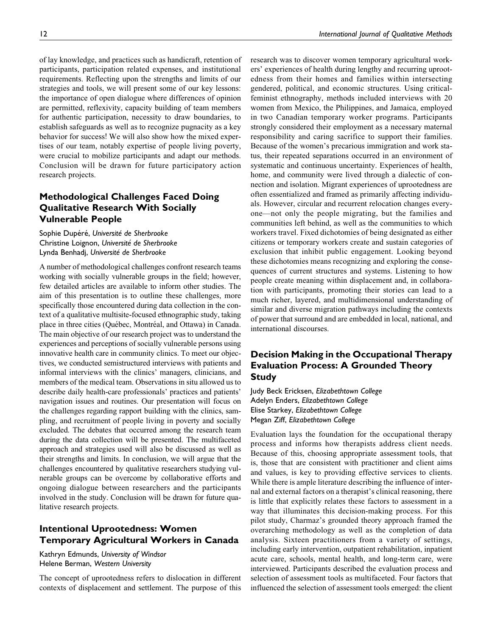of lay knowledge, and practices such as handicraft, retention of participants, participation related expenses, and institutional requirements. Reflecting upon the strengths and limits of our strategies and tools, we will present some of our key lessons: the importance of open dialogue where differences of opinion are permitted, reflexivity, capacity building of team members for authentic participation, necessity to draw boundaries, to establish safeguards as well as to recognize pugnacity as a key behavior for success! We will also show how the mixed expertises of our team, notably expertise of people living poverty, were crucial to mobilize participants and adapt our methods. Conclusion will be drawn for future participatory action research projects.

## Methodological Challenges Faced Doing Qualitative Research With Socially Vulnerable People

Sophie Dupéré, Université de Sherbrooke Christine Loignon, Université de Sherbrooke Lynda Benhadj, Université de Sherbrooke

A number of methodological challenges confront research teams working with socially vulnerable groups in the field; however, few detailed articles are available to inform other studies. The aim of this presentation is to outline these challenges, more specifically those encountered during data collection in the context of a qualitative multisite-focused ethnographic study, taking place in three cities (Québec, Montréal, and Ottawa) in Canada. The main objective of our research project was to understand the experiences and perceptions of socially vulnerable persons using innovative health care in community clinics. To meet our objectives, we conducted semistructured interviews with patients and informal interviews with the clinics' managers, clinicians, and members of the medical team. Observations in situ allowed us to describe daily health-care professionals' practices and patients' navigation issues and routines. Our presentation will focus on the challenges regarding rapport building with the clinics, sampling, and recruitment of people living in poverty and socially excluded. The debates that occurred among the research team during the data collection will be presented. The multifaceted approach and strategies used will also be discussed as well as their strengths and limits. In conclusion, we will argue that the challenges encountered by qualitative researchers studying vulnerable groups can be overcome by collaborative efforts and ongoing dialogue between researchers and the participants involved in the study. Conclusion will be drawn for future qualitative research projects.

## Intentional Uprootedness: Women Temporary Agricultural Workers in Canada

Kathryn Edmunds, University of Windsor Helene Berman, Western University

The concept of uprootedness refers to dislocation in different contexts of displacement and settlement. The purpose of this research was to discover women temporary agricultural workers' experiences of health during lengthy and recurring uprootedness from their homes and families within intersecting gendered, political, and economic structures. Using criticalfeminist ethnography, methods included interviews with 20 women from Mexico, the Philippines, and Jamaica, employed in two Canadian temporary worker programs. Participants strongly considered their employment as a necessary maternal responsibility and caring sacrifice to support their families. Because of the women's precarious immigration and work status, their repeated separations occurred in an environment of systematic and continuous uncertainty. Experiences of health, home, and community were lived through a dialectic of connection and isolation. Migrant experiences of uprootedness are often essentialized and framed as primarily affecting individuals. However, circular and recurrent relocation changes everyone—not only the people migrating, but the families and communities left behind, as well as the communities to which workers travel. Fixed dichotomies of being designated as either citizens or temporary workers create and sustain categories of exclusion that inhibit public engagement. Looking beyond these dichotomies means recognizing and exploring the consequences of current structures and systems. Listening to how people create meaning within displacement and, in collaboration with participants, promoting their stories can lead to a much richer, layered, and multidimensional understanding of similar and diverse migration pathways including the contexts of power that surround and are embedded in local, national, and international discourses.

# Decision Making in the Occupational Therapy Evaluation Process: A Grounded Theory Study

Judy Beck Ericksen, Elizabethtown College Adelyn Enders, Elizabethtown College Elise Starkey, Elizabethtown College Megan Ziff, Elizabethtown College

Evaluation lays the foundation for the occupational therapy process and informs how therapists address client needs. Because of this, choosing appropriate assessment tools, that is, those that are consistent with practitioner and client aims and values, is key to providing effective services to clients. While there is ample literature describing the influence of internal and external factors on a therapist's clinical reasoning, there is little that explicitly relates these factors to assessment in a way that illuminates this decision-making process. For this pilot study, Charmaz's grounded theory approach framed the overarching methodology as well as the completion of data analysis. Sixteen practitioners from a variety of settings, including early intervention, outpatient rehabilitation, inpatient acute care, schools, mental health, and long-term care, were interviewed. Participants described the evaluation process and selection of assessment tools as multifaceted. Four factors that influenced the selection of assessment tools emerged: the client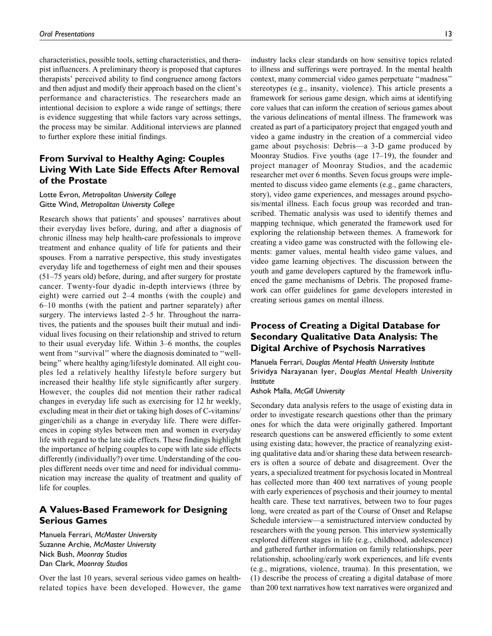characteristics, possible tools, setting characteristics, and therapist influencers. A preliminary theory is proposed that captures therapists' perceived ability to find congruence among factors and then adjust and modify their approach based on the client's performance and characteristics. The researchers made an intentional decision to explore a wide range of settings; there is evidence suggesting that while factors vary across settings, the process may be similar. Additional interviews are planned to further explore these initial findings.

## From Survival to Healthy Aging: Couples Living With Late Side Effects After Removal of the Prostate

## Lotte Evron, Metropolitan University College Gitte Wind, Metropolitan University College

Research shows that patients' and spouses' narratives about their everyday lives before, during, and after a diagnosis of chronic illness may help health-care professionals to improve treatment and enhance quality of life for patients and their spouses. From a narrative perspective, this study investigates everyday life and togetherness of eight men and their spouses (51–75 years old) before, during, and after surgery for prostate cancer. Twenty-four dyadic in-depth interviews (three by eight) were carried out 2–4 months (with the couple) and 6–10 months (with the patient and partner separately) after surgery. The interviews lasted 2–5 hr. Throughout the narratives, the patients and the spouses built their mutual and individual lives focusing on their relationship and strived to return to their usual everyday life. Within 3–6 months, the couples went from "survival" where the diagnosis dominated to "wellbeing'' where healthy aging/lifestyle dominated. All eight couples led a relatively healthy lifestyle before surgery but increased their healthy life style significantly after surgery. However, the couples did not mention their rather radical changes in everyday life such as exercising for 12 hr weekly, excluding meat in their diet or taking high doses of C-vitamins/ ginger/chili as a change in everyday life. There were differences in coping styles between men and women in everyday life with regard to the late side effects. These findings highlight the importance of helping couples to cope with late side effects differently (individually?) over time. Understanding of the couples different needs over time and need for individual communication may increase the quality of treatment and quality of life for couples.

# A Values-Based Framework for Designing Serious Games

Manuela Ferrari, McMaster University Suzanne Archie, McMaster University Nick Bush, Moonray Studios Dan Clark, Moonray Studios

Over the last 10 years, several serious video games on healthrelated topics have been developed. However, the game industry lacks clear standards on how sensitive topics related to illness and sufferings were portrayed. In the mental health context, many commercial video games perpetuate ''madness'' stereotypes (e.g., insanity, violence). This article presents a framework for serious game design, which aims at identifying core values that can inform the creation of serious games about the various delineations of mental illness. The framework was created as part of a participatory project that engaged youth and video a game industry in the creation of a commercial video game about psychosis: Debris—a 3-D game produced by Moonray Studios. Five youths (age 17–19), the founder and project manager of Moonray Studios, and the academic researcher met over 6 months. Seven focus groups were implemented to discuss video game elements (e.g., game characters, story), video game experiences, and messages around psychosis/mental illness. Each focus group was recorded and transcribed. Thematic analysis was used to identify themes and mapping technique, which generated the framework used for exploring the relationship between themes. A framework for creating a video game was constructed with the following elements: gamer values, mental health video game values, and video game learning objectives. The discussion between the youth and game developers captured by the framework influenced the game mechanisms of Debris. The proposed framework can offer guidelines for game developers interested in creating serious games on mental illness.

## Process of Creating a Digital Database for Secondary Qualitative Data Analysis: The Digital Archive of Psychosis Narratives

Manuela Ferrari, Douglas Mental Health University Institute Srividya Narayanan Iyer, Douglas Mental Health University Institute

Ashok Malla, McGill University

Secondary data analysis refers to the usage of existing data in order to investigate research questions other than the primary ones for which the data were originally gathered. Important research questions can be answered efficiently to some extent using existing data; however, the practice of reanalyzing existing qualitative data and/or sharing these data between researchers is often a source of debate and disagreement. Over the years, a specialized treatment for psychosis located in Montreal has collected more than 400 text narratives of young people with early experiences of psychosis and their journey to mental health care. These text narratives, between two to four pages long, were created as part of the Course of Onset and Relapse Schedule interview—a semistructured interview conducted by researchers with the young person. This interview systemically explored different stages in life (e.g., childhood, adolescence) and gathered further information on family relationships, peer relationship, schooling/early work experiences, and life events (e.g., migrations, violence, trauma). In this presentation, we (1) describe the process of creating a digital database of more than 200 text narratives how text narratives were organized and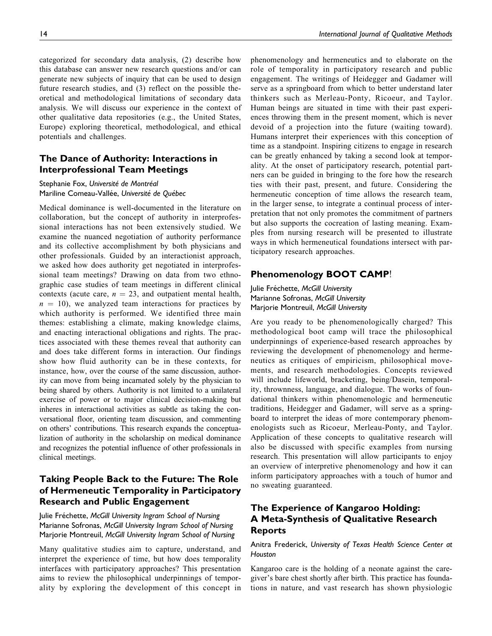categorized for secondary data analysis, (2) describe how this database can answer new research questions and/or can generate new subjects of inquiry that can be used to design future research studies, and (3) reflect on the possible theoretical and methodological limitations of secondary data analysis. We will discuss our experience in the context of other qualitative data repositories (e.g., the United States, Europe) exploring theoretical, methodological, and ethical

## The Dance of Authority: Interactions in Interprofessional Team Meetings

## Stephanie Fox, Université de Montréal Mariline Comeau-Vallée, Université de Québec

potentials and challenges.

Medical dominance is well-documented in the literature on collaboration, but the concept of authority in interprofessional interactions has not been extensively studied. We examine the nuanced negotiation of authority performance and its collective accomplishment by both physicians and other professionals. Guided by an interactionist approach, we asked how does authority get negotiated in interprofessional team meetings? Drawing on data from two ethnographic case studies of team meetings in different clinical contexts (acute care,  $n = 23$ , and outpatient mental health,  $n = 10$ , we analyzed team interactions for practices by which authority is performed. We identified three main themes: establishing a climate, making knowledge claims, and enacting interactional obligations and rights. The practices associated with these themes reveal that authority can and does take different forms in interaction. Our findings show how fluid authority can be in these contexts, for instance, how, over the course of the same discussion, authority can move from being incarnated solely by the physician to being shared by others. Authority is not limited to a unilateral exercise of power or to major clinical decision-making but inheres in interactional activities as subtle as taking the conversational floor, orienting team discussion, and commenting on others' contributions. This research expands the conceptualization of authority in the scholarship on medical dominance and recognizes the potential influence of other professionals in clinical meetings.

## Taking People Back to the Future: The Role of Hermeneutic Temporality in Participatory Research and Public Engagement

Julie Fréchette, McGill University Ingram School of Nursing Marianne Sofronas, McGill University Ingram School of Nursing Marjorie Montreuil, McGill University Ingram School of Nursing

Many qualitative studies aim to capture, understand, and interpret the experience of time, but how does temporality interfaces with participatory approaches? This presentation aims to review the philosophical underpinnings of temporality by exploring the development of this concept in phenomenology and hermeneutics and to elaborate on the role of temporality in participatory research and public engagement. The writings of Heidegger and Gadamer will serve as a springboard from which to better understand later thinkers such as Merleau-Ponty, Ricoeur, and Taylor. Human beings are situated in time with their past experiences throwing them in the present moment, which is never devoid of a projection into the future (waiting toward). Humans interpret their experiences with this conception of time as a standpoint. Inspiring citizens to engage in research can be greatly enhanced by taking a second look at temporality. At the onset of participatory research, potential partners can be guided in bringing to the fore how the research ties with their past, present, and future. Considering the hermeneutic conception of time allows the research team, in the larger sense, to integrate a continual process of interpretation that not only promotes the commitment of partners but also supports the cocreation of lasting meaning. Examples from nursing research will be presented to illustrate ways in which hermeneutical foundations intersect with participatory research approaches.

## Phenomenology BOOT CAMP!

Julie Fréchette, McGill University Marianne Sofronas, McGill University Marjorie Montreuil, McGill University

Are you ready to be phenomenologically charged? This methodological boot camp will trace the philosophical underpinnings of experience-based research approaches by reviewing the development of phenomenology and hermeneutics as critiques of empiricism, philosophical movements, and research methodologies. Concepts reviewed will include lifeworld, bracketing, being/Dasein, temporality, thrownness, language, and dialogue. The works of foundational thinkers within phenomenologic and hermeneutic traditions, Heidegger and Gadamer, will serve as a springboard to interpret the ideas of more contemporary phenomenologists such as Ricoeur, Merleau-Ponty, and Taylor. Application of these concepts to qualitative research will also be discussed with specific examples from nursing research. This presentation will allow participants to enjoy an overview of interpretive phenomenology and how it can inform participatory approaches with a touch of humor and no sweating guaranteed.

# The Experience of Kangaroo Holding: A Meta-Synthesis of Qualitative Research Reports

## Anitra Frederick, University of Texas Health Science Center at **Houston**

Kangaroo care is the holding of a neonate against the caregiver's bare chest shortly after birth. This practice has foundations in nature, and vast research has shown physiologic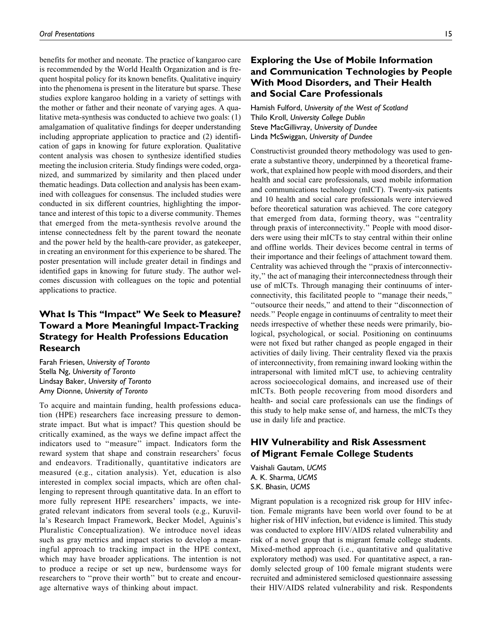benefits for mother and neonate. The practice of kangaroo care is recommended by the World Health Organization and is frequent hospital policy for its known benefits. Qualitative inquiry into the phenomena is present in the literature but sparse. These studies explore kangaroo holding in a variety of settings with the mother or father and their neonate of varying ages. A qualitative meta-synthesis was conducted to achieve two goals: (1) amalgamation of qualitative findings for deeper understanding including appropriate application to practice and (2) identification of gaps in knowing for future exploration. Qualitative content analysis was chosen to synthesize identified studies meeting the inclusion criteria. Study findings were coded, organized, and summarized by similarity and then placed under thematic headings. Data collection and analysis has been examined with colleagues for consensus. The included studies were conducted in six different countries, highlighting the importance and interest of this topic to a diverse community. Themes that emerged from the meta-synthesis revolve around the intense connectedness felt by the parent toward the neonate and the power held by the health-care provider, as gatekeeper, in creating an environment for this experience to be shared. The poster presentation will include greater detail in findings and identified gaps in knowing for future study. The author welcomes discussion with colleagues on the topic and potential applications to practice.

# What Is This "Impact" We Seek to Measure? Toward a More Meaningful Impact-Tracking Strategy for Health Professions Education Research

Farah Friesen, University of Toronto Stella Ng, University of Toronto Lindsay Baker, University of Toronto Amy Dionne, University of Toronto

To acquire and maintain funding, health professions education (HPE) researchers face increasing pressure to demonstrate impact. But what is impact? This question should be critically examined, as the ways we define impact affect the indicators used to ''measure'' impact. Indicators form the reward system that shape and constrain researchers' focus and endeavors. Traditionally, quantitative indicators are measured (e.g., citation analysis). Yet, education is also interested in complex social impacts, which are often challenging to represent through quantitative data. In an effort to more fully represent HPE researchers' impacts, we integrated relevant indicators from several tools (e.g., Kuruvilla's Research Impact Framework, Becker Model, Aguinis's Pluralistic Conceptualization). We introduce novel ideas such as gray metrics and impact stories to develop a meaningful approach to tracking impact in the HPE context, which may have broader applications. The intention is not to produce a recipe or set up new, burdensome ways for researchers to ''prove their worth'' but to create and encourage alternative ways of thinking about impact.

## Exploring the Use of Mobile Information and Communication Technologies by People With Mood Disorders, and Their Health and Social Care Professionals

Hamish Fulford, University of the West of Scotland Thilo Kroll, University College Dublin Steve MacGillivray, University of Dundee Linda McSwiggan, University of Dundee

Constructivist grounded theory methodology was used to generate a substantive theory, underpinned by a theoretical framework, that explained how people with mood disorders, and their health and social care professionals, used mobile information and communications technology (mICT). Twenty-six patients and 10 health and social care professionals were interviewed before theoretical saturation was achieved. The core category that emerged from data, forming theory, was ''centrality through praxis of interconnectivity.'' People with mood disorders were using their mICTs to stay central within their online and offline worlds. Their devices become central in terms of their importance and their feelings of attachment toward them. Centrality was achieved through the ''praxis of interconnectivity,'' the act of managing their interconnectedness through their use of mICTs. Through managing their continuums of interconnectivity, this facilitated people to ''manage their needs,'' ''outsource their needs,'' and attend to their ''disconnection of needs.'' People engage in continuums of centrality to meet their needs irrespective of whether these needs were primarily, biological, psychological, or social. Positioning on continuums were not fixed but rather changed as people engaged in their activities of daily living. Their centrality flexed via the praxis of interconnectivity, from remaining inward looking within the intrapersonal with limited mICT use, to achieving centrality across socioecological domains, and increased use of their mICTs. Both people recovering from mood disorders and health- and social care professionals can use the findings of this study to help make sense of, and harness, the mICTs they use in daily life and practice.

## HIV Vulnerability and Risk Assessment of Migrant Female College Students

Vaishali Gautam, UCMS A. K. Sharma, UCMS S.K. Bhasin, UCMS

Migrant population is a recognized risk group for HIV infection. Female migrants have been world over found to be at higher risk of HIV infection, but evidence is limited. This study was conducted to explore HIV/AIDS related vulnerability and risk of a novel group that is migrant female college students. Mixed-method approach (i.e., quantitative and qualitative exploratory method) was used. For quantitative aspect, a randomly selected group of 100 female migrant students were recruited and administered semiclosed questionnaire assessing their HIV/AIDS related vulnerability and risk. Respondents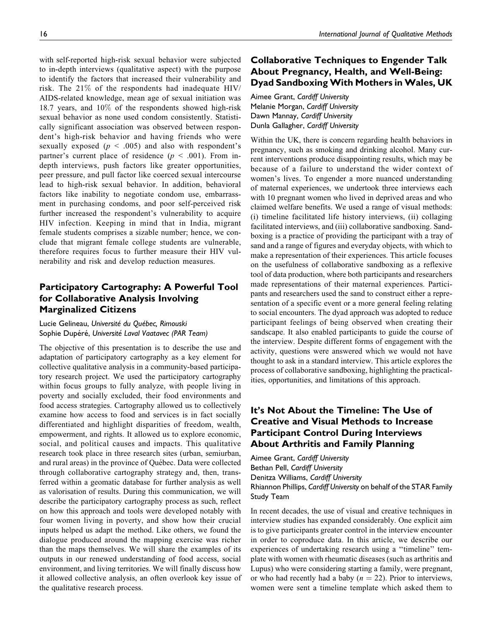with self-reported high-risk sexual behavior were subjected to in-depth interviews (qualitative aspect) with the purpose to identify the factors that increased their vulnerability and risk. The 21% of the respondents had inadequate HIV/ AIDS-related knowledge, mean age of sexual initiation was 18.7 years, and 10% of the respondents showed high-risk sexual behavior as none used condom consistently. Statistically significant association was observed between respondent's high-risk behavior and having friends who were sexually exposed ( $p < .005$ ) and also with respondent's partner's current place of residence ( $p < .001$ ). From indepth interviews, push factors like greater opportunities, peer pressure, and pull factor like coerced sexual intercourse lead to high-risk sexual behavior. In addition, behavioral factors like inability to negotiate condom use, embarrassment in purchasing condoms, and poor self-perceived risk further increased the respondent's vulnerability to acquire HIV infection. Keeping in mind that in India, migrant female students comprises a sizable number; hence, we conclude that migrant female college students are vulnerable, therefore requires focus to further measure their HIV vulnerability and risk and develop reduction measures.

# Participatory Cartography: A Powerful Tool for Collaborative Analysis Involving Marginalized Citizens

Lucie Gelineau, Université du Québec, Rimouski Sophie Dupéré, Université Laval Vaatavec (PAR Team)

The objective of this presentation is to describe the use and adaptation of participatory cartography as a key element for collective qualitative analysis in a community-based participatory research project. We used the participatory cartography within focus groups to fully analyze, with people living in poverty and socially excluded, their food environments and food access strategies. Cartography allowed us to collectively examine how access to food and services is in fact socially differentiated and highlight disparities of freedom, wealth, empowerment, and rights. It allowed us to explore economic, social, and political causes and impacts. This qualitative research took place in three research sites (urban, semiurban, and rural areas) in the province of Québec. Data were collected through collaborative cartography strategy and, then, transferred within a geomatic database for further analysis as well as valorisation of results. During this communication, we will describe the participatory cartography process as such, reflect on how this approach and tools were developed notably with four women living in poverty, and show how their crucial inputs helped us adapt the method. Like others, we found the dialogue produced around the mapping exercise was richer than the maps themselves. We will share the examples of its outputs in our renewed understanding of food access, social environment, and living territories. We will finally discuss how it allowed collective analysis, an often overlook key issue of the qualitative research process.

# Collaborative Techniques to Engender Talk About Pregnancy, Health, and Well-Being: Dyad Sandboxing With Mothers in Wales, UK

Aimee Grant, Cardiff University Melanie Morgan, Cardiff University Dawn Mannay, Cardiff University Dunla Gallagher, Cardiff University

Within the UK, there is concern regarding health behaviors in pregnancy, such as smoking and drinking alcohol. Many current interventions produce disappointing results, which may be because of a failure to understand the wider context of women's lives. To engender a more nuanced understanding of maternal experiences, we undertook three interviews each with 10 pregnant women who lived in deprived areas and who claimed welfare benefits. We used a range of visual methods: (i) timeline facilitated life history interviews, (ii) collaging facilitated interviews, and (iii) collaborative sandboxing. Sandboxing is a practice of providing the participant with a tray of sand and a range of figures and everyday objects, with which to make a representation of their experiences. This article focuses on the usefulness of collaborative sandboxing as a reflexive tool of data production, where both participants and researchers made representations of their maternal experiences. Participants and researchers used the sand to construct either a representation of a specific event or a more general feeling relating to social encounters. The dyad approach was adopted to reduce participant feelings of being observed when creating their sandscape. It also enabled participants to guide the course of the interview. Despite different forms of engagement with the activity, questions were answered which we would not have thought to ask in a standard interview. This article explores the process of collaborative sandboxing, highlighting the practicalities, opportunities, and limitations of this approach.

# It's Not About the Timeline: The Use of Creative and Visual Methods to Increase Participant Control During Interviews About Arthritis and Family Planning

Aimee Grant, Cardiff University Bethan Pell, Cardiff University Denitza Williams, Cardiff University Rhiannon Phillips, Cardiff University on behalf of the STAR Family Study Team

In recent decades, the use of visual and creative techniques in interview studies has expanded considerably. One explicit aim is to give participants greater control in the interview encounter in order to coproduce data. In this article, we describe our experiences of undertaking research using a ''timeline'' template with women with rheumatic diseases (such as arthritis and Lupus) who were considering starting a family, were pregnant, or who had recently had a baby ( $n = 22$ ). Prior to interviews, women were sent a timeline template which asked them to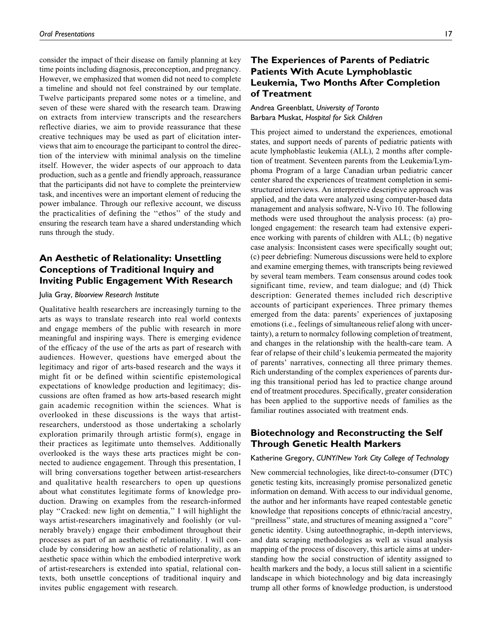consider the impact of their disease on family planning at key time points including diagnosis, preconception, and pregnancy. However, we emphasized that women did not need to complete a timeline and should not feel constrained by our template. Twelve participants prepared some notes or a timeline, and seven of these were shared with the research team. Drawing on extracts from interview transcripts and the researchers reflective diaries, we aim to provide reassurance that these creative techniques may be used as part of elicitation interviews that aim to encourage the participant to control the direction of the interview with minimal analysis on the timeline itself. However, the wider aspects of our approach to data production, such as a gentle and friendly approach, reassurance that the participants did not have to complete the preinterview task, and incentives were an important element of reducing the power imbalance. Through our reflexive account, we discuss the practicalities of defining the ''ethos'' of the study and ensuring the research team have a shared understanding which runs through the study.

## An Aesthetic of Relationality: Unsettling Conceptions of Traditional Inquiry and Inviting Public Engagement With Research

## Julia Gray, Bloorview Research Institute

Qualitative health researchers are increasingly turning to the arts as ways to translate research into real world contexts and engage members of the public with research in more meaningful and inspiring ways. There is emerging evidence of the efficacy of the use of the arts as part of research with audiences. However, questions have emerged about the legitimacy and rigor of arts-based research and the ways it might fit or be defined within scientific epistemological expectations of knowledge production and legitimacy; discussions are often framed as how arts-based research might gain academic recognition within the sciences. What is overlooked in these discussions is the ways that artistresearchers, understood as those undertaking a scholarly exploration primarily through artistic form(s), engage in their practices as legitimate unto themselves. Additionally overlooked is the ways these arts practices might be connected to audience engagement. Through this presentation, I will bring conversations together between artist-researchers and qualitative health researchers to open up questions about what constitutes legitimate forms of knowledge production. Drawing on examples from the research-informed play ''Cracked: new light on dementia,'' I will highlight the ways artist-researchers imaginatively and foolishly (or vulnerably bravely) engage their embodiment throughout their processes as part of an aesthetic of relationality. I will conclude by considering how an aesthetic of relationality, as an aesthetic space within which the embodied interpretive work of artist-researchers is extended into spatial, relational contexts, both unsettle conceptions of traditional inquiry and invites public engagement with research.

## The Experiences of Parents of Pediatric Patients With Acute Lymphoblastic Leukemia, Two Months After Completion of Treatment

Andrea Greenblatt, University of Toronto Barbara Muskat, Hospital for Sick Children

This project aimed to understand the experiences, emotional states, and support needs of parents of pediatric patients with acute lymphoblastic leukemia (ALL), 2 months after completion of treatment. Seventeen parents from the Leukemia/Lymphoma Program of a large Canadian urban pediatric cancer center shared the experiences of treatment completion in semistructured interviews. An interpretive descriptive approach was applied, and the data were analyzed using computer-based data management and analysis software, N-Vivo 10. The following methods were used throughout the analysis process: (a) prolonged engagement: the research team had extensive experience working with parents of children with ALL; (b) negative case analysis: Inconsistent cases were specifically sought out; (c) peer debriefing: Numerous discussions were held to explore and examine emerging themes, with transcripts being reviewed by several team members. Team consensus around codes took significant time, review, and team dialogue; and (d) Thick description: Generated themes included rich descriptive accounts of participant experiences. Three primary themes emerged from the data: parents' experiences of juxtaposing emotions (i.e., feelings of simultaneous relief along with uncertainty), a return to normalcy following completion of treatment, and changes in the relationship with the health-care team. A fear of relapse of their child's leukemia permeated the majority of parents' narratives, connecting all three primary themes. Rich understanding of the complex experiences of parents during this transitional period has led to practice change around end of treatment procedures. Specifically, greater consideration has been applied to the supportive needs of families as the familiar routines associated with treatment ends.

## Biotechnology and Reconstructing the Self Through Genetic Health Markers

## Katherine Gregory, CUNY/New York City College of Technology

New commercial technologies, like direct-to-consumer (DTC) genetic testing kits, increasingly promise personalized genetic information on demand. With access to our individual genome, the author and her informants have reaped contestable genetic knowledge that repositions concepts of ethnic/racial ancestry, ''preillness'' state, and structures of meaning assigned a ''core'' genetic identity. Using autoethnographic, in-depth interviews, and data scraping methodologies as well as visual analysis mapping of the process of discovery, this article aims at understanding how the social construction of identity assigned to health markers and the body, a locus still salient in a scientific landscape in which biotechnology and big data increasingly trump all other forms of knowledge production, is understood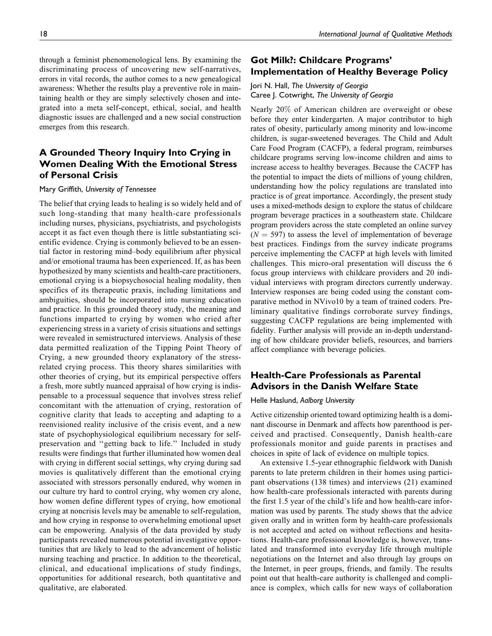through a feminist phenomenological lens. By examining the discriminating process of uncovering new self-narratives, errors in vital records, the author comes to a new genealogical awareness: Whether the results play a preventive role in maintaining health or they are simply selectively chosen and integrated into a meta self-concept, ethical, social, and health diagnostic issues are challenged and a new social construction emerges from this research.

## A Grounded Theory Inquiry Into Crying in Women Dealing With the Emotional Stress of Personal Crisis

#### Mary Griffith, University of Tennessee

The belief that crying leads to healing is so widely held and of such long-standing that many health-care professionals including nurses, physicians, psychiatrists, and psychologists accept it as fact even though there is little substantiating scientific evidence. Crying is commonly believed to be an essential factor in restoring mind–body equilibrium after physical and/or emotional trauma has been experienced. If, as has been hypothesized by many scientists and health-care practitioners, emotional crying is a biopsychosocial healing modality, then specifics of its therapeutic praxis, including limitations and ambiguities, should be incorporated into nursing education and practice. In this grounded theory study, the meaning and functions imparted to crying by women who cried after experiencing stress in a variety of crisis situations and settings were revealed in semistructured interviews. Analysis of these data permitted realization of the Tipping Point Theory of Crying, a new grounded theory explanatory of the stressrelated crying process. This theory shares similarities with other theories of crying, but its empirical perspective offers a fresh, more subtly nuanced appraisal of how crying is indispensable to a processual sequence that involves stress relief concomitant with the attenuation of crying, restoration of cognitive clarity that leads to accepting and adapting to a reenvisioned reality inclusive of the crisis event, and a new state of psychophysiological equilibrium necessary for selfpreservation and ''getting back to life.'' Included in study results were findings that further illuminated how women deal with crying in different social settings, why crying during sad movies is qualitatively different than the emotional crying associated with stressors personally endured, why women in our culture try hard to control crying, why women cry alone, how women define different types of crying, how emotional crying at noncrisis levels may be amenable to self-regulation, and how crying in response to overwhelming emotional upset can be empowering. Analysis of the data provided by study participants revealed numerous potential investigative opportunities that are likely to lead to the advancement of holistic nursing teaching and practice. In addition to the theoretical, clinical, and educational implications of study findings, opportunities for additional research, both quantitative and qualitative, are elaborated.

## Got Milk?: Childcare Programs' Implementation of Healthy Beverage Policy

## Jori N. Hall, The University of Georgia Caree J. Cotwright, The University of Georgia

Nearly 20% of American children are overweight or obese before they enter kindergarten. A major contributor to high rates of obesity, particularly among minority and low-income children, is sugar-sweetened beverages. The Child and Adult Care Food Program (CACFP), a federal program, reimburses childcare programs serving low-income children and aims to increase access to healthy beverages. Because the CACFP has the potential to impact the diets of millions of young children, understanding how the policy regulations are translated into practice is of great importance. Accordingly, the present study uses a mixed-methods design to explore the status of childcare program beverage practices in a southeastern state. Childcare program providers across the state completed an online survey  $(N = 597)$  to assess the level of implementation of beverage best practices. Findings from the survey indicate programs perceive implementing the CACFP at high levels with limited challenges. This micro-oral presentation will discuss the 6 focus group interviews with childcare providers and 20 individual interviews with program directors currently underway. Interview responses are being coded using the constant comparative method in NVivo10 by a team of trained coders. Preliminary qualitative findings corroborate survey findings, suggesting CACFP regulations are being implemented with fidelity. Further analysis will provide an in-depth understanding of how childcare provider beliefs, resources, and barriers affect compliance with beverage policies.

## Health-Care Professionals as Parental Advisors in the Danish Welfare State

#### Helle Haslund, Aalborg University

Active citizenship oriented toward optimizing health is a dominant discourse in Denmark and affects how parenthood is perceived and practised. Consequently, Danish health-care professionals monitor and guide parents in practises and choices in spite of lack of evidence on multiple topics.

An extensive 1.5-year ethnographic fieldwork with Danish parents to late preterm children in their homes using participant observations (138 times) and interviews (21) examined how health-care professionals interacted with parents during the first 1.5 year of the child's life and how health-care information was used by parents. The study shows that the advice given orally and in written form by health-care professionals is not accepted and acted on without reflections and hesitations. Health-care professional knowledge is, however, translated and transformed into everyday life through multiple negotiations on the Internet and also through lay groups on the Internet, in peer groups, friends, and family. The results point out that health-care authority is challenged and compliance is complex, which calls for new ways of collaboration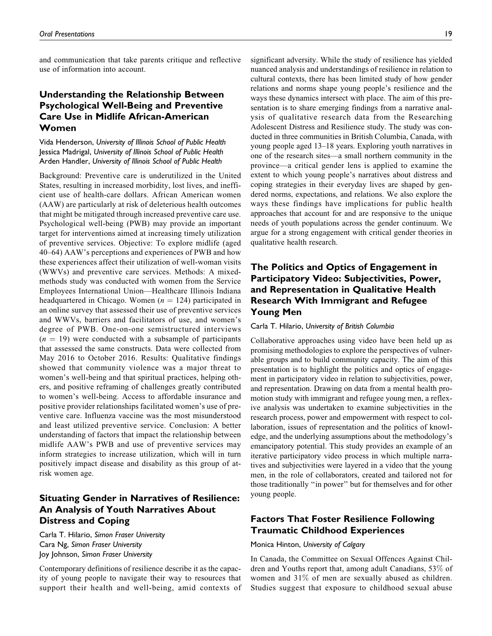and communication that take parents critique and reflective use of information into account.

## Understanding the Relationship Between Psychological Well-Being and Preventive Care Use in Midlife African-American Women

Vida Henderson, University of Illinois School of Public Health Jessica Madrigal, University of Illinois School of Public Health Arden Handler, University of Illinois School of Public Health

Background: Preventive care is underutilized in the United States, resulting in increased morbidity, lost lives, and inefficient use of health-care dollars. African American women (AAW) are particularly at risk of deleterious health outcomes that might be mitigated through increased preventive care use. Psychological well-being (PWB) may provide an important target for interventions aimed at increasing timely utilization of preventive services. Objective: To explore midlife (aged 40–64) AAW's perceptions and experiences of PWB and how these experiences affect their utilization of well-woman visits (WWVs) and preventive care services. Methods: A mixedmethods study was conducted with women from the Service Employees International Union—Healthcare Illinois Indiana headquartered in Chicago. Women ( $n = 124$ ) participated in an online survey that assessed their use of preventive services and WWVs, barriers and facilitators of use, and women's degree of PWB. One-on-one semistructured interviews  $(n = 19)$  were conducted with a subsample of participants that assessed the same constructs. Data were collected from May 2016 to October 2016. Results: Qualitative findings showed that community violence was a major threat to women's well-being and that spiritual practices, helping others, and positive reframing of challenges greatly contributed to women's well-being. Access to affordable insurance and positive provider relationships facilitated women's use of preventive care. Influenza vaccine was the most misunderstood and least utilized preventive service. Conclusion: A better understanding of factors that impact the relationship between midlife AAW's PWB and use of preventive services may inform strategies to increase utilization, which will in turn positively impact disease and disability as this group of atrisk women age.

# Situating Gender in Narratives of Resilience: An Analysis of Youth Narratives About Distress and Coping

Carla T. Hilario, Simon Fraser University Cara Ng, Simon Fraser University Joy Johnson, Simon Fraser University

Contemporary definitions of resilience describe it as the capacity of young people to navigate their way to resources that support their health and well-being, amid contexts of significant adversity. While the study of resilience has yielded nuanced analysis and understandings of resilience in relation to cultural contexts, there has been limited study of how gender relations and norms shape young people's resilience and the ways these dynamics intersect with place. The aim of this presentation is to share emerging findings from a narrative analysis of qualitative research data from the Researching Adolescent Distress and Resilience study. The study was conducted in three communities in British Columbia, Canada, with young people aged 13–18 years. Exploring youth narratives in one of the research sites—a small northern community in the province—a critical gender lens is applied to examine the extent to which young people's narratives about distress and coping strategies in their everyday lives are shaped by gendered norms, expectations, and relations. We also explore the ways these findings have implications for public health approaches that account for and are responsive to the unique needs of youth populations across the gender continuum. We argue for a strong engagement with critical gender theories in qualitative health research.

# The Politics and Optics of Engagement in Participatory Video: Subjectivities, Power, and Representation in Qualitative Health Research With Immigrant and Refugee Young Men

#### Carla T. Hilario, University of British Columbia

Collaborative approaches using video have been held up as promising methodologies to explore the perspectives of vulnerable groups and to build community capacity. The aim of this presentation is to highlight the politics and optics of engagement in participatory video in relation to subjectivities, power, and representation. Drawing on data from a mental health promotion study with immigrant and refugee young men, a reflexive analysis was undertaken to examine subjectivities in the research process, power and empowerment with respect to collaboration, issues of representation and the politics of knowledge, and the underlying assumptions about the methodology's emancipatory potential. This study provides an example of an iterative participatory video process in which multiple narratives and subjectivities were layered in a video that the young men, in the role of collaborators, created and tailored not for those traditionally ''in power'' but for themselves and for other young people.

## Factors That Foster Resilience Following Traumatic Childhood Experiences

## Monica Hinton, University of Calgary

In Canada, the Committee on Sexual Offences Against Children and Youths report that, among adult Canadians, 53% of women and 31% of men are sexually abused as children. Studies suggest that exposure to childhood sexual abuse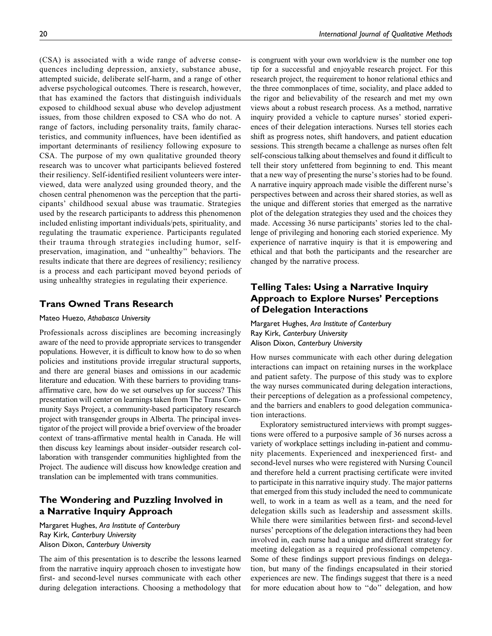(CSA) is associated with a wide range of adverse consequences including depression, anxiety, substance abuse, attempted suicide, deliberate self-harm, and a range of other adverse psychological outcomes. There is research, however, that has examined the factors that distinguish individuals exposed to childhood sexual abuse who develop adjustment issues, from those children exposed to CSA who do not. A range of factors, including personality traits, family characteristics, and community influences, have been identified as important determinants of resiliency following exposure to CSA. The purpose of my own qualitative grounded theory research was to uncover what participants believed fostered their resiliency. Self-identified resilient volunteers were interviewed, data were analyzed using grounded theory, and the chosen central phenomenon was the perception that the participants' childhood sexual abuse was traumatic. Strategies used by the research participants to address this phenomenon included enlisting important individuals/pets, spirituality, and regulating the traumatic experience. Participants regulated their trauma through strategies including humor, selfpreservation, imagination, and ''unhealthy'' behaviors. The results indicate that there are degrees of resiliency; resiliency is a process and each participant moved beyond periods of using unhealthy strategies in regulating their experience.

## Trans Owned Trans Research

## Mateo Huezo, Athabasca University

Professionals across disciplines are becoming increasingly aware of the need to provide appropriate services to transgender populations. However, it is difficult to know how to do so when policies and institutions provide irregular structural supports, and there are general biases and omissions in our academic literature and education. With these barriers to providing transaffirmative care, how do we set ourselves up for success? This presentation will center on learnings taken from The Trans Community Says Project, a community-based participatory research project with transgender groups in Alberta. The principal investigator of the project will provide a brief overview of the broader context of trans-affirmative mental health in Canada. He will then discuss key learnings about insider–outsider research collaboration with transgender communities highlighted from the Project. The audience will discuss how knowledge creation and translation can be implemented with trans communities.

## The Wondering and Puzzling Involved in a Narrative Inquiry Approach

Margaret Hughes, Ara Institute of Canterbury Ray Kirk, Canterbury University Alison Dixon, Canterbury University

The aim of this presentation is to describe the lessons learned from the narrative inquiry approach chosen to investigate how first- and second-level nurses communicate with each other during delegation interactions. Choosing a methodology that is congruent with your own worldview is the number one top tip for a successful and enjoyable research project. For this research project, the requirement to honor relational ethics and the three commonplaces of time, sociality, and place added to the rigor and believability of the research and met my own views about a robust research process. As a method, narrative inquiry provided a vehicle to capture nurses' storied experiences of their delegation interactions. Nurses tell stories each shift as progress notes, shift handovers, and patient education sessions. This strength became a challenge as nurses often felt self-conscious talking about themselves and found it difficult to tell their story unfettered from beginning to end. This meant that a new way of presenting the nurse's stories had to be found. A narrative inquiry approach made visible the different nurse's perspectives between and across their shared stories, as well as the unique and different stories that emerged as the narrative plot of the delegation strategies they used and the choices they made. Accessing 36 nurse participants' stories led to the challenge of privileging and honoring each storied experience. My experience of narrative inquiry is that it is empowering and ethical and that both the participants and the researcher are changed by the narrative process.

## Telling Tales: Using a Narrative Inquiry Approach to Explore Nurses' Perceptions of Delegation Interactions

Margaret Hughes, Ara Institute of Canterbury Ray Kirk, Canterbury University Alison Dixon, Canterbury University

How nurses communicate with each other during delegation interactions can impact on retaining nurses in the workplace and patient safety. The purpose of this study was to explore the way nurses communicated during delegation interactions, their perceptions of delegation as a professional competency, and the barriers and enablers to good delegation communication interactions.

Exploratory semistructured interviews with prompt suggestions were offered to a purposive sample of 36 nurses across a variety of workplace settings including in-patient and community placements. Experienced and inexperienced first- and second-level nurses who were registered with Nursing Council and therefore held a current practising certificate were invited to participate in this narrative inquiry study. The major patterns that emerged from this study included the need to communicate well, to work in a team as well as a team, and the need for delegation skills such as leadership and assessment skills. While there were similarities between first- and second-level nurses' perceptions of the delegation interactions they had been involved in, each nurse had a unique and different strategy for meeting delegation as a required professional competency. Some of these findings support previous findings on delegation, but many of the findings encapsulated in their storied experiences are new. The findings suggest that there is a need for more education about how to ''do'' delegation, and how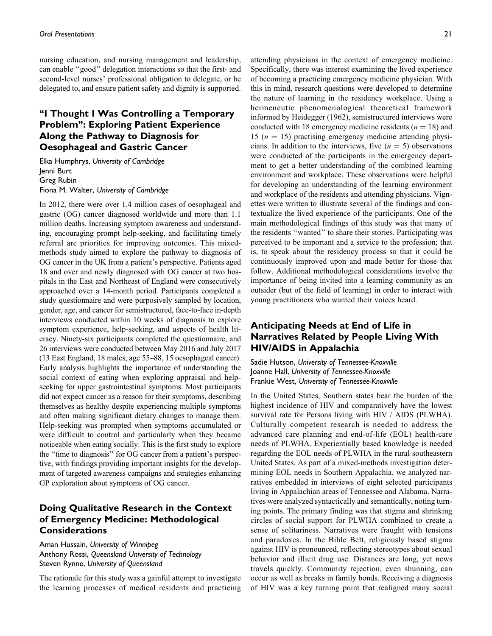nursing education, and nursing management and leadership, can enable ''good'' delegation interactions so that the first- and second-level nurses' professional obligation to delegate, or be delegated to, and ensure patient safety and dignity is supported.

# ''I Thought I Was Controlling a Temporary Problem'': Exploring Patient Experience Along the Pathway to Diagnosis for Oesophageal and Gastric Cancer

Elka Humphrys, University of Cambridge Jenni Burt Greg Rubin Fiona M. Walter, University of Cambridge

In 2012, there were over 1.4 million cases of oesophageal and gastric (OG) cancer diagnosed worldwide and more than 1.1 million deaths. Increasing symptom awareness and understanding, encouraging prompt help-seeking, and facilitating timely referral are priorities for improving outcomes. This mixedmethods study aimed to explore the pathway to diagnosis of OG cancer in the UK from a patient's perspective. Patients aged 18 and over and newly diagnosed with OG cancer at two hospitals in the East and Northeast of England were consecutively approached over a 14-month period. Participants completed a study questionnaire and were purposively sampled by location, gender, age, and cancer for semistructured, face-to-face in-depth interviews conducted within 10 weeks of diagnosis to explore symptom experience, help-seeking, and aspects of health literacy. Ninety-six participants completed the questionnaire, and 26 interviews were conducted between May 2016 and July 2017 (13 East England, 18 males, age 55–88, 15 oesophageal cancer). Early analysis highlights the importance of understanding the social context of eating when exploring appraisal and helpseeking for upper gastrointestinal symptoms. Most participants did not expect cancer as a reason for their symptoms, describing themselves as healthy despite experiencing multiple symptoms and often making significant dietary changes to manage them. Help-seeking was prompted when symptoms accumulated or were difficult to control and particularly when they became noticeable when eating socially. This is the first study to explore the ''time to diagnosis'' for OG cancer from a patient's perspective, with findings providing important insights for the development of targeted awareness campaigns and strategies enhancing GP exploration about symptoms of OG cancer.

## Doing Qualitative Research in the Context of Emergency Medicine: Methodological **Considerations**

Aman Hussain, University of Winnipeg Anthony Rossi, Queensland University of Technology Steven Rynne, University of Queensland

The rationale for this study was a gainful attempt to investigate the learning processes of medical residents and practicing attending physicians in the context of emergency medicine. Specifically, there was interest examining the lived experience of becoming a practicing emergency medicine physician. With this in mind, research questions were developed to determine the nature of learning in the residency workplace. Using a hermeneutic phenomenological theoretical framework informed by Heidegger (1962), semistructured interviews were conducted with 18 emergency medicine residents ( $n = 18$ ) and 15 ( $n = 15$ ) practising emergency medicine attending physicians. In addition to the interviews, five  $(n = 5)$  observations were conducted of the participants in the emergency department to get a better understanding of the combined learning environment and workplace. These observations were helpful for developing an understanding of the learning environment and workplace of the residents and attending physicians. Vignettes were written to illustrate several of the findings and contextualize the lived experience of the participants. One of the main methodological findings of this study was that many of the residents ''wanted'' to share their stories. Participating was perceived to be important and a service to the profession; that is, to speak about the residency process so that it could be continuously improved upon and made better for those that follow. Additional methodological considerations involve the importance of being invited into a learning community as an outsider (but of the field of learning) in order to interact with young practitioners who wanted their voices heard.

## Anticipating Needs at End of Life in Narratives Related by People Living With HIV/AIDS in Appalachia

Sadie Hutson, University of Tennessee-Knoxville Joanne Hall, University of Tennessee-Knoxville Frankie West, University of Tennessee-Knoxville

In the United States, Southern states bear the burden of the highest incidence of HIV and comparatively have the lowest survival rate for Persons living with HIV / AIDS (PLWHA). Culturally competent research is needed to address the advanced care planning and end-of-life (EOL) health-care needs of PLWHA. Experientially based knowledge is needed regarding the EOL needs of PLWHA in the rural southeastern United States. As part of a mixed-methods investigation determining EOL needs in Southern Appalachia, we analyzed narratives embedded in interviews of eight selected participants living in Appalachian areas of Tennessee and Alabama. Narratives were analyzed syntactically and semantically, noting turning points. The primary finding was that stigma and shrinking circles of social support for PLWHA combined to create a sense of solitariness. Narratives were fraught with tensions and paradoxes. In the Bible Belt, religiously based stigma against HIV is pronounced, reflecting stereotypes about sexual behavior and illicit drug use. Distances are long, yet news travels quickly. Community rejection, even shunning, can occur as well as breaks in family bonds. Receiving a diagnosis of HIV was a key turning point that realigned many social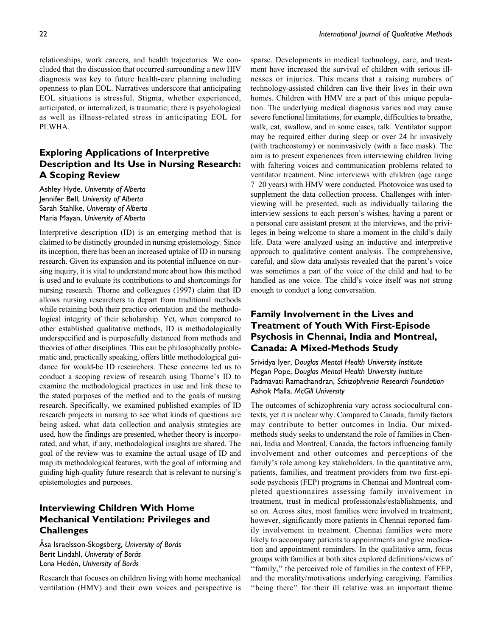relationships, work careers, and health trajectories. We concluded that the discussion that occurred surrounding a new HIV diagnosis was key to future health-care planning including openness to plan EOL. Narratives underscore that anticipating EOL situations is stressful. Stigma, whether experienced, anticipated, or internalized, is traumatic; there is psychological as well as illness-related stress in anticipating EOL for PLWHA.

# Exploring Applications of Interpretive Description and Its Use in Nursing Research: A Scoping Review

Ashley Hyde, University of Alberta Jennifer Bell, University of Alberta Sarah Stahlke, University of Alberta Maria Mayan, University of Alberta

Interpretive description (ID) is an emerging method that is claimed to be distinctly grounded in nursing epistemology. Since its inception, there has been an increased uptake of ID in nursing research. Given its expansion and its potential influence on nursing inquiry, it is vital to understand more about how this method is used and to evaluate its contributions to and shortcomings for nursing research. Thorne and colleagues (1997) claim that ID allows nursing researchers to depart from traditional methods while retaining both their practice orientation and the methodological integrity of their scholarship. Yet, when compared to other established qualitative methods, ID is methodologically underspecified and is purposefully distanced from methods and theories of other disciplines. This can be philosophically problematic and, practically speaking, offers little methodological guidance for would-be ID researchers. These concerns led us to conduct a scoping review of research using Thorne's ID to examine the methodological practices in use and link these to the stated purposes of the method and to the goals of nursing research. Specifically, we examined published examples of ID research projects in nursing to see what kinds of questions are being asked, what data collection and analysis strategies are used, how the findings are presented, whether theory is incorporated, and what, if any, methodological insights are shared. The goal of the review was to examine the actual usage of ID and map its methodological features, with the goal of informing and guiding high-quality future research that is relevant to nursing's epistemologies and purposes.

## Interviewing Children With Home Mechanical Ventilation: Privileges and **Challenges**

Asa Israelsson-Skogsberg, University of Borås Berit Lindahl, University of Borås Lena Hedén, University of Borås

Research that focuses on children living with home mechanical ventilation (HMV) and their own voices and perspective is sparse. Developments in medical technology, care, and treatment have increased the survival of children with serious illnesses or injuries. This means that a raising numbers of technology-assisted children can live their lives in their own homes. Children with HMV are a part of this unique population. The underlying medical diagnosis varies and may cause severe functional limitations, for example, difficulties to breathe, walk, eat, swallow, and in some cases, talk. Ventilator support may be required either during sleep or over 24 hr invasively (with tracheostomy) or noninvasively (with a face mask). The aim is to present experiences from interviewing children living with faltering voices and communication problems related to ventilator treatment. Nine interviews with children (age range 7–20 years) with HMV were conducted. Photovoice was used to supplement the data collection process. Challenges with interviewing will be presented, such as individually tailoring the interview sessions to each person's wishes, having a parent or a personal care assistant present at the interviews, and the privileges in being welcome to share a moment in the child's daily life. Data were analyzed using an inductive and interpretive approach to qualitative content analysis. The comprehensive, careful, and slow data analysis revealed that the parent's voice was sometimes a part of the voice of the child and had to be handled as one voice. The child's voice itself was not strong enough to conduct a long conversation.

# Family Involvement in the Lives and Treatment of Youth With First-Episode Psychosis in Chennai, India and Montreal, Canada: A Mixed-Methods Study

Srividya Iyer, Douglas Mental Health University Institute Megan Pope, Douglas Mental Health University Institute Padmavati Ramachandran, Schizophrenia Research Foundation Ashok Malla, McGill University

The outcomes of schizophrenia vary across sociocultural contexts, yet it is unclear why. Compared to Canada, family factors may contribute to better outcomes in India. Our mixedmethods study seeks to understand the role of families in Chennai, India and Montreal, Canada, the factors influencing family involvement and other outcomes and perceptions of the family's role among key stakeholders. In the quantitative arm, patients, families, and treatment providers from two first-episode psychosis (FEP) programs in Chennai and Montreal completed questionnaires assessing family involvement in treatment, trust in medical professionals/establishments, and so on. Across sites, most families were involved in treatment; however, significantly more patients in Chennai reported family involvement in treatment. Chennai families were more likely to accompany patients to appointments and give medication and appointment reminders. In the qualitative arm, focus groups with families at both sites explored definitions/views of ''family,'' the perceived role of families in the context of FEP, and the morality/motivations underlying caregiving. Families "being there" for their ill relative was an important theme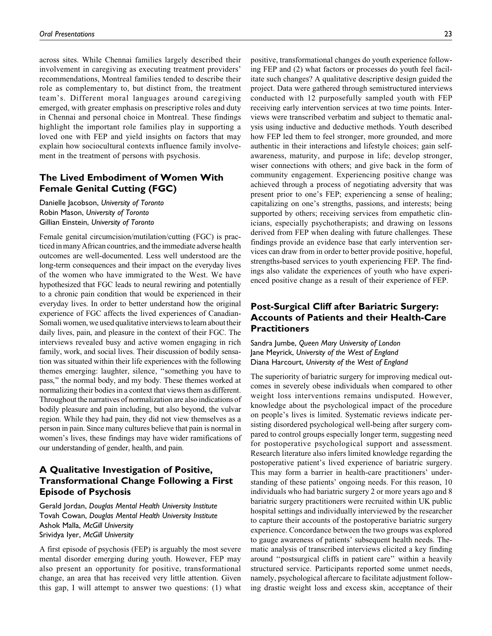across sites. While Chennai families largely described their involvement in caregiving as executing treatment providers' recommendations, Montreal families tended to describe their role as complementary to, but distinct from, the treatment team's. Different moral languages around caregiving emerged, with greater emphasis on prescriptive roles and duty in Chennai and personal choice in Montreal. These findings highlight the important role families play in supporting a loved one with FEP and yield insights on factors that may explain how sociocultural contexts influence family involvement in the treatment of persons with psychosis.

## The Lived Embodiment of Women With Female Genital Cutting (FGC)

Danielle Jacobson, University of Toronto Robin Mason, University of Toronto Gillian Einstein, University of Toronto

Female genital circumcision/mutilation/cutting (FGC) is practiced in many African countries, and the immediate adverse health outcomes are well-documented. Less well understood are the long-term consequences and their impact on the everyday lives of the women who have immigrated to the West. We have hypothesized that FGC leads to neural rewiring and potentially to a chronic pain condition that would be experienced in their everyday lives. In order to better understand how the original experience of FGC affects the lived experiences of Canadian-Somali women, we used qualitative interviews to learn about their daily lives, pain, and pleasure in the context of their FGC. The interviews revealed busy and active women engaging in rich family, work, and social lives. Their discussion of bodily sensation was situated within their life experiences with the following themes emerging: laughter, silence, ''something you have to pass,'' the normal body, and my body. These themes worked at normalizing their bodies in a context that views them as different. Throughout the narratives of normalization are also indications of bodily pleasure and pain including, but also beyond, the vulvar region. While they had pain, they did not view themselves as a person in pain. Since many cultures believe that pain is normal in women's lives, these findings may have wider ramifications of our understanding of gender, health, and pain.

## A Qualitative Investigation of Positive, Transformational Change Following a First Episode of Psychosis

Gerald Jordan, Douglas Mental Health University Institute Tovah Cowan, Douglas Mental Health University Institute Ashok Malla, McGill University Srividya Iyer, McGill University

A first episode of psychosis (FEP) is arguably the most severe mental disorder emerging during youth. However, FEP may also present an opportunity for positive, transformational change, an area that has received very little attention. Given this gap, I will attempt to answer two questions: (1) what positive, transformational changes do youth experience following FEP and (2) what factors or processes do youth feel facilitate such changes? A qualitative descriptive design guided the project. Data were gathered through semistructured interviews conducted with 12 purposefully sampled youth with FEP receiving early intervention services at two time points. Interviews were transcribed verbatim and subject to thematic analysis using inductive and deductive methods. Youth described how FEP led them to feel stronger, more grounded, and more authentic in their interactions and lifestyle choices; gain selfawareness, maturity, and purpose in life; develop stronger, wiser connections with others; and give back in the form of community engagement. Experiencing positive change was achieved through a process of negotiating adversity that was present prior to one's FEP; experiencing a sense of healing; capitalizing on one's strengths, passions, and interests; being supported by others; receiving services from empathetic clinicians, especially psychotherapists; and drawing on lessons derived from FEP when dealing with future challenges. These findings provide an evidence base that early intervention services can draw from in order to better provide positive, hopeful, strengths-based services to youth experiencing FEP. The findings also validate the experiences of youth who have experienced positive change as a result of their experience of FEP.

## Post-Surgical Cliff after Bariatric Surgery: Accounts of Patients and their Health-Care **Practitioners**

## Sandra Jumbe, Queen Mary University of London Jane Meyrick, University of the West of England Diana Harcourt, University of the West of England

The superiority of bariatric surgery for improving medical outcomes in severely obese individuals when compared to other weight loss interventions remains undisputed. However, knowledge about the psychological impact of the procedure on people's lives is limited. Systematic reviews indicate persisting disordered psychological well-being after surgery compared to control groups especially longer term, suggesting need for postoperative psychological support and assessment. Research literature also infers limited knowledge regarding the postoperative patient's lived experience of bariatric surgery. This may form a barrier in health-care practitioners' understanding of these patients' ongoing needs. For this reason, 10 individuals who had bariatric surgery 2 or more years ago and 8 bariatric surgery practitioners were recruited within UK public hospital settings and individually interviewed by the researcher to capture their accounts of the postoperative bariatric surgery experience. Concordance between the two groups was explored to gauge awareness of patients' subsequent health needs. Thematic analysis of transcribed interviews elicited a key finding around ''postsurgical cliffs in patient care'' within a heavily structured service. Participants reported some unmet needs, namely, psychological aftercare to facilitate adjustment following drastic weight loss and excess skin, acceptance of their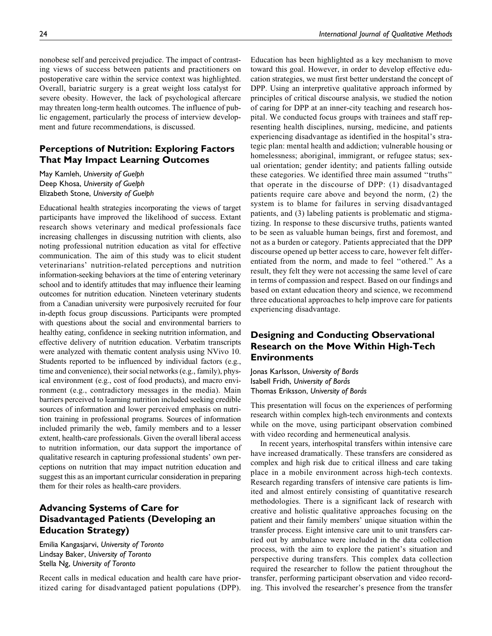nonobese self and perceived prejudice. The impact of contrasting views of success between patients and practitioners on postoperative care within the service context was highlighted. Overall, bariatric surgery is a great weight loss catalyst for severe obesity. However, the lack of psychological aftercare may threaten long-term health outcomes. The influence of public engagement, particularly the process of interview development and future recommendations, is discussed.

## Perceptions of Nutrition: Exploring Factors That May Impact Learning Outcomes

May Kamleh, University of Guelph Deep Khosa, University of Guelph Elizabeth Stone, University of Guelph

Educational health strategies incorporating the views of target participants have improved the likelihood of success. Extant research shows veterinary and medical professionals face increasing challenges in discussing nutrition with clients, also noting professional nutrition education as vital for effective communication. The aim of this study was to elicit student veterinarians' nutrition-related perceptions and nutrition information-seeking behaviors at the time of entering veterinary school and to identify attitudes that may influence their learning outcomes for nutrition education. Nineteen veterinary students from a Canadian university were purposively recruited for four in-depth focus group discussions. Participants were prompted with questions about the social and environmental barriers to healthy eating, confidence in seeking nutrition information, and effective delivery of nutrition education. Verbatim transcripts were analyzed with thematic content analysis using NVivo 10. Students reported to be influenced by individual factors (e.g., time and convenience), their social networks (e.g., family), physical environment (e.g., cost of food products), and macro environment (e.g., contradictory messages in the media). Main barriers perceived to learning nutrition included seeking credible sources of information and lower perceived emphasis on nutrition training in professional programs. Sources of information included primarily the web, family members and to a lesser extent, health-care professionals. Given the overall liberal access to nutrition information, our data support the importance of qualitative research in capturing professional students' own perceptions on nutrition that may impact nutrition education and suggest this as an important curricular consideration in preparing them for their roles as health-care providers.

## Advancing Systems of Care for Disadvantaged Patients (Developing an Education Strategy)

Emilia Kangasjarvi, University of Toronto Lindsay Baker, University of Toronto Stella Ng, University of Toronto

Recent calls in medical education and health care have prioritized caring for disadvantaged patient populations (DPP). Education has been highlighted as a key mechanism to move toward this goal. However, in order to develop effective education strategies, we must first better understand the concept of DPP. Using an interpretive qualitative approach informed by principles of critical discourse analysis, we studied the notion of caring for DPP at an inner-city teaching and research hospital. We conducted focus groups with trainees and staff representing health disciplines, nursing, medicine, and patients experiencing disadvantage as identified in the hospital's strategic plan: mental health and addiction; vulnerable housing or homelessness; aboriginal, immigrant, or refugee status; sexual orientation; gender identity; and patients falling outside these categories. We identified three main assumed ''truths'' that operate in the discourse of DPP: (1) disadvantaged patients require care above and beyond the norm, (2) the system is to blame for failures in serving disadvantaged patients, and (3) labeling patients is problematic and stigmatizing. In response to these discursive truths, patients wanted to be seen as valuable human beings, first and foremost, and not as a burden or category. Patients appreciated that the DPP discourse opened up better access to care, however felt differentiated from the norm, and made to feel ''othered.'' As a result, they felt they were not accessing the same level of care in terms of compassion and respect. Based on our findings and based on extant education theory and science, we recommend three educational approaches to help improve care for patients experiencing disadvantage.

## Designing and Conducting Observational Research on the Move Within High-Tech **Environments**

Jonas Karlsson, University of Boras Isabell Fridh, University of Borås Thomas Eriksson, University of Borås

This presentation will focus on the experiences of performing research within complex high-tech environments and contexts while on the move, using participant observation combined with video recording and hermeneutical analysis.

In recent years, interhospital transfers within intensive care have increased dramatically. These transfers are considered as complex and high risk due to critical illness and care taking place in a mobile environment across high-tech contexts. Research regarding transfers of intensive care patients is limited and almost entirely consisting of quantitative research methodologies. There is a significant lack of research with creative and holistic qualitative approaches focusing on the patient and their family members' unique situation within the transfer process. Eight intensive care unit to unit transfers carried out by ambulance were included in the data collection process, with the aim to explore the patient's situation and perspective during transfers. This complex data collection required the researcher to follow the patient throughout the transfer, performing participant observation and video recording. This involved the researcher's presence from the transfer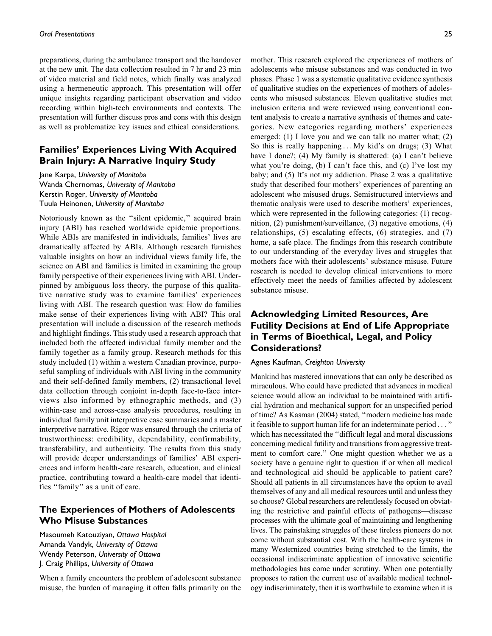preparations, during the ambulance transport and the handover at the new unit. The data collection resulted in 7 hr and 23 min of video material and field notes, which finally was analyzed using a hermeneutic approach. This presentation will offer unique insights regarding participant observation and video recording within high-tech environments and contexts. The presentation will further discuss pros and cons with this design as well as problematize key issues and ethical considerations.

## Families' Experiences Living With Acquired Brain Injury: A Narrative Inquiry Study

Jane Karpa, University of Manitoba Wanda Chernomas, University of Manitoba Kerstin Roger, University of Manitoba Tuula Heinonen, University of Manitoba

Notoriously known as the ''silent epidemic,'' acquired brain injury (ABI) has reached worldwide epidemic proportions. While ABIs are manifested in individuals, families' lives are dramatically affected by ABIs. Although research furnishes valuable insights on how an individual views family life, the science on ABI and families is limited in examining the group family perspective of their experiences living with ABI. Underpinned by ambiguous loss theory, the purpose of this qualitative narrative study was to examine families' experiences living with ABI. The research question was: How do families make sense of their experiences living with ABI? This oral presentation will include a discussion of the research methods and highlight findings. This study used a research approach that included both the affected individual family member and the family together as a family group. Research methods for this study included (1) within a western Canadian province, purposeful sampling of individuals with ABI living in the community and their self-defined family members, (2) transactional level data collection through conjoint in-depth face-to-face interviews also informed by ethnographic methods, and (3) within-case and across-case analysis procedures, resulting in individual family unit interpretive case summaries and a master interpretive narrative. Rigor was ensured through the criteria of trustworthiness: credibility, dependability, confirmability, transferability, and authenticity. The results from this study will provide deeper understandings of families' ABI experiences and inform health-care research, education, and clinical practice, contributing toward a health-care model that identifies ''family'' as a unit of care.

## The Experiences of Mothers of Adolescents Who Misuse Substances

Masoumeh Katouziyan, Ottawa Hospital Amanda Vandyk, University of Ottawa Wendy Peterson, University of Ottawa J. Craig Phillips, University of Ottawa

When a family encounters the problem of adolescent substance misuse, the burden of managing it often falls primarily on the mother. This research explored the experiences of mothers of adolescents who misuse substances and was conducted in two phases. Phase 1 was a systematic qualitative evidence synthesis of qualitative studies on the experiences of mothers of adolescents who misused substances. Eleven qualitative studies met inclusion criteria and were reviewed using conventional content analysis to create a narrative synthesis of themes and categories. New categories regarding mothers' experiences emerged: (1) I love you and we can talk no matter what; (2) So this is really happening ... My kid's on drugs; (3) What have I done?; (4) My family is shattered: (a) I can't believe what you're doing, (b) I can't face this, and (c) I've lost my baby; and (5) It's not my addiction. Phase 2 was a qualitative study that described four mothers' experiences of parenting an adolescent who misused drugs. Semistructured interviews and thematic analysis were used to describe mothers' experiences, which were represented in the following categories: (1) recognition, (2) punishment/surveillance, (3) negative emotions, (4) relationships, (5) escalating effects, (6) strategies, and (7) home, a safe place. The findings from this research contribute to our understanding of the everyday lives and struggles that mothers face with their adolescents' substance misuse. Future research is needed to develop clinical interventions to more effectively meet the needs of families affected by adolescent substance misuse.

# Acknowledging Limited Resources, Are Futility Decisions at End of Life Appropriate in Terms of Bioethical, Legal, and Policy Considerations?

## Agnes Kaufman, Creighton University

Mankind has mastered innovations that can only be described as miraculous. Who could have predicted that advances in medical science would allow an individual to be maintained with artificial hydration and mechanical support for an unspecified period of time? As Kasman (2004) stated, ''modern medicine has made it feasible to support human life for an indeterminate period ... '' which has necessitated the ''difficult legal and moral discussions concerning medical futility and transitions from aggressive treatment to comfort care.'' One might question whether we as a society have a genuine right to question if or when all medical and technological aid should be applicable to patient care? Should all patients in all circumstances have the option to avail themselves of any and all medical resources until and unless they so choose? Global researchers are relentlessly focused on obviating the restrictive and painful effects of pathogens—disease processes with the ultimate goal of maintaining and lengthening lives. The painstaking struggles of these tireless pioneers do not come without substantial cost. With the health-care systems in many Westernized countries being stretched to the limits, the occasional indiscriminate application of innovative scientific methodologies has come under scrutiny. When one potentially proposes to ration the current use of available medical technology indiscriminately, then it is worthwhile to examine when it is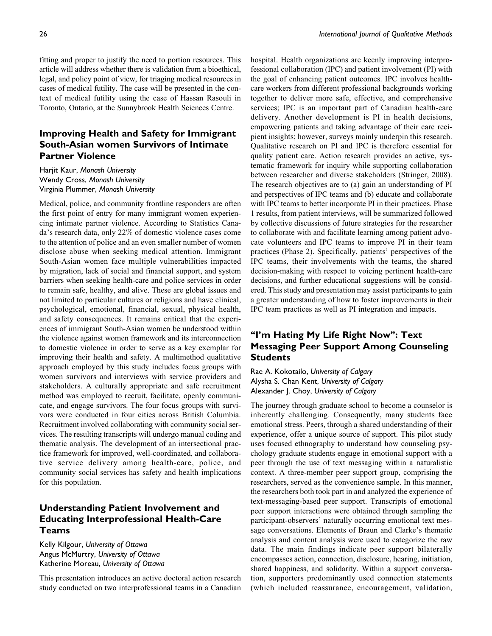fitting and proper to justify the need to portion resources. This article will address whether there is validation from a bioethical, legal, and policy point of view, for triaging medical resources in cases of medical futility. The case will be presented in the context of medical futility using the case of Hassan Rasouli in Toronto, Ontario, at the Sunnybrook Health Sciences Centre.

## Improving Health and Safety for Immigrant South-Asian women Survivors of Intimate Partner Violence

Harjit Kaur, Monash University Wendy Cross, Monash University Virginia Plummer, Monash University

Medical, police, and community frontline responders are often the first point of entry for many immigrant women experiencing intimate partner violence. According to Statistics Canada's research data, only 22% of domestic violence cases come to the attention of police and an even smaller number of women disclose abuse when seeking medical attention. Immigrant South-Asian women face multiple vulnerabilities impacted by migration, lack of social and financial support, and system barriers when seeking health-care and police services in order to remain safe, healthy, and alive. These are global issues and not limited to particular cultures or religions and have clinical, psychological, emotional, financial, sexual, physical health, and safety consequences. It remains critical that the experiences of immigrant South-Asian women be understood within the violence against women framework and its interconnection to domestic violence in order to serve as a key exemplar for improving their health and safety. A multimethod qualitative approach employed by this study includes focus groups with women survivors and interviews with service providers and stakeholders. A culturally appropriate and safe recruitment method was employed to recruit, facilitate, openly communicate, and engage survivors. The four focus groups with survivors were conducted in four cities across British Columbia. Recruitment involved collaborating with community social services. The resulting transcripts will undergo manual coding and thematic analysis. The development of an intersectional practice framework for improved, well-coordinated, and collaborative service delivery among health-care, police, and community social services has safety and health implications for this population.

## Understanding Patient Involvement and Educating Interprofessional Health-Care Teams

Kelly Kilgour, University of Ottawa Angus McMurtry, University of Ottawa Katherine Moreau, University of Ottawa

This presentation introduces an active doctoral action research study conducted on two interprofessional teams in a Canadian hospital. Health organizations are keenly improving interprofessional collaboration (IPC) and patient involvement (PI) with the goal of enhancing patient outcomes. IPC involves healthcare workers from different professional backgrounds working together to deliver more safe, effective, and comprehensive services; IPC is an important part of Canadian health-care delivery. Another development is PI in health decisions, empowering patients and taking advantage of their care recipient insights; however, surveys mainly underpin this research. Qualitative research on PI and IPC is therefore essential for quality patient care. Action research provides an active, systematic framework for inquiry while supporting collaboration between researcher and diverse stakeholders (Stringer, 2008). The research objectives are to (a) gain an understanding of PI and perspectives of IPC teams and (b) educate and collaborate with IPC teams to better incorporate PI in their practices. Phase 1 results, from patient interviews, will be summarized followed by collective discussions of future strategies for the researcher to collaborate with and facilitate learning among patient advocate volunteers and IPC teams to improve PI in their team practices (Phase 2). Specifically, patients' perspectives of the IPC teams, their involvements with the teams, the shared decision-making with respect to voicing pertinent health-care decisions, and further educational suggestions will be considered. This study and presentation may assist participants to gain a greater understanding of how to foster improvements in their IPC team practices as well as PI integration and impacts.

# "I'm Hating My Life Right Now": Text Messaging Peer Support Among Counseling Students

Rae A. Kokotailo, University of Calgary Alysha S. Chan Kent, University of Calgary Alexander J. Choy, University of Calgary

The journey through graduate school to become a counselor is inherently challenging. Consequently, many students face emotional stress. Peers, through a shared understanding of their experience, offer a unique source of support. This pilot study uses focused ethnography to understand how counseling psychology graduate students engage in emotional support with a peer through the use of text messaging within a naturalistic context. A three-member peer support group, comprising the researchers, served as the convenience sample. In this manner, the researchers both took part in and analyzed the experience of text-messaging-based peer support. Transcripts of emotional peer support interactions were obtained through sampling the participant-observers' naturally occurring emotional text message conversations. Elements of Braun and Clarke's thematic analysis and content analysis were used to categorize the raw data. The main findings indicate peer support bilaterally encompasses action, connection, disclosure, hearing, initiation, shared happiness, and solidarity. Within a support conversation, supporters predominantly used connection statements (which included reassurance, encouragement, validation,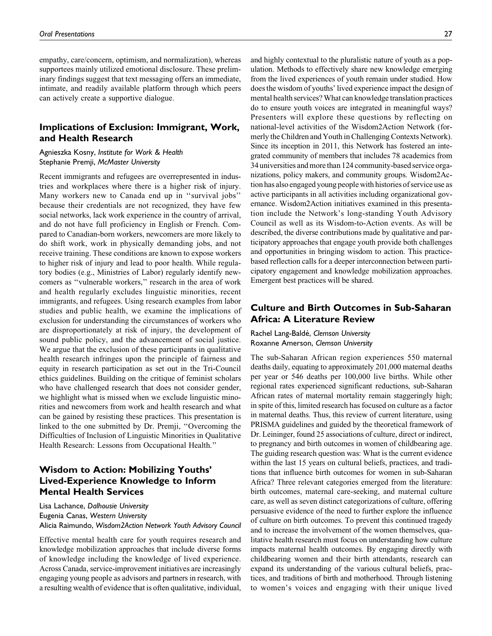empathy, care/concern, optimism, and normalization), whereas supportees mainly utilized emotional disclosure. These preliminary findings suggest that text messaging offers an immediate, intimate, and readily available platform through which peers can actively create a supportive dialogue.

## Implications of Exclusion: Immigrant, Work, and Health Research

## Agnieszka Kosny, Institute for Work & Health Stephanie Premji, McMaster University

Recent immigrants and refugees are overrepresented in industries and workplaces where there is a higher risk of injury. Many workers new to Canada end up in ''survival jobs'' because their credentials are not recognized, they have few social networks, lack work experience in the country of arrival, and do not have full proficiency in English or French. Compared to Canadian-born workers, newcomers are more likely to do shift work, work in physically demanding jobs, and not receive training. These conditions are known to expose workers to higher risk of injury and lead to poor health. While regulatory bodies (e.g., Ministries of Labor) regularly identify newcomers as ''vulnerable workers,'' research in the area of work and health regularly excludes linguistic minorities, recent immigrants, and refugees. Using research examples from labor studies and public health, we examine the implications of exclusion for understanding the circumstances of workers who are disproportionately at risk of injury, the development of sound public policy, and the advancement of social justice. We argue that the exclusion of these participants in qualitative health research infringes upon the principle of fairness and equity in research participation as set out in the Tri-Council ethics guidelines. Building on the critique of feminist scholars who have challenged research that does not consider gender, we highlight what is missed when we exclude linguistic minorities and newcomers from work and health research and what can be gained by resisting these practices. This presentation is linked to the one submitted by Dr. Premji, ''Overcoming the Difficulties of Inclusion of Linguistic Minorities in Qualitative Health Research: Lessons from Occupational Health.''

## Wisdom to Action: Mobilizing Youths' Lived-Experience Knowledge to Inform Mental Health Services

Lisa Lachance, Dalhousie University Eugenia Canas, Western University Alicia Raimundo, Wisdom2Action Network Youth Advisory Council

Effective mental health care for youth requires research and knowledge mobilization approaches that include diverse forms of knowledge including the knowledge of lived experience. Across Canada, service-improvement initiatives are increasingly engaging young people as advisors and partners in research, with a resulting wealth of evidence that is often qualitative, individual, and highly contextual to the pluralistic nature of youth as a population. Methods to effectively share new knowledge emerging from the lived experiences of youth remain under studied. How does the wisdom of youths' lived experience impact the design of mental health services? What can knowledge translation practices do to ensure youth voices are integrated in meaningful ways? Presenters will explore these questions by reflecting on national-level activities of the Wisdom2Action Network (formerly the Children and Youth in Challenging Contexts Network). Since its inception in 2011, this Network has fostered an integrated community of members that includes 78 academics from 34 universities and morethan 124 community-based service organizations, policy makers, and community groups. Wisdom2Action has also engaged young people with histories of service use as active participants in all activities including organizational governance. Wisdom2Action initiatives examined in this presentation include the Network's long-standing Youth Advisory Council as well as its Wisdom-to-Action events. As will be described, the diverse contributions made by qualitative and participatory approaches that engage youth provide both challenges and opportunities in bringing wisdom to action. This practicebased reflection calls for a deeper interconnection between participatory engagement and knowledge mobilization approaches. Emergent best practices will be shared.

## Culture and Birth Outcomes in Sub-Saharan Africa: A Literature Review

Rachel Lang-Baldé, Clemson University Roxanne Amerson, Clemson University

The sub-Saharan African region experiences 550 maternal deaths daily, equating to approximately 201,000 maternal deaths per year or 546 deaths per 100,000 live births. While other regional rates experienced significant reductions, sub-Saharan African rates of maternal mortality remain staggeringly high; in spite of this, limited research has focused on culture as a factor in maternal deaths. Thus, this review of current literature, using PRISMA guidelines and guided by the theoretical framework of Dr. Leininger, found 25 associations of culture, direct or indirect, to pregnancy and birth outcomes in women of childbearing age. The guiding research question was: What is the current evidence within the last 15 years on cultural beliefs, practices, and traditions that influence birth outcomes for women in sub-Saharan Africa? Three relevant categories emerged from the literature: birth outcomes, maternal care-seeking, and maternal culture care, as well as seven distinct categorizations of culture, offering persuasive evidence of the need to further explore the influence of culture on birth outcomes. To prevent this continued tragedy and to increase the involvement of the women themselves, qualitative health research must focus on understanding how culture impacts maternal health outcomes. By engaging directly with childbearing women and their birth attendants, research can expand its understanding of the various cultural beliefs, practices, and traditions of birth and motherhood. Through listening to women's voices and engaging with their unique lived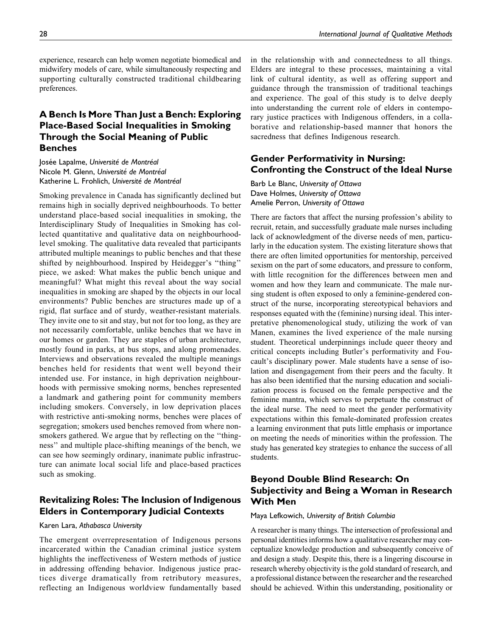experience, research can help women negotiate biomedical and midwifery models of care, while simultaneously respecting and supporting culturally constructed traditional childbearing preferences.

# A Bench Is More Than Just a Bench: Exploring Place-Based Social Inequalities in Smoking Through the Social Meaning of Public Benches

Josée Lapalme, Université de Montréal Nicole M. Glenn, Université de Montréal Katherine L. Frohlich, Université de Montréal

Smoking prevalence in Canada has significantly declined but remains high in socially deprived neighbourhoods. To better understand place-based social inequalities in smoking, the Interdisciplinary Study of Inequalities in Smoking has collected quantitative and qualitative data on neighbourhoodlevel smoking. The qualitative data revealed that participants attributed multiple meanings to public benches and that these shifted by neighbourhood. Inspired by Heidegger's ''thing'' piece, we asked: What makes the public bench unique and meaningful? What might this reveal about the way social inequalities in smoking are shaped by the objects in our local environments? Public benches are structures made up of a rigid, flat surface and of sturdy, weather-resistant materials. They invite one to sit and stay, but not for too long, as they are not necessarily comfortable, unlike benches that we have in our homes or garden. They are staples of urban architecture, mostly found in parks, at bus stops, and along promenades. Interviews and observations revealed the multiple meanings benches held for residents that went well beyond their intended use. For instance, in high deprivation neighbourhoods with permissive smoking norms, benches represented a landmark and gathering point for community members including smokers. Conversely, in low deprivation places with restrictive anti-smoking norms, benches were places of segregation; smokers used benches removed from where nonsmokers gathered. We argue that by reflecting on the ''thingness'' and multiple place-shifting meanings of the bench, we can see how seemingly ordinary, inanimate public infrastructure can animate local social life and place-based practices such as smoking.

## Revitalizing Roles: The Inclusion of Indigenous Elders in Contemporary Judicial Contexts

#### Karen Lara, Athabasca University

The emergent overrepresentation of Indigenous persons incarcerated within the Canadian criminal justice system highlights the ineffectiveness of Western methods of justice in addressing offending behavior. Indigenous justice practices diverge dramatically from retributory measures, reflecting an Indigenous worldview fundamentally based in the relationship with and connectedness to all things. Elders are integral to these processes, maintaining a vital link of cultural identity, as well as offering support and guidance through the transmission of traditional teachings and experience. The goal of this study is to delve deeply into understanding the current role of elders in contemporary justice practices with Indigenous offenders, in a collaborative and relationship-based manner that honors the sacredness that defines Indigenous research.

# Gender Performativity in Nursing: Confronting the Construct of the Ideal Nurse

Barb Le Blanc, University of Ottawa Dave Holmes, University of Ottawa Amelie Perron, University of Ottawa

There are factors that affect the nursing profession's ability to recruit, retain, and successfully graduate male nurses including lack of acknowledgment of the diverse needs of men, particularly in the education system. The existing literature shows that there are often limited opportunities for mentorship, perceived sexism on the part of some educators, and pressure to conform, with little recognition for the differences between men and women and how they learn and communicate. The male nursing student is often exposed to only a feminine-gendered construct of the nurse, incorporating stereotypical behaviors and responses equated with the (feminine) nursing ideal. This interpretative phenomenological study, utilizing the work of van Manen, examines the lived experience of the male nursing student. Theoretical underpinnings include queer theory and critical concepts including Butler's performativity and Foucault's disciplinary power. Male students have a sense of isolation and disengagement from their peers and the faculty. It has also been identified that the nursing education and socialization process is focused on the female perspective and the feminine mantra, which serves to perpetuate the construct of the ideal nurse. The need to meet the gender performativity expectations within this female-dominated profession creates a learning environment that puts little emphasis or importance on meeting the needs of minorities within the profession. The study has generated key strategies to enhance the success of all students.

## Beyond Double Blind Research: On Subjectivity and Being a Woman in Research With Men

#### Maya Lefkowich, University of British Columbia

A researcher is many things. The intersection of professional and personal identities informs how a qualitative researcher may conceptualize knowledge production and subsequently conceive of and design a study. Despite this, there is a lingering discourse in research whereby objectivity is the gold standard of research, and a professional distance between the researcher and the researched should be achieved. Within this understanding, positionality or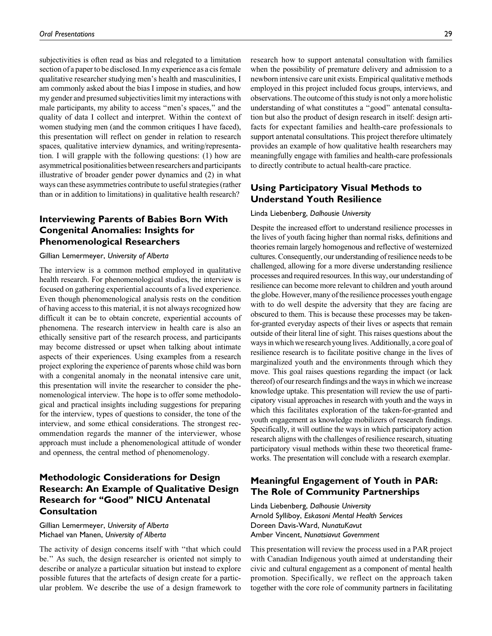subjectivities is often read as bias and relegated to a limitation section of a paper to be disclosed. In my experience as a cis female qualitative researcher studying men's health and masculinities, I am commonly asked about the bias I impose in studies, and how my gender and presumed subjectivities limit my interactions with male participants, my ability to access "men's spaces," and the quality of data I collect and interpret. Within the context of women studying men (and the common critiques I have faced), this presentation will reflect on gender in relation to research spaces, qualitative interview dynamics, and writing/representation. I will grapple with the following questions: (1) how are asymmetrical positionalities between researchers and participants illustrative of broader gender power dynamics and (2) in what ways can these asymmetries contribute to useful strategies (rather than or in addition to limitations) in qualitative health research?

## Interviewing Parents of Babies Born With Congenital Anomalies: Insights for Phenomenological Researchers

#### Gillian Lemermeyer, University of Alberta

The interview is a common method employed in qualitative health research. For phenomenological studies, the interview is focused on gathering experiential accounts of a lived experience. Even though phenomenological analysis rests on the condition of having access to this material, it is not always recognized how difficult it can be to obtain concrete, experiential accounts of phenomena. The research interview in health care is also an ethically sensitive part of the research process, and participants may become distressed or upset when talking about intimate aspects of their experiences. Using examples from a research project exploring the experience of parents whose child was born with a congenital anomaly in the neonatal intensive care unit, this presentation will invite the researcher to consider the phenomenological interview. The hope is to offer some methodological and practical insights including suggestions for preparing for the interview, types of questions to consider, the tone of the interview, and some ethical considerations. The strongest recommendation regards the manner of the interviewer, whose approach must include a phenomenological attitude of wonder and openness, the central method of phenomenology.

# Methodologic Considerations for Design Research: An Example of Qualitative Design Research for "Good" NICU Antenatal Consultation

Gillian Lemermeyer, University of Alberta Michael van Manen, University of Alberta

The activity of design concerns itself with ''that which could be.'' As such, the design researcher is oriented not simply to describe or analyze a particular situation but instead to explore possible futures that the artefacts of design create for a particular problem. We describe the use of a design framework to

research how to support antenatal consultation with families when the possibility of premature delivery and admission to a newborn intensive care unit exists. Empirical qualitative methods employed in this project included focus groups, interviews, and observations. The outcome of this study is not only a more holistic understanding of what constitutes a ''good'' antenatal consultation but also the product of design research in itself: design artifacts for expectant families and health-care professionals to support antenatal consultations. This project therefore ultimately provides an example of how qualitative health researchers may meaningfully engage with families and health-care professionals to directly contribute to actual health-care practice.

## Using Participatory Visual Methods to Understand Youth Resilience

#### Linda Liebenberg, Dalhousie University

Despite the increased effort to understand resilience processes in the lives of youth facing higher than normal risks, definitions and theories remain largely homogenous and reflective of westernized cultures. Consequently, our understanding of resilience needs to be challenged, allowing for a more diverse understanding resilience processes and required resources. In this way, our understanding of resilience can become more relevant to children and youth around the globe. However, many of the resilience processes youth engage with to do well despite the adversity that they are facing are obscured to them. This is because these processes may be takenfor-granted everyday aspects of their lives or aspects that remain outside of their literal line of sight. This raises questions about the ways in which we research young lives. Additionally, a core goal of resilience research is to facilitate positive change in the lives of marginalized youth and the environments through which they move. This goal raises questions regarding the impact (or lack thereof) of our research findings and the ways in which we increase knowledge uptake. This presentation will review the use of participatory visual approaches in research with youth and the ways in which this facilitates exploration of the taken-for-granted and youth engagement as knowledge mobilizers of research findings. Specifically, it will outline the ways in which participatory action research aligns with the challenges of resilience research, situating participatory visual methods within these two theoretical frameworks. The presentation will conclude with a research exemplar.

## Meaningful Engagement of Youth in PAR: The Role of Community Partnerships

Linda Liebenberg, Dalhousie University Arnold Sylliboy, Eskasoni Mental Health Services Doreen Davis-Ward, NunatuKavut Amber Vincent, Nunatsiavut Government

This presentation will review the process used in a PAR project with Canadian Indigenous youth aimed at understanding their civic and cultural engagement as a component of mental health promotion. Specifically, we reflect on the approach taken together with the core role of community partners in facilitating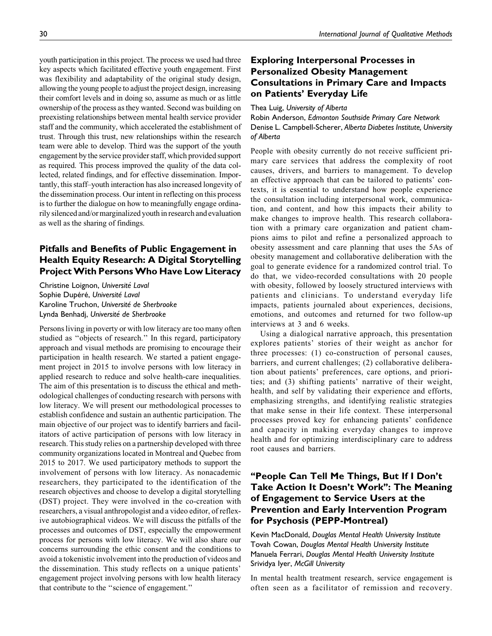youth participation in this project. The process we used had three key aspects which facilitated effective youth engagement. First was flexibility and adaptability of the original study design, allowing the young people to adjust the project design, increasing their comfort levels and in doing so, assume as much or as little ownership of the process as they wanted. Second was building on preexisting relationships between mental health service provider staff and the community, which accelerated the establishment of trust. Through this trust, new relationships within the research team were able to develop. Third was the support of the youth engagement by the service provider staff, which provided support as required. This process improved the quality of the data collected, related findings, and for effective dissemination. Importantly, this staff–youth interaction has also increased longevity of the dissemination process. Our intent in reflecting on this process is to further the dialogue on how to meaningfully engage ordinarily silenced and/or marginalized youth in research and evaluation as well as the sharing of findings.

# Pitfalls and Benefits of Public Engagement in Health Equity Research: A Digital Storytelling ProjectWith PersonsWho Have Low Literacy

Christine Loignon, Université Laval Sophie Dupéré, Université Laval Karoline Truchon, Université de Sherbrooke Lynda Benhadj, Université de Sherbrooke

Persons living in poverty or with low literacy are too many often studied as ''objects of research.'' In this regard, participatory approach and visual methods are promising to encourage their participation in health research. We started a patient engagement project in 2015 to involve persons with low literacy in applied research to reduce and solve health-care inequalities. The aim of this presentation is to discuss the ethical and methodological challenges of conducting research with persons with low literacy. We will present our methodological processes to establish confidence and sustain an authentic participation. The main objective of our project was to identify barriers and facilitators of active participation of persons with low literacy in research. This study relies on a partnership developed with three community organizations located in Montreal and Quebec from 2015 to 2017. We used participatory methods to support the involvement of persons with low literacy. As nonacademic researchers, they participated to the identification of the research objectives and choose to develop a digital storytelling (DST) project. They were involved in the co-creation with researchers, a visual anthropologist and a video editor, of reflexive autobiographical videos. We will discuss the pitfalls of the processes and outcomes of DST, especially the empowerment process for persons with low literacy. We will also share our concerns surrounding the ethic consent and the conditions to avoid a tokenistic involvement into the production of videos and the dissemination. This study reflects on a unique patients' engagement project involving persons with low health literacy that contribute to the ''science of engagement.''

## Exploring Interpersonal Processes in Personalized Obesity Management Consultations in Primary Care and Impacts on Patients' Everyday Life

Thea Luig, University of Alberta

Robin Anderson, Edmonton Southside Primary Care Network Denise L. Campbell-Scherer, Alberta Diabetes Institute, University of Alberta

People with obesity currently do not receive sufficient primary care services that address the complexity of root causes, drivers, and barriers to management. To develop an effective approach that can be tailored to patients' contexts, it is essential to understand how people experience the consultation including interpersonal work, communication, and content, and how this impacts their ability to make changes to improve health. This research collaboration with a primary care organization and patient champions aims to pilot and refine a personalized approach to obesity assessment and care planning that uses the 5As of obesity management and collaborative deliberation with the goal to generate evidence for a randomized control trial. To do that, we video-recorded consultations with 20 people with obesity, followed by loosely structured interviews with patients and clinicians. To understand everyday life impacts, patients journaled about experiences, decisions, emotions, and outcomes and returned for two follow-up interviews at 3 and 6 weeks.

Using a dialogical narrative approach, this presentation explores patients' stories of their weight as anchor for three processes: (1) co-construction of personal causes, barriers, and current challenges; (2) collaborative deliberation about patients' preferences, care options, and priorities; and (3) shifting patients' narrative of their weight, health, and self by validating their experience and efforts, emphasizing strengths, and identifying realistic strategies that make sense in their life context. These interpersonal processes proved key for enhancing patients' confidence and capacity in making everyday changes to improve health and for optimizing interdisciplinary care to address root causes and barriers.

# ''People Can Tell Me Things, But If I Don't Take Action It Doesn't Work'': The Meaning of Engagement to Service Users at the Prevention and Early Intervention Program for Psychosis (PEPP-Montreal)

Kevin MacDonald, Douglas Mental Health University Institute Tovah Cowan, Douglas Mental Health University Institute Manuela Ferrari, Douglas Mental Health University Institute Srividya Iyer, McGill University

In mental health treatment research, service engagement is often seen as a facilitator of remission and recovery.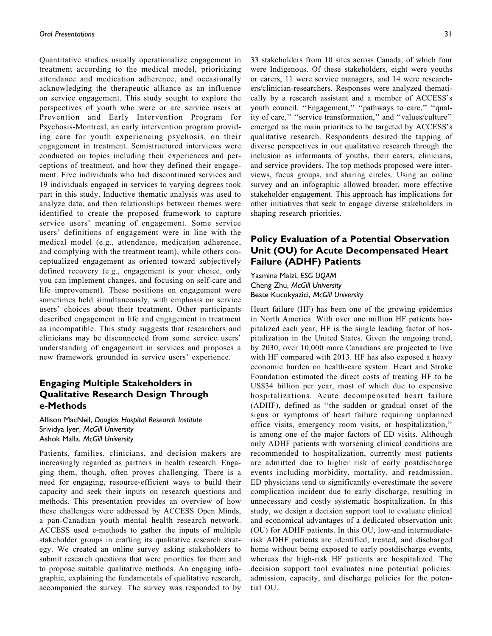Quantitative studies usually operationalize engagement in treatment according to the medical model, prioritizing attendance and medication adherence, and occasionally acknowledging the therapeutic alliance as an influence on service engagement. This study sought to explore the perspectives of youth who were or are service users at Prevention and Early Intervention Program for Psychosis-Montreal, an early intervention program providing care for youth experiencing psychosis, on their engagement in treatment. Semistructured interviews were conducted on topics including their experiences and perceptions of treatment, and how they defined their engagement. Five individuals who had discontinued services and 19 individuals engaged in services to varying degrees took part in this study. Inductive thematic analysis was used to analyze data, and then relationships between themes were identified to create the proposed framework to capture service users' meaning of engagement. Some service users' definitions of engagement were in line with the medical model (e.g., attendance, medication adherence, and complying with the treatment team), while others conceptualized engagement as oriented toward subjectively defined recovery (e.g., engagement is your choice, only you can implement changes, and focusing on self-care and life improvement). These positions on engagement were sometimes held simultaneously, with emphasis on service users' choices about their treatment. Other participants described engagement in life and engagement in treatment as incompatible. This study suggests that researchers and clinicians may be disconnected from some service users' understanding of engagement in services and proposes a new framework grounded in service users' experience.

## Engaging Multiple Stakeholders in Qualitative Research Design Through e-Methods

Allison MacNeil, Douglas Hospital Research Institute Srividya Iyer, McGill University Ashok Malla, McGill University

Patients, families, clinicians, and decision makers are increasingly regarded as partners in health research. Engaging them, though, often proves challenging. There is a need for engaging, resource-efficient ways to build their capacity and seek their inputs on research questions and methods. This presentation provides an overview of how these challenges were addressed by ACCESS Open Minds, a pan-Canadian youth mental health research network. ACCESS used e-methods to gather the inputs of multiple stakeholder groups in crafting its qualitative research strategy. We created an online survey asking stakeholders to submit research questions that were priorities for them and to propose suitable qualitative methods. An engaging infographic, explaining the fundamentals of qualitative research, accompanied the survey. The survey was responded to by

33 stakeholders from 10 sites across Canada, of which four were Indigenous. Of these stakeholders, eight were youths or carers, 11 were service managers, and 14 were researchers/clinician-researchers. Responses were analyzed thematically by a research assistant and a member of ACCESS's youth council. "Engagement," "pathways to care," "quality of care," "service transformation," and "values/culture" emerged as the main priorities to be targeted by ACCESS's qualitative research. Respondents desired the tapping of diverse perspectives in our qualitative research through the inclusion as informants of youths, their carers, clinicians, and service providers. The top methods proposed were interviews, focus groups, and sharing circles. Using an online survey and an infographic allowed broader, more effective stakeholder engagement. This approach has implications for other initiatives that seek to engage diverse stakeholders in shaping research priorities.

# Policy Evaluation of a Potential Observation Unit (OU) for Acute Decompensated Heart Failure (ADHF) Patients

Yasmina Maizi, ESG UQAM Cheng Zhu, McGill University Beste Kucukyazici, McGill University

Heart failure (HF) has been one of the growing epidemics in North America. With over one million HF patients hospitalized each year, HF is the single leading factor of hospitalization in the United States. Given the ongoing trend, by 2030, over 10,000 more Canadians are projected to live with HF compared with 2013. HF has also exposed a heavy economic burden on health-care system. Heart and Stroke Foundation estimated the direct costs of treating HF to be US\$34 billion per year, most of which due to expensive hospitalizations. Acute decompensated heart failure (ADHF), defined as ''the sudden or gradual onset of the signs or symptoms of heart failure requiring unplanned office visits, emergency room visits, or hospitalization,'' is among one of the major factors of ED visits. Although only ADHF patients with worsening clinical conditions are recommended to hospitalization, currently most patients are admitted due to higher risk of early postdischarge events including morbidity, mortality, and readmission. ED physicians tend to significantly overestimate the severe complication incident due to early discharge, resulting in unnecessary and costly systematic hospitalization. In this study, we design a decision support tool to evaluate clinical and economical advantages of a dedicated observation unit (OU) for ADHF patients. In this OU, low-and intermediaterisk ADHF patients are identified, treated, and discharged home without being exposed to early postdischarge events, whereas the high-risk HF patients are hospitalized. The decision support tool evaluates nine potential policies: admission, capacity, and discharge policies for the potential OU.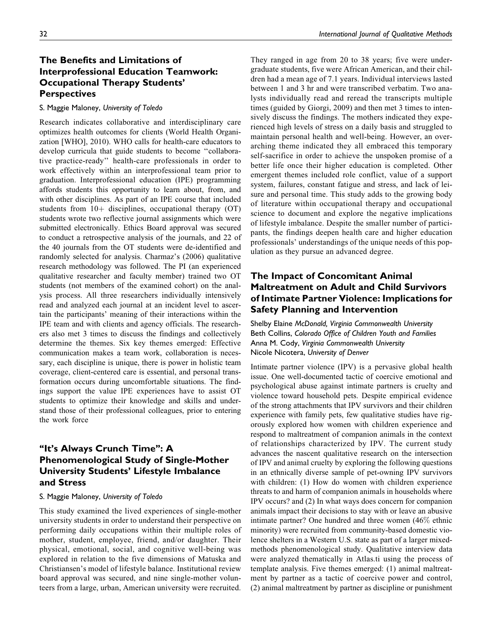# The Benefits and Limitations of Interprofessional Education Teamwork: Occupational Therapy Students' **Perspectives**

## S. Maggie Maloney, University of Toledo

Research indicates collaborative and interdisciplinary care optimizes health outcomes for clients (World Health Organization [WHO], 2010). WHO calls for health-care educators to develop curricula that guide students to become ''collaborative practice-ready'' health-care professionals in order to work effectively within an interprofessional team prior to graduation. Interprofessional education (IPE) programming affords students this opportunity to learn about, from, and with other disciplines. As part of an IPE course that included students from  $10+$  disciplines, occupational therapy (OT) students wrote two reflective journal assignments which were submitted electronically. Ethics Board approval was secured to conduct a retrospective analysis of the journals, and 22 of the 40 journals from the OT students were de-identified and randomly selected for analysis. Charmaz's (2006) qualitative research methodology was followed. The PI (an experienced qualitative researcher and faculty member) trained two OT students (not members of the examined cohort) on the analysis process. All three researchers individually intensively read and analyzed each journal at an incident level to ascertain the participants' meaning of their interactions within the IPE team and with clients and agency officials. The researchers also met 3 times to discuss the findings and collectively determine the themes. Six key themes emerged: Effective communication makes a team work, collaboration is necessary, each discipline is unique, there is power in holistic team coverage, client-centered care is essential, and personal transformation occurs during uncomfortable situations. The findings support the value IPE experiences have to assist OT students to optimize their knowledge and skills and understand those of their professional colleagues, prior to entering the work force

# "It's Always Crunch Time": A Phenomenological Study of Single-Mother University Students' Lifestyle Imbalance and Stress

#### S. Maggie Maloney, University of Toledo

This study examined the lived experiences of single-mother university students in order to understand their perspective on performing daily occupations within their multiple roles of mother, student, employee, friend, and/or daughter. Their physical, emotional, social, and cognitive well-being was explored in relation to the five dimensions of Matuska and Christiansen's model of lifestyle balance. Institutional review board approval was secured, and nine single-mother volunteers from a large, urban, American university were recruited.

They ranged in age from 20 to 38 years; five were undergraduate students, five were African American, and their children had a mean age of 7.1 years. Individual interviews lasted between 1 and 3 hr and were transcribed verbatim. Two analysts individually read and reread the transcripts multiple times (guided by Giorgi, 2009) and then met 3 times to intensively discuss the findings. The mothers indicated they experienced high levels of stress on a daily basis and struggled to maintain personal health and well-being. However, an overarching theme indicated they all embraced this temporary self-sacrifice in order to achieve the unspoken promise of a better life once their higher education is completed. Other emergent themes included role conflict, value of a support system, failures, constant fatigue and stress, and lack of leisure and personal time. This study adds to the growing body of literature within occupational therapy and occupational science to document and explore the negative implications of lifestyle imbalance. Despite the smaller number of participants, the findings deepen health care and higher education professionals' understandings of the unique needs of this population as they pursue an advanced degree.

## The Impact of Concomitant Animal Maltreatment on Adult and Child Survivors of Intimate Partner Violence: Implications for Safety Planning and Intervention

Shelby Elaine McDonald, Virginia Commonwealth University Beth Collins, Colorado Office of Children Youth and Families Anna M. Cody, Virginia Commonwealth University Nicole Nicotera, University of Denver

Intimate partner violence (IPV) is a pervasive global health issue. One well-documented tactic of coercive emotional and psychological abuse against intimate partners is cruelty and violence toward household pets. Despite empirical evidence of the strong attachments that IPV survivors and their children experience with family pets, few qualitative studies have rigorously explored how women with children experience and respond to maltreatment of companion animals in the context of relationships characterized by IPV. The current study advances the nascent qualitative research on the intersection of IPV and animal cruelty by exploring the following questions in an ethnically diverse sample of pet-owning IPV survivors with children: (1) How do women with children experience threats to and harm of companion animals in households where IPV occurs? and (2) In what ways does concern for companion animals impact their decisions to stay with or leave an abusive intimate partner? One hundred and three women (46% ethnic minority) were recruited from community-based domestic violence shelters in a Western U.S. state as part of a larger mixedmethods phenomenological study. Qualitative interview data were analyzed thematically in Atlas.ti using the process of template analysis. Five themes emerged: (1) animal maltreatment by partner as a tactic of coercive power and control, (2) animal maltreatment by partner as discipline or punishment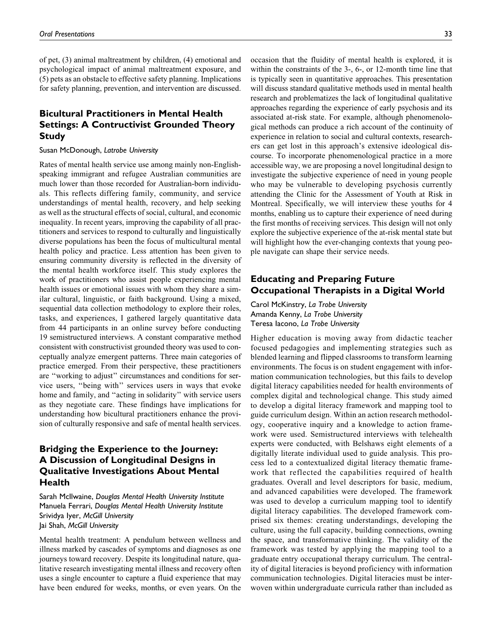of pet, (3) animal maltreatment by children, (4) emotional and psychological impact of animal maltreatment exposure, and (5) pets as an obstacle to effective safety planning. Implications for safety planning, prevention, and intervention are discussed.

## Bicultural Practitioners in Mental Health Settings: A Contructivist Grounded Theory **Study**

#### Susan McDonough, Latrobe University

Rates of mental health service use among mainly non-Englishspeaking immigrant and refugee Australian communities are much lower than those recorded for Australian-born individuals. This reflects differing family, community, and service understandings of mental health, recovery, and help seeking as well as the structural effects of social, cultural, and economic inequality. In recent years, improving the capability of all practitioners and services to respond to culturally and linguistically diverse populations has been the focus of multicultural mental health policy and practice. Less attention has been given to ensuring community diversity is reflected in the diversity of the mental health workforce itself. This study explores the work of practitioners who assist people experiencing mental health issues or emotional issues with whom they share a similar cultural, linguistic, or faith background. Using a mixed, sequential data collection methodology to explore their roles, tasks, and experiences, I gathered largely quantitative data from 44 participants in an online survey before conducting 19 semistructured interviews. A constant comparative method consistent with constructivist grounded theory was used to conceptually analyze emergent patterns. Three main categories of practice emerged. From their perspective, these practitioners are ''working to adjust'' circumstances and conditions for service users, ''being with'' services users in ways that evoke home and family, and "acting in solidarity" with service users as they negotiate care. These findings have implications for understanding how bicultural practitioners enhance the provision of culturally responsive and safe of mental health services.

# Bridging the Experience to the Journey: A Discussion of Longitudinal Designs in Qualitative Investigations About Mental **Health**

Sarah McIlwaine, Douglas Mental Health University Institute Manuela Ferrari, Douglas Mental Health University Institute Srividya Iyer, McGill University Jai Shah, McGill University

Mental health treatment: A pendulum between wellness and illness marked by cascades of symptoms and diagnoses as one journeys toward recovery. Despite its longitudinal nature, qualitative research investigating mental illness and recovery often uses a single encounter to capture a fluid experience that may have been endured for weeks, months, or even years. On the occasion that the fluidity of mental health is explored, it is within the constraints of the 3-, 6-, or 12-month time line that is typically seen in quantitative approaches. This presentation will discuss standard qualitative methods used in mental health research and problematizes the lack of longitudinal qualitative approaches regarding the experience of early psychosis and its associated at-risk state. For example, although phenomenological methods can produce a rich account of the continuity of experience in relation to social and cultural contexts, researchers can get lost in this approach's extensive ideological discourse. To incorporate phenomenological practice in a more accessible way, we are proposing a novel longitudinal design to investigate the subjective experience of need in young people who may be vulnerable to developing psychosis currently attending the Clinic for the Assessment of Youth at Risk in Montreal. Specifically, we will interview these youths for 4 months, enabling us to capture their experience of need during the first months of receiving services. This design will not only explore the subjective experience of the at-risk mental state but will highlight how the ever-changing contexts that young people navigate can shape their service needs.

## Educating and Preparing Future Occupational Therapists in a Digital World

Carol McKinstry, La Trobe University Amanda Kenny, La Trobe University Teresa Iacono, La Trobe University

Higher education is moving away from didactic teacher focused pedagogies and implementing strategies such as blended learning and flipped classrooms to transform learning environments. The focus is on student engagement with information communication technologies, but this fails to develop digital literacy capabilities needed for health environments of complex digital and technological change. This study aimed to develop a digital literacy framework and mapping tool to guide curriculum design. Within an action research methodology, cooperative inquiry and a knowledge to action framework were used. Semistructured interviews with telehealth experts were conducted, with Belshaws eight elements of a digitally literate individual used to guide analysis. This process led to a contextualized digital literacy thematic framework that reflected the capabilities required of health graduates. Overall and level descriptors for basic, medium, and advanced capabilities were developed. The framework was used to develop a curriculum mapping tool to identify digital literacy capabilities. The developed framework comprised six themes: creating understandings, developing the culture, using the full capacity, building connections, owning the space, and transformative thinking. The validity of the framework was tested by applying the mapping tool to a graduate entry occupational therapy curriculum. The centrality of digital literacies is beyond proficiency with information communication technologies. Digital literacies must be interwoven within undergraduate curricula rather than included as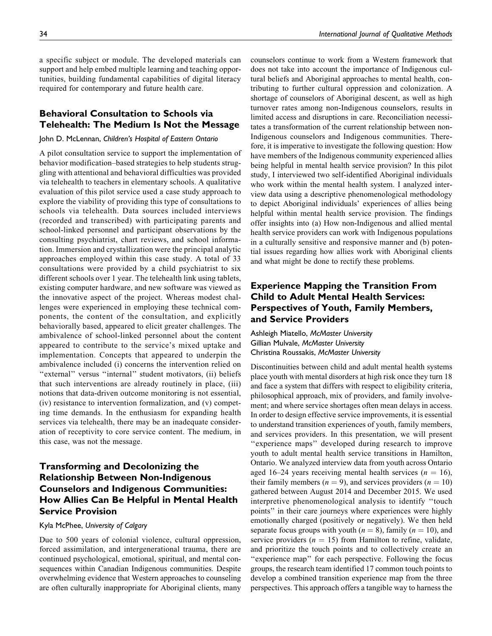a specific subject or module. The developed materials can support and help embed multiple learning and teaching opportunities, building fundamental capabilities of digital literacy required for contemporary and future health care.

## Behavioral Consultation to Schools via Telehealth: The Medium Is Not the Message

#### John D. McLennan, Children's Hospital of Eastern Ontario

A pilot consultation service to support the implementation of behavior modification–based strategies to help students struggling with attentional and behavioral difficulties was provided via telehealth to teachers in elementary schools. A qualitative evaluation of this pilot service used a case study approach to explore the viability of providing this type of consultations to schools via telehealth. Data sources included interviews (recorded and transcribed) with participating parents and school-linked personnel and participant observations by the consulting psychiatrist, chart reviews, and school information. Immersion and crystallization were the principal analytic approaches employed within this case study. A total of 33 consultations were provided by a child psychiatrist to six different schools over 1 year. The telehealth link using tablets, existing computer hardware, and new software was viewed as the innovative aspect of the project. Whereas modest challenges were experienced in employing these technical components, the content of the consultation, and explicitly behaviorally based, appeared to elicit greater challenges. The ambivalence of school-linked personnel about the content appeared to contribute to the service's mixed uptake and implementation. Concepts that appeared to underpin the ambivalence included (i) concerns the intervention relied on "external" versus "internal" student motivators, (ii) beliefs that such interventions are already routinely in place, (iii) notions that data-driven outcome monitoring is not essential, (iv) resistance to intervention formalization, and (v) competing time demands. In the enthusiasm for expanding health services via telehealth, there may be an inadequate consideration of receptivity to core service content. The medium, in this case, was not the message.

# Transforming and Decolonizing the Relationship Between Non-Indigenous Counselors and Indigenous Communities: How Allies Can Be Helpful in Mental Health Service Provision

## Kyla McPhee, University of Calgary

Due to 500 years of colonial violence, cultural oppression, forced assimilation, and intergenerational trauma, there are continued psychological, emotional, spiritual, and mental consequences within Canadian Indigenous communities. Despite overwhelming evidence that Western approaches to counseling are often culturally inappropriate for Aboriginal clients, many counselors continue to work from a Western framework that does not take into account the importance of Indigenous cultural beliefs and Aboriginal approaches to mental health, contributing to further cultural oppression and colonization. A shortage of counselors of Aboriginal descent, as well as high turnover rates among non-Indigenous counselors, results in limited access and disruptions in care. Reconciliation necessitates a transformation of the current relationship between non-Indigenous counselors and Indigenous communities. Therefore, it is imperative to investigate the following question: How have members of the Indigenous community experienced allies being helpful in mental health service provision? In this pilot study, I interviewed two self-identified Aboriginal individuals who work within the mental health system. I analyzed interview data using a descriptive phenomenological methodology to depict Aboriginal individuals' experiences of allies being helpful within mental health service provision. The findings offer insights into (a) How non-Indigenous and allied mental health service providers can work with Indigenous populations in a culturally sensitive and responsive manner and (b) potential issues regarding how allies work with Aboriginal clients and what might be done to rectify these problems.

## Experience Mapping the Transition From Child to Adult Mental Health Services: Perspectives of Youth, Family Members, and Service Providers

Ashleigh Miatello, McMaster University Gillian Mulvale, McMaster University Christina Roussakis, McMaster University

Discontinuities between child and adult mental health systems place youth with mental disorders at high risk once they turn 18 and face a system that differs with respect to eligibility criteria, philosophical approach, mix of providers, and family involvement; and where service shortages often mean delays in access. In order to design effective service improvements, it is essential to understand transition experiences of youth, family members, and services providers. In this presentation, we will present "experience maps" developed during research to improve youth to adult mental health service transitions in Hamilton, Ontario. We analyzed interview data from youth across Ontario aged 16–24 years receiving mental health services ( $n = 16$ ), their family members ( $n = 9$ ), and services providers ( $n = 10$ ) gathered between August 2014 and December 2015. We used interpretive phenomenological analysis to identify ''touch points'' in their care journeys where experiences were highly emotionally charged (positively or negatively). We then held separate focus groups with youth ( $n = 8$ ), family ( $n = 10$ ), and service providers ( $n = 15$ ) from Hamilton to refine, validate, and prioritize the touch points and to collectively create an "experience map" for each perspective. Following the focus groups, the research team identified 17 common touch points to develop a combined transition experience map from the three perspectives. This approach offers a tangible way to harness the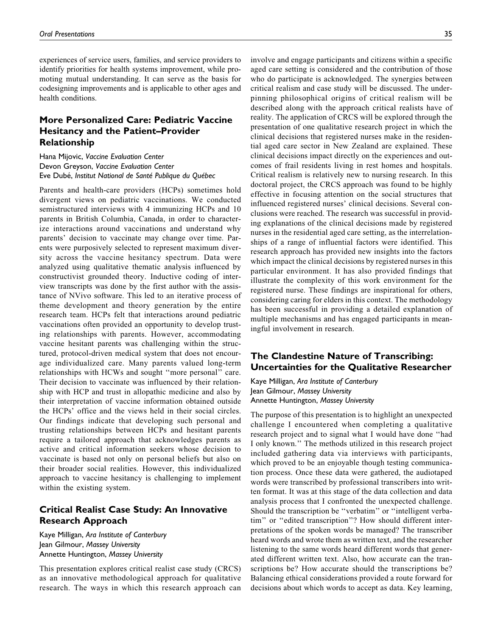experiences of service users, families, and service providers to identify priorities for health systems improvement, while promoting mutual understanding. It can serve as the basis for codesigning improvements and is applicable to other ages and health conditions.

# More Personalized Care: Pediatric Vaccine Hesitancy and the Patient–Provider Relationship

Hana Mijovic, Vaccine Evaluation Center Devon Greyson, Vaccine Evaluation Center Eve Dubé, Institut National de Santé Publique du Québec

Parents and health-care providers (HCPs) sometimes hold divergent views on pediatric vaccinations. We conducted semistructured interviews with 4 immunizing HCPs and 10 parents in British Columbia, Canada, in order to characterize interactions around vaccinations and understand why parents' decision to vaccinate may change over time. Parents were purposively selected to represent maximum diversity across the vaccine hesitancy spectrum. Data were analyzed using qualitative thematic analysis influenced by constructivist grounded theory. Inductive coding of interview transcripts was done by the first author with the assistance of NVivo software. This led to an iterative process of theme development and theory generation by the entire research team. HCPs felt that interactions around pediatric vaccinations often provided an opportunity to develop trusting relationships with parents. However, accommodating vaccine hesitant parents was challenging within the structured, protocol-driven medical system that does not encourage individualized care. Many parents valued long-term relationships with HCWs and sought ''more personal'' care. Their decision to vaccinate was influenced by their relationship with HCP and trust in allopathic medicine and also by their interpretation of vaccine information obtained outside the HCPs' office and the views held in their social circles. Our findings indicate that developing such personal and trusting relationships between HCPs and hesitant parents require a tailored approach that acknowledges parents as active and critical information seekers whose decision to vaccinate is based not only on personal beliefs but also on their broader social realities. However, this individualized approach to vaccine hesitancy is challenging to implement within the existing system.

## Critical Realist Case Study: An Innovative Research Approach

Kaye Milligan, Ara Institute of Canterbury Jean Gilmour, Massey University Annette Huntington, Massey University

This presentation explores critical realist case study (CRCS) as an innovative methodological approach for qualitative research. The ways in which this research approach can involve and engage participants and citizens within a specific aged care setting is considered and the contribution of those who do participate is acknowledged. The synergies between critical realism and case study will be discussed. The underpinning philosophical origins of critical realism will be described along with the approach critical realists have of reality. The application of CRCS will be explored through the presentation of one qualitative research project in which the clinical decisions that registered nurses make in the residential aged care sector in New Zealand are explained. These clinical decisions impact directly on the experiences and outcomes of frail residents living in rest homes and hospitals. Critical realism is relatively new to nursing research. In this doctoral project, the CRCS approach was found to be highly effective in focusing attention on the social structures that influenced registered nurses' clinical decisions. Several conclusions were reached. The research was successful in providing explanations of the clinical decisions made by registered nurses in the residential aged care setting, as the interrelationships of a range of influential factors were identified. This research approach has provided new insights into the factors which impact the clinical decisions by registered nurses in this particular environment. It has also provided findings that illustrate the complexity of this work environment for the registered nurse. These findings are inspirational for others, considering caring for elders in this context. The methodology has been successful in providing a detailed explanation of multiple mechanisms and has engaged participants in meaningful involvement in research.

## The Clandestine Nature of Transcribing: Uncertainties for the Qualitative Researcher

Kaye Milligan, Ara Institute of Canterbury Jean Gilmour, Massey University Annette Huntington, Massey University

The purpose of this presentation is to highlight an unexpected challenge I encountered when completing a qualitative research project and to signal what I would have done ''had I only known.'' The methods utilized in this research project included gathering data via interviews with participants, which proved to be an enjoyable though testing communication process. Once these data were gathered, the audiotaped words were transcribed by professional transcribers into written format. It was at this stage of the data collection and data analysis process that I confronted the unexpected challenge. Should the transcription be ''verbatim'' or ''intelligent verbatim'' or ''edited transcription''? How should different interpretations of the spoken words be managed? The transcriber heard words and wrote them as written text, and the researcher listening to the same words heard different words that generated different written text. Also, how accurate can the transcriptions be? How accurate should the transcriptions be? Balancing ethical considerations provided a route forward for decisions about which words to accept as data. Key learning,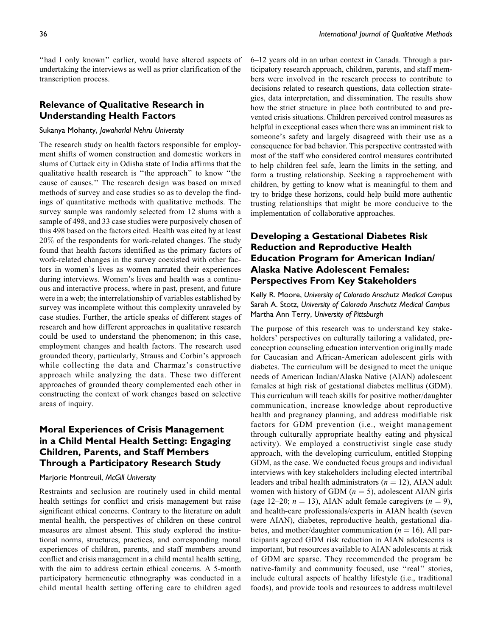"had I only known" earlier, would have altered aspects of undertaking the interviews as well as prior clarification of the transcription process.

## Relevance of Qualitative Research in Understanding Health Factors

#### Sukanya Mohanty, Jawaharlal Nehru University

The research study on health factors responsible for employment shifts of women construction and domestic workers in slums of Cuttack city in Odisha state of India affirms that the qualitative health research is ''the approach'' to know ''the cause of causes.'' The research design was based on mixed methods of survey and case studies so as to develop the findings of quantitative methods with qualitative methods. The survey sample was randomly selected from 12 slums with a sample of 498, and 33 case studies were purposively chosen of this 498 based on the factors cited. Health was cited by at least 20% of the respondents for work-related changes. The study found that health factors identified as the primary factors of work-related changes in the survey coexisted with other factors in women's lives as women narrated their experiences during interviews. Women's lives and health was a continuous and interactive process, where in past, present, and future were in a web; the interrelationship of variables established by survey was incomplete without this complexity unraveled by case studies. Further, the article speaks of different stages of research and how different approaches in qualitative research could be used to understand the phenomenon; in this case, employment changes and health factors. The research used grounded theory, particularly, Strauss and Corbin's approach while collecting the data and Charmaz's constructive approach while analyzing the data. These two different approaches of grounded theory complemented each other in constructing the context of work changes based on selective areas of inquiry.

## Moral Experiences of Crisis Management in a Child Mental Health Setting: Engaging Children, Parents, and Staff Members Through a Participatory Research Study

#### Marjorie Montreuil, McGill University

Restraints and seclusion are routinely used in child mental health settings for conflict and crisis management but raise significant ethical concerns. Contrary to the literature on adult mental health, the perspectives of children on these control measures are almost absent. This study explored the institutional norms, structures, practices, and corresponding moral experiences of children, parents, and staff members around conflict and crisis management in a child mental health setting, with the aim to address certain ethical concerns. A 5-month participatory hermeneutic ethnography was conducted in a child mental health setting offering care to children aged 6–12 years old in an urban context in Canada. Through a participatory research approach, children, parents, and staff members were involved in the research process to contribute to decisions related to research questions, data collection strategies, data interpretation, and dissemination. The results show how the strict structure in place both contributed to and prevented crisis situations. Children perceived control measures as helpful in exceptional cases when there was an imminent risk to someone's safety and largely disagreed with their use as a consequence for bad behavior. This perspective contrasted with most of the staff who considered control measures contributed to help children feel safe, learn the limits in the setting, and form a trusting relationship. Seeking a rapprochement with children, by getting to know what is meaningful to them and try to bridge these horizons, could help build more authentic trusting relationships that might be more conducive to the implementation of collaborative approaches.

# Developing a Gestational Diabetes Risk Reduction and Reproductive Health Education Program for American Indian/ Alaska Native Adolescent Females: Perspectives From Key Stakeholders

Kelly R. Moore, University of Colorado Anschutz Medical Campus Sarah A. Stotz, University of Colorado Anschutz Medical Campus Martha Ann Terry, University of Pittsburgh

The purpose of this research was to understand key stakeholders' perspectives on culturally tailoring a validated, preconception counseling education intervention originally made for Caucasian and African-American adolescent girls with diabetes. The curriculum will be designed to meet the unique needs of American Indian/Alaska Native (AIAN) adolescent females at high risk of gestational diabetes mellitus (GDM). This curriculum will teach skills for positive mother/daughter communication, increase knowledge about reproductive health and pregnancy planning, and address modifiable risk factors for GDM prevention (i.e., weight management through culturally appropriate healthy eating and physical activity). We employed a constructivist single case study approach, with the developing curriculum, entitled Stopping GDM, as the case. We conducted focus groups and individual interviews with key stakeholders including elected intertribal leaders and tribal health administrators ( $n = 12$ ), AIAN adult women with history of GDM  $(n = 5)$ , adolescent AIAN girls (age 12–20;  $n = 13$ ), AIAN adult female caregivers ( $n = 9$ ), and health-care professionals/experts in AIAN health (seven were AIAN), diabetes, reproductive health, gestational diabetes, and mother/daughter communication ( $n = 16$ ). All participants agreed GDM risk reduction in AIAN adolescents is important, but resources available to AIAN adolescents at risk of GDM are sparse. They recommended the program be native-family and community focused, use ''real'' stories, include cultural aspects of healthy lifestyle (i.e., traditional foods), and provide tools and resources to address multilevel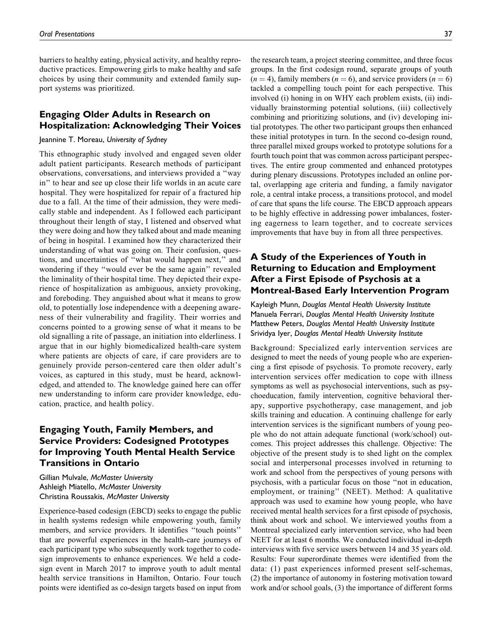barriers to healthy eating, physical activity, and healthy reproductive practices. Empowering girls to make healthy and safe choices by using their community and extended family support systems was prioritized.

## Engaging Older Adults in Research on Hospitalization: Acknowledging Their Voices

#### Jeannine T. Moreau, University of Sydney

This ethnographic study involved and engaged seven older adult patient participants. Research methods of participant observations, conversations, and interviews provided a ''way in'' to hear and see up close their life worlds in an acute care hospital. They were hospitalized for repair of a fractured hip due to a fall. At the time of their admission, they were medically stable and independent. As I followed each participant throughout their length of stay, I listened and observed what they were doing and how they talked about and made meaning of being in hospital. I examined how they characterized their understanding of what was going on. Their confusion, questions, and uncertainties of ''what would happen next,'' and wondering if they ''would ever be the same again'' revealed the liminality of their hospital time. They depicted their experience of hospitalization as ambiguous, anxiety provoking, and foreboding. They anguished about what it means to grow old, to potentially lose independence with a deepening awareness of their vulnerability and fragility. Their worries and concerns pointed to a growing sense of what it means to be old signalling a rite of passage, an initiation into elderliness. I argue that in our highly biomedicalized health-care system where patients are objects of care, if care providers are to genuinely provide person-centered care then older adult's voices, as captured in this study, must be heard, acknowledged, and attended to. The knowledge gained here can offer new understanding to inform care provider knowledge, education, practice, and health policy.

## Engaging Youth, Family Members, and Service Providers: Codesigned Prototypes for Improving Youth Mental Health Service Transitions in Ontario

Gillian Mulvale, McMaster University Ashleigh Miatello, McMaster University Christina Roussakis, McMaster University

Experience-based codesign (EBCD) seeks to engage the public in health systems redesign while empowering youth, family members, and service providers. It identifies ''touch points'' that are powerful experiences in the health-care journeys of each participant type who subsequently work together to codesign improvements to enhance experiences. We held a codesign event in March 2017 to improve youth to adult mental health service transitions in Hamilton, Ontario. Four touch points were identified as co-design targets based on input from

the research team, a project steering committee, and three focus groups. In the first codesign round, separate groups of youth  $(n = 4)$ , family members  $(n = 6)$ , and service providers  $(n = 6)$ tackled a compelling touch point for each perspective. This involved (i) honing in on WHY each problem exists, (ii) individually brainstorming potential solutions, (iii) collectively combining and prioritizing solutions, and (iv) developing initial prototypes. The other two participant groups then enhanced these initial prototypes in turn. In the second co-design round, three parallel mixed groups worked to prototype solutions for a fourth touch point that was common across participant perspectives. The entire group commented and enhanced prototypes during plenary discussions. Prototypes included an online portal, overlapping age criteria and funding, a family navigator role, a central intake process, a transitions protocol, and model of care that spans the life course. The EBCD approach appears to be highly effective in addressing power imbalances, fostering eagerness to learn together, and to cocreate services improvements that have buy in from all three perspectives.

## A Study of the Experiences of Youth in Returning to Education and Employment After a First Episode of Psychosis at a Montreal-Based Early Intervention Program

Kayleigh Munn, Douglas Mental Health University Institute Manuela Ferrari, Douglas Mental Health University Institute Matthew Peters, Douglas Mental Health University Institute Srividya Iyer, Douglas Mental Health University Institute

Background: Specialized early intervention services are designed to meet the needs of young people who are experiencing a first episode of psychosis. To promote recovery, early intervention services offer medication to cope with illness symptoms as well as psychosocial interventions, such as psychoeducation, family intervention, cognitive behavioral therapy, supportive psychotherapy, case management, and job skills training and education. A continuing challenge for early intervention services is the significant numbers of young people who do not attain adequate functional (work/school) outcomes. This project addresses this challenge. Objective: The objective of the present study is to shed light on the complex social and interpersonal processes involved in returning to work and school from the perspectives of young persons with psychosis, with a particular focus on those ''not in education, employment, or training'' (NEET). Method: A qualitative approach was used to examine how young people, who have received mental health services for a first episode of psychosis, think about work and school. We interviewed youths from a Montreal specialized early intervention service, who had been NEET for at least 6 months. We conducted individual in-depth interviews with five service users between 14 and 35 years old. Results: Four superordinate themes were identified from the data: (1) past experiences informed present self-schemas, (2) the importance of autonomy in fostering motivation toward work and/or school goals, (3) the importance of different forms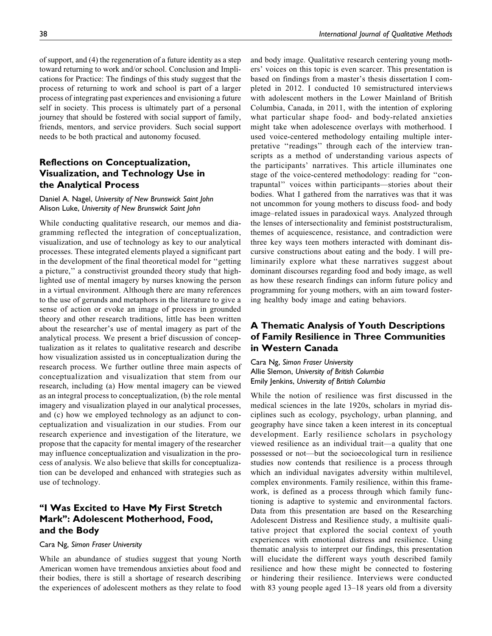of support, and (4) the regeneration of a future identity as a step toward returning to work and/or school. Conclusion and Implications for Practice: The findings of this study suggest that the process of returning to work and school is part of a larger process of integrating past experiences and envisioning a future self in society. This process is ultimately part of a personal journey that should be fostered with social support of family, friends, mentors, and service providers. Such social support needs to be both practical and autonomy focused.

## Reflections on Conceptualization, Visualization, and Technology Use in the Analytical Process

## Daniel A. Nagel, University of New Brunswick Saint John Alison Luke, University of New Brunswick Saint John

While conducting qualitative research, our memos and diagramming reflected the integration of conceptualization, visualization, and use of technology as key to our analytical processes. These integrated elements played a significant part in the development of the final theoretical model for ''getting a picture,'' a constructivist grounded theory study that highlighted use of mental imagery by nurses knowing the person in a virtual environment. Although there are many references to the use of gerunds and metaphors in the literature to give a sense of action or evoke an image of process in grounded theory and other research traditions, little has been written about the researcher's use of mental imagery as part of the analytical process. We present a brief discussion of conceptualization as it relates to qualitative research and describe how visualization assisted us in conceptualization during the research process. We further outline three main aspects of conceptualization and visualization that stem from our research, including (a) How mental imagery can be viewed as an integral process to conceptualization, (b) the role mental imagery and visualization played in our analytical processes, and (c) how we employed technology as an adjunct to conceptualization and visualization in our studies. From our research experience and investigation of the literature, we propose that the capacity for mental imagery of the researcher may influence conceptualization and visualization in the process of analysis. We also believe that skills for conceptualization can be developed and enhanced with strategies such as use of technology.

## ''I Was Excited to Have My First Stretch Mark'': Adolescent Motherhood, Food, and the Body

## Cara Ng, Simon Fraser University

While an abundance of studies suggest that young North American women have tremendous anxieties about food and their bodies, there is still a shortage of research describing the experiences of adolescent mothers as they relate to food and body image. Qualitative research centering young mothers' voices on this topic is even scarcer. This presentation is based on findings from a master's thesis dissertation I completed in 2012. I conducted 10 semistructured interviews with adolescent mothers in the Lower Mainland of British Columbia, Canada, in 2011, with the intention of exploring what particular shape food- and body-related anxieties might take when adolescence overlays with motherhood. I used voice-centered methodology entailing multiple interpretative "readings" through each of the interview transcripts as a method of understanding various aspects of the participants' narratives. This article illuminates one stage of the voice-centered methodology: reading for ''contrapuntal'' voices within participants—stories about their bodies. What I gathered from the narratives was that it was not uncommon for young mothers to discuss food- and body image–related issues in paradoxical ways. Analyzed through the lenses of intersectionality and feminist poststructuralism, themes of acquiescence, resistance, and contradiction were three key ways teen mothers interacted with dominant discursive constructions about eating and the body. I will preliminarily explore what these narratives suggest about dominant discourses regarding food and body image, as well as how these research findings can inform future policy and programming for young mothers, with an aim toward fostering healthy body image and eating behaviors.

## A Thematic Analysis of Youth Descriptions of Family Resilience in Three Communities in Western Canada

Cara Ng, Simon Fraser University Allie Slemon, University of British Columbia Emily Jenkins, University of British Columbia

While the notion of resilience was first discussed in the medical sciences in the late 1920s, scholars in myriad disciplines such as ecology, psychology, urban planning, and geography have since taken a keen interest in its conceptual development. Early resilience scholars in psychology viewed resilience as an individual trait—a quality that one possessed or not—but the socioecological turn in resilience studies now contends that resilience is a process through which an individual navigates adversity within multilevel, complex environments. Family resilience, within this framework, is defined as a process through which family functioning is adaptive to systemic and environmental factors. Data from this presentation are based on the Researching Adolescent Distress and Resilience study, a multisite qualitative project that explored the social context of youth experiences with emotional distress and resilience. Using thematic analysis to interpret our findings, this presentation will elucidate the different ways youth described family resilience and how these might be connected to fostering or hindering their resilience. Interviews were conducted with 83 young people aged 13–18 years old from a diversity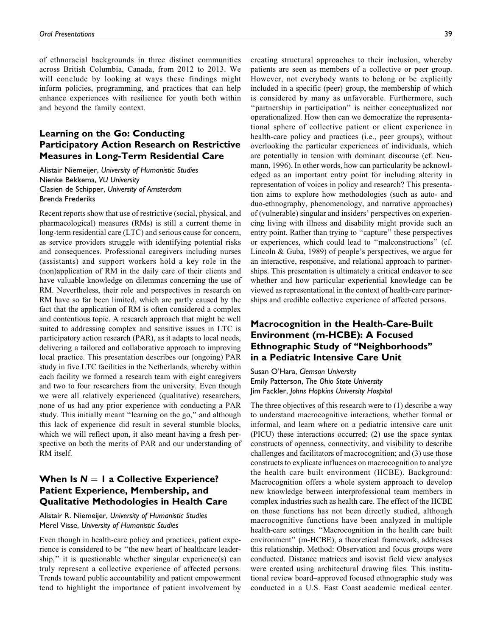of ethnoracial backgrounds in three distinct communities across British Columbia, Canada, from 2012 to 2013. We will conclude by looking at ways these findings might inform policies, programming, and practices that can help enhance experiences with resilience for youth both within and beyond the family context.

## Learning on the Go: Conducting Participatory Action Research on Restrictive Measures in Long-Term Residential Care

Alistair Niemeijer, University of Humanistic Studies Nienke Bekkema, VU University Clasien de Schipper, University of Amsterdam Brenda Frederiks

Recent reports show that use of restrictive (social, physical, and pharmacological) measures (RMs) is still a current theme in long-term residential care (LTC) and serious cause for concern, as service providers struggle with identifying potential risks and consequences. Professional caregivers including nurses (assistants) and support workers hold a key role in the (non)application of RM in the daily care of their clients and have valuable knowledge on dilemmas concerning the use of RM. Nevertheless, their role and perspectives in research on RM have so far been limited, which are partly caused by the fact that the application of RM is often considered a complex and contentious topic. A research approach that might be well suited to addressing complex and sensitive issues in LTC is participatory action research (PAR), as it adapts to local needs, delivering a tailored and collaborative approach to improving local practice. This presentation describes our (ongoing) PAR study in five LTC facilities in the Netherlands, whereby within each facility we formed a research team with eight caregivers and two to four researchers from the university. Even though we were all relatively experienced (qualitative) researchers, none of us had any prior experience with conducting a PAR study. This initially meant ''learning on the go,'' and although this lack of experience did result in several stumble blocks, which we will reflect upon, it also meant having a fresh perspective on both the merits of PAR and our understanding of RM itself.

## When Is  $N = 1$  a Collective Experience? Patient Experience, Membership, and Qualitative Methodologies in Health Care

## Alistair R. Niemeijer, University of Humanistic Studies Merel Visse, University of Humanistic Studies

Even though in health-care policy and practices, patient experience is considered to be ''the new heart of healthcare leadership," it is questionable whether singular experience(s) can truly represent a collective experience of affected persons. Trends toward public accountability and patient empowerment tend to highlight the importance of patient involvement by creating structural approaches to their inclusion, whereby patients are seen as members of a collective or peer group. However, not everybody wants to belong or be explicitly included in a specific (peer) group, the membership of which is considered by many as unfavorable. Furthermore, such ''partnership in participation'' is neither conceptualized nor operationalized. How then can we democratize the representational sphere of collective patient or client experience in health-care policy and practices (i.e., peer groups), without overlooking the particular experiences of individuals, which are potentially in tension with dominant discourse (cf. Neumann, 1996). In other words, how can particularity be acknowledged as an important entry point for including alterity in representation of voices in policy and research? This presentation aims to explore how methodologies (such as auto- and duo-ethnography, phenomenology, and narrative approaches) of (vulnerable) singular and insiders' perspectives on experiencing living with illness and disability might provide such an entry point. Rather than trying to ''capture'' these perspectives or experiences, which could lead to ''malconstructions'' (cf. Lincoln & Guba, 1989) of people's perspectives, we argue for an interactive, responsive, and relational approach to partnerships. This presentation is ultimately a critical endeavor to see whether and how particular experiential knowledge can be viewed as representational in the context of health-care partnerships and credible collective experience of affected persons.

## Macrocognition in the Health-Care-Built Environment (m-HCBE): A Focused Ethnographic Study of ''Neighborhoods'' in a Pediatric Intensive Care Unit

Susan O'Hara, Clemson University Emily Patterson, The Ohio State University Jim Fackler, Johns Hopkins University Hospital

The three objectives of this research were to (1) describe a way to understand macrocognitive interactions, whether formal or informal, and learn where on a pediatric intensive care unit (PICU) these interactions occurred; (2) use the space syntax constructs of openness, connectivity, and visibility to describe challenges and facilitators of macrocognition; and (3) use those constructs to explicate influences on macrocognition to analyze the health care built environment (HCBE). Background: Macrocognition offers a whole system approach to develop new knowledge between interprofessional team members in complex industries such as health care. The effect of the HCBE on those functions has not been directly studied, although macrocognitive functions have been analyzed in multiple health-care settings. ''Macrocognition in the health care built environment'' (m-HCBE), a theoretical framework, addresses this relationship. Method: Observation and focus groups were conducted. Distance matrices and isovist field view analyses were created using architectural drawing files. This institutional review board–approved focused ethnographic study was conducted in a U.S. East Coast academic medical center.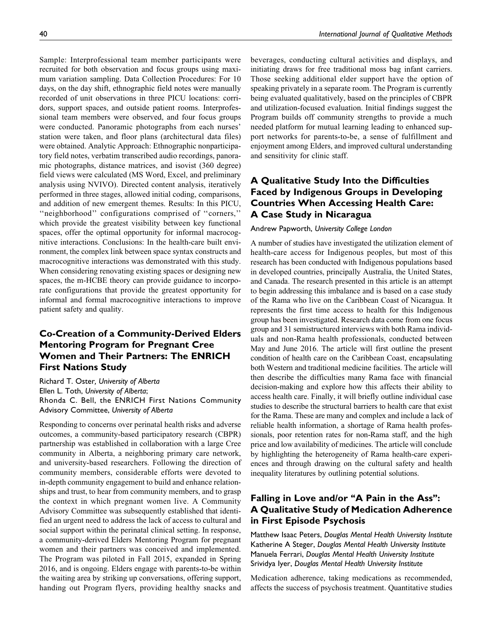Sample: Interprofessional team member participants were recruited for both observation and focus groups using maximum variation sampling. Data Collection Procedures: For 10 days, on the day shift, ethnographic field notes were manually recorded of unit observations in three PICU locations: corridors, support spaces, and outside patient rooms. Interprofessional team members were observed, and four focus groups were conducted. Panoramic photographs from each nurses' station were taken, and floor plans (architectural data files) were obtained. Analytic Approach: Ethnographic nonparticipatory field notes, verbatim transcribed audio recordings, panoramic photographs, distance matrices, and isovist (360 degree) field views were calculated (MS Word, Excel, and preliminary analysis using NVIVO). Directed content analysis, iteratively performed in three stages, allowed initial coding, comparisons, and addition of new emergent themes. Results: In this PICU, ''neighborhood'' configurations comprised of ''corners,'' which provide the greatest visibility between key functional spaces, offer the optimal opportunity for informal macrocognitive interactions. Conclusions: In the health-care built environment, the complex link between space syntax constructs and macrocognitive interactions was demonstrated with this study. When considering renovating existing spaces or designing new spaces, the m-HCBE theory can provide guidance to incorporate configurations that provide the greatest opportunity for informal and formal macrocognitive interactions to improve patient safety and quality.

# Co-Creation of a Community-Derived Elders Mentoring Program for Pregnant Cree Women and Their Partners: The ENRICH First Nations Study

Richard T. Oster, University of Alberta Ellen L. Toth, University of Alberta; Rhonda C. Bell, the ENRICH First Nations Community Advisory Committee, University of Alberta

Responding to concerns over perinatal health risks and adverse outcomes, a community-based participatory research (CBPR) partnership was established in collaboration with a large Cree community in Alberta, a neighboring primary care network, and university-based researchers. Following the direction of community members, considerable efforts were devoted to in-depth community engagement to build and enhance relationships and trust, to hear from community members, and to grasp the context in which pregnant women live. A Community Advisory Committee was subsequently established that identified an urgent need to address the lack of access to cultural and social support within the perinatal clinical setting. In response, a community-derived Elders Mentoring Program for pregnant women and their partners was conceived and implemented. The Program was piloted in Fall 2015, expanded in Spring 2016, and is ongoing. Elders engage with parents-to-be within the waiting area by striking up conversations, offering support, handing out Program flyers, providing healthy snacks and

beverages, conducting cultural activities and displays, and initiating draws for free traditional moss bag infant carriers. Those seeking additional elder support have the option of speaking privately in a separate room. The Program is currently being evaluated qualitatively, based on the principles of CBPR and utilization-focused evaluation. Initial findings suggest the Program builds off community strengths to provide a much needed platform for mutual learning leading to enhanced support networks for parents-to-be, a sense of fulfillment and enjoyment among Elders, and improved cultural understanding and sensitivity for clinic staff.

# A Qualitative Study Into the Difficulties Faced by Indigenous Groups in Developing Countries When Accessing Health Care: A Case Study in Nicaragua

#### Andrew Papworth, University College London

A number of studies have investigated the utilization element of health-care access for Indigenous peoples, but most of this research has been conducted with Indigenous populations based in developed countries, principally Australia, the United States, and Canada. The research presented in this article is an attempt to begin addressing this imbalance and is based on a case study of the Rama who live on the Caribbean Coast of Nicaragua. It represents the first time access to health for this Indigenous group has been investigated. Research data come from one focus group and 31 semistructured interviews with both Rama individuals and non-Rama health professionals, conducted between May and June 2016. The article will first outline the present condition of health care on the Caribbean Coast, encapsulating both Western and traditional medicine facilities. The article will then describe the difficulties many Rama face with financial decision-making and explore how this affects their ability to access health care. Finally, it will briefly outline individual case studies to describe the structural barriers to health care that exist for the Rama. These are many and complex and include a lack of reliable health information, a shortage of Rama health professionals, poor retention rates for non-Rama staff, and the high price and low availability of medicines. The article will conclude by highlighting the heterogeneity of Rama health-care experiences and through drawing on the cultural safety and health inequality literatures by outlining potential solutions.

# Falling in Love and/or "A Pain in the Ass": A Qualitative Study of Medication Adherence in First Episode Psychosis

Matthew Isaac Peters, Douglas Mental Health University Institute Katherine A Steger, Douglas Mental Health University Institute Manuela Ferrari, Douglas Mental Health University Institute Srividya Iyer, Douglas Mental Health University Institute

Medication adherence, taking medications as recommended, affects the success of psychosis treatment. Quantitative studies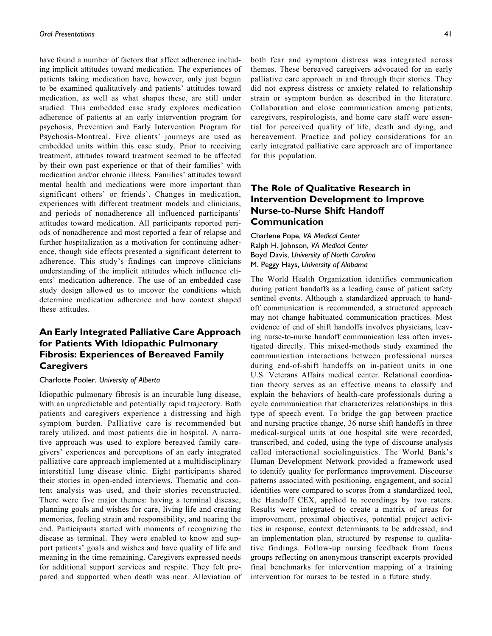have found a number of factors that affect adherence including implicit attitudes toward medication. The experiences of patients taking medication have, however, only just begun to be examined qualitatively and patients' attitudes toward medication, as well as what shapes these, are still under studied. This embedded case study explores medication adherence of patients at an early intervention program for psychosis, Prevention and Early Intervention Program for Psychosis-Montreal. Five clients' journeys are used as embedded units within this case study. Prior to receiving treatment, attitudes toward treatment seemed to be affected by their own past experience or that of their families' with medication and/or chronic illness. Families' attitudes toward mental health and medications were more important than significant others' or friends'. Changes in medication, experiences with different treatment models and clinicians, and periods of nonadherence all influenced participants' attitudes toward medication. All participants reported periods of nonadherence and most reported a fear of relapse and further hospitalization as a motivation for continuing adherence, though side effects presented a significant deterrent to adherence. This study's findings can improve clinicians understanding of the implicit attitudes which influence clients' medication adherence. The use of an embedded case study design allowed us to uncover the conditions which determine medication adherence and how context shaped these attitudes.

## An Early Integrated Palliative Care Approach for Patients With Idiopathic Pulmonary Fibrosis: Experiences of Bereaved Family **Caregivers**

#### Charlotte Pooler, University of Alberta

Idiopathic pulmonary fibrosis is an incurable lung disease, with an unpredictable and potentially rapid trajectory. Both patients and caregivers experience a distressing and high symptom burden. Palliative care is recommended but rarely utilized, and most patients die in hospital. A narrative approach was used to explore bereaved family caregivers' experiences and perceptions of an early integrated palliative care approach implemented at a multidisciplinary interstitial lung disease clinic. Eight participants shared their stories in open-ended interviews. Thematic and content analysis was used, and their stories reconstructed. There were five major themes: having a terminal disease, planning goals and wishes for care, living life and creating memories, feeling strain and responsibility, and nearing the end. Participants started with moments of recognizing the disease as terminal. They were enabled to know and support patients' goals and wishes and have quality of life and meaning in the time remaining. Caregivers expressed needs for additional support services and respite. They felt prepared and supported when death was near. Alleviation of both fear and symptom distress was integrated across themes. These bereaved caregivers advocated for an early palliative care approach in and through their stories. They did not express distress or anxiety related to relationship strain or symptom burden as described in the literature. Collaboration and close communication among patients, caregivers, respirologists, and home care staff were essential for perceived quality of life, death and dying, and bereavement. Practice and policy considerations for an early integrated palliative care approach are of importance for this population.

## The Role of Qualitative Research in Intervention Development to Improve Nurse-to-Nurse Shift Handoff Communication

Charlene Pope, VA Medical Center Ralph H. Johnson, VA Medical Center Boyd Davis, University of North Carolina M. Peggy Hays, University of Alabama

The World Health Organization identifies communication during patient handoffs as a leading cause of patient safety sentinel events. Although a standardized approach to handoff communication is recommended, a structured approach may not change habituated communication practices. Most evidence of end of shift handoffs involves physicians, leaving nurse-to-nurse handoff communication less often investigated directly. This mixed-methods study examined the communication interactions between professional nurses during end-of-shift handoffs on in-patient units in one U.S. Veterans Affairs medical center. Relational coordination theory serves as an effective means to classify and explain the behaviors of health-care professionals during a cycle communication that characterizes relationships in this type of speech event. To bridge the gap between practice and nursing practice change, 36 nurse shift handoffs in three medical-surgical units at one hospital site were recorded, transcribed, and coded, using the type of discourse analysis called interactional sociolinguistics. The World Bank's Human Development Network provided a framework used to identify quality for performance improvement. Discourse patterns associated with positioning, engagement, and social identities were compared to scores from a standardized tool, the Handoff CEX, applied to recordings by two raters. Results were integrated to create a matrix of areas for improvement, proximal objectives, potential project activities in response, context determinants to be addressed, and an implementation plan, structured by response to qualitative findings. Follow-up nursing feedback from focus groups reflecting on anonymous transcript excerpts provided final benchmarks for intervention mapping of a training intervention for nurses to be tested in a future study.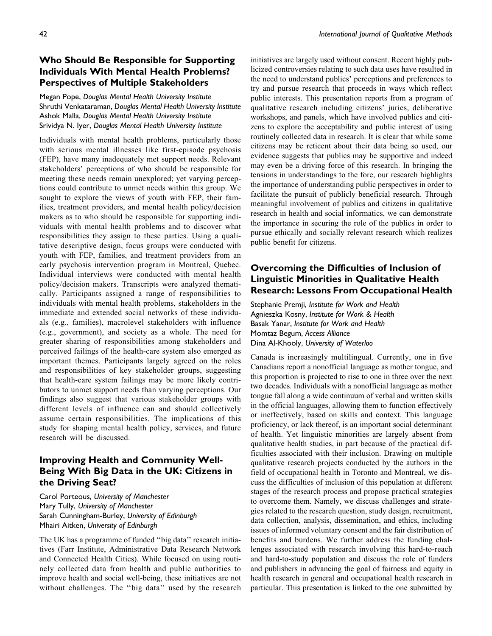## Who Should Be Responsible for Supporting Individuals With Mental Health Problems? Perspectives of Multiple Stakeholders

Megan Pope, Douglas Mental Health University Institute Shruthi Venkataraman, Douglas Mental Health University Institute Ashok Malla, Douglas Mental Health University Institute Srividya N. Iyer, Douglas Mental Health University Institute

Individuals with mental health problems, particularly those with serious mental illnesses like first-episode psychosis (FEP), have many inadequately met support needs. Relevant stakeholders' perceptions of who should be responsible for meeting these needs remain unexplored; yet varying perceptions could contribute to unmet needs within this group. We sought to explore the views of youth with FEP, their families, treatment providers, and mental health policy/decision makers as to who should be responsible for supporting individuals with mental health problems and to discover what responsibilities they assign to these parties. Using a qualitative descriptive design, focus groups were conducted with youth with FEP, families, and treatment providers from an early psychosis intervention program in Montreal, Quebec. Individual interviews were conducted with mental health policy/decision makers. Transcripts were analyzed thematically. Participants assigned a range of responsibilities to individuals with mental health problems, stakeholders in the immediate and extended social networks of these individuals (e.g., families), macrolevel stakeholders with influence (e.g., government), and society as a whole. The need for greater sharing of responsibilities among stakeholders and perceived failings of the health-care system also emerged as important themes. Participants largely agreed on the roles and responsibilities of key stakeholder groups, suggesting that health-care system failings may be more likely contributors to unmet support needs than varying perceptions. Our findings also suggest that various stakeholder groups with different levels of influence can and should collectively assume certain responsibilities. The implications of this study for shaping mental health policy, services, and future research will be discussed.

# Improving Health and Community Well-Being With Big Data in the UK: Citizens in the Driving Seat?

Carol Porteous, University of Manchester Mary Tully, University of Manchester Sarah Cunningham-Burley, University of Edinburgh Mhairi Aitken, University of Edinburgh

The UK has a programme of funded ''big data'' research initiatives (Farr Institute, Administrative Data Research Network and Connected Health Cities). While focused on using routinely collected data from health and public authorities to improve health and social well-being, these initiatives are not without challenges. The ''big data'' used by the research initiatives are largely used without consent. Recent highly publicized controversies relating to such data uses have resulted in the need to understand publics' perceptions and preferences to try and pursue research that proceeds in ways which reflect public interests. This presentation reports from a program of qualitative research including citizens' juries, deliberative workshops, and panels, which have involved publics and citizens to explore the acceptability and public interest of using routinely collected data in research. It is clear that while some citizens may be reticent about their data being so used, our evidence suggests that publics may be supportive and indeed may even be a driving force of this research. In bringing the tensions in understandings to the fore, our research highlights the importance of understanding public perspectives in order to facilitate the pursuit of publicly beneficial research. Through meaningful involvement of publics and citizens in qualitative research in health and social informatics, we can demonstrate the importance in securing the role of the publics in order to pursue ethically and socially relevant research which realizes public benefit for citizens.

## Overcoming the Difficulties of Inclusion of Linguistic Minorities in Qualitative Health Research: Lessons From Occupational Health

Stephanie Premji, Institute for Work and Health Agnieszka Kosny, Institute for Work & Health Basak Yanar, Institute for Work and Health Momtaz Begum, Access Alliance Dina Al-Khooly, University of Waterloo

Canada is increasingly multilingual. Currently, one in five Canadians report a nonofficial language as mother tongue, and this proportion is projected to rise to one in three over the next two decades. Individuals with a nonofficial language as mother tongue fall along a wide continuum of verbal and written skills in the official languages, allowing them to function effectively or ineffectively, based on skills and context. This language proficiency, or lack thereof, is an important social determinant of health. Yet linguistic minorities are largely absent from qualitative health studies, in part because of the practical difficulties associated with their inclusion. Drawing on multiple qualitative research projects conducted by the authors in the field of occupational health in Toronto and Montreal, we discuss the difficulties of inclusion of this population at different stages of the research process and propose practical strategies to overcome them. Namely, we discuss challenges and strategies related to the research question, study design, recruitment, data collection, analysis, dissemination, and ethics, including issues of informed voluntary consent and the fair distribution of benefits and burdens. We further address the funding challenges associated with research involving this hard-to-reach and hard-to-study population and discuss the role of funders and publishers in advancing the goal of fairness and equity in health research in general and occupational health research in particular. This presentation is linked to the one submitted by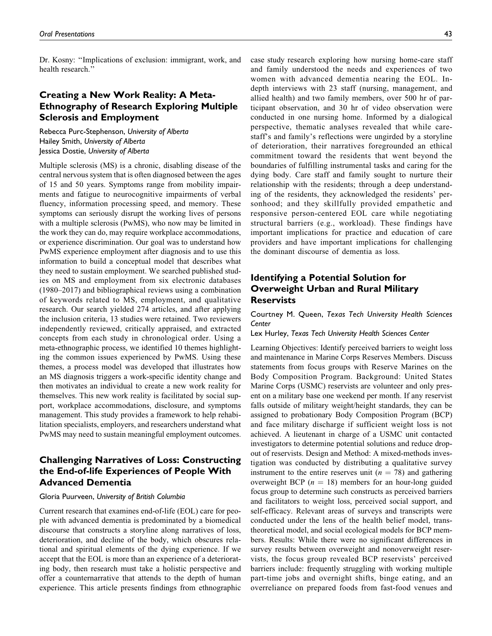Dr. Kosny: ''Implications of exclusion: immigrant, work, and health research.''

## Creating a New Work Reality: A Meta-Ethnography of Research Exploring Multiple Sclerosis and Employment

Rebecca Purc-Stephenson, University of Alberta Hailey Smith, University of Alberta Jessica Dostie, University of Alberta

Multiple sclerosis (MS) is a chronic, disabling disease of the central nervous system that is often diagnosed between the ages of 15 and 50 years. Symptoms range from mobility impairments and fatigue to neurocognitive impairments of verbal fluency, information processing speed, and memory. These symptoms can seriously disrupt the working lives of persons with a multiple sclerosis (PwMS), who now may be limited in the work they can do, may require workplace accommodations, or experience discrimination. Our goal was to understand how PwMS experience employment after diagnosis and to use this information to build a conceptual model that describes what they need to sustain employment. We searched published studies on MS and employment from six electronic databases (1980–2017) and bibliographical reviews using a combination of keywords related to MS, employment, and qualitative research. Our search yielded 274 articles, and after applying the inclusion criteria, 13 studies were retained. Two reviewers independently reviewed, critically appraised, and extracted concepts from each study in chronological order. Using a meta-ethnographic process, we identified 10 themes highlighting the common issues experienced by PwMS. Using these themes, a process model was developed that illustrates how an MS diagnosis triggers a work-specific identity change and then motivates an individual to create a new work reality for themselves. This new work reality is facilitated by social support, workplace accommodations, disclosure, and symptoms management. This study provides a framework to help rehabilitation specialists, employers, and researchers understand what PwMS may need to sustain meaningful employment outcomes.

# Challenging Narratives of Loss: Constructing the End-of-life Experiences of People With Advanced Dementia

#### Gloria Puurveen, University of British Columbia

Current research that examines end-of-life (EOL) care for people with advanced dementia is predominated by a biomedical discourse that constructs a storyline along narratives of loss, deterioration, and decline of the body, which obscures relational and spiritual elements of the dying experience. If we accept that the EOL is more than an experience of a deteriorating body, then research must take a holistic perspective and offer a counternarrative that attends to the depth of human experience. This article presents findings from ethnographic

case study research exploring how nursing home-care staff and family understood the needs and experiences of two women with advanced dementia nearing the EOL. Indepth interviews with 23 staff (nursing, management, and allied health) and two family members, over 500 hr of participant observation, and 30 hr of video observation were conducted in one nursing home. Informed by a dialogical perspective, thematic analyses revealed that while carestaff's and family's reflections were ungirded by a storyline of deterioration, their narratives foregrounded an ethical commitment toward the residents that went beyond the boundaries of fulfilling instrumental tasks and caring for the dying body. Care staff and family sought to nurture their relationship with the residents; through a deep understanding of the residents, they acknowledged the residents' personhood; and they skillfully provided empathetic and responsive person-centered EOL care while negotiating structural barriers (e.g., workload). These findings have important implications for practice and education of care providers and have important implications for challenging the dominant discourse of dementia as loss.

## Identifying a Potential Solution for Overweight Urban and Rural Military **Reservists**

Courtney M. Queen, Texas Tech University Health Sciences Center

Lex Hurley, Texas Tech University Health Sciences Center

Learning Objectives: Identify perceived barriers to weight loss and maintenance in Marine Corps Reserves Members. Discuss statements from focus groups with Reserve Marines on the Body Composition Program. Background: United States Marine Corps (USMC) reservists are volunteer and only present on a military base one weekend per month. If any reservist falls outside of military weight/height standards, they can be assigned to probationary Body Composition Program (BCP) and face military discharge if sufficient weight loss is not achieved. A lieutenant in charge of a USMC unit contacted investigators to determine potential solutions and reduce dropout of reservists. Design and Method: A mixed-methods investigation was conducted by distributing a qualitative survey instrument to the entire reserves unit ( $n = 78$ ) and gathering overweight BCP ( $n = 18$ ) members for an hour-long guided focus group to determine such constructs as perceived barriers and facilitators to weight loss, perceived social support, and self-efficacy. Relevant areas of surveys and transcripts were conducted under the lens of the health belief model, transtheoretical model, and social ecological models for BCP members. Results: While there were no significant differences in survey results between overweight and nonoverweight reservists, the focus group revealed BCP reservists' perceived barriers include: frequently struggling with working multiple part-time jobs and overnight shifts, binge eating, and an overreliance on prepared foods from fast-food venues and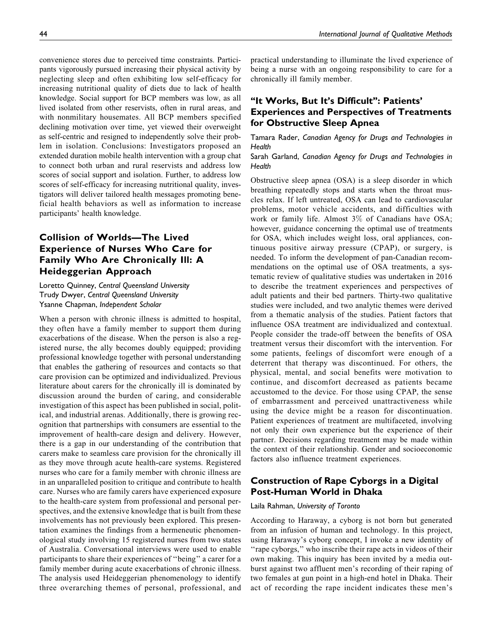convenience stores due to perceived time constraints. Participants vigorously pursued increasing their physical activity by neglecting sleep and often exhibiting low self-efficacy for increasing nutritional quality of diets due to lack of health knowledge. Social support for BCP members was low, as all lived isolated from other reservists, often in rural areas, and with nonmilitary housemates. All BCP members specified declining motivation over time, yet viewed their overweight as self-centric and resigned to independently solve their problem in isolation. Conclusions: Investigators proposed an extended duration mobile health intervention with a group chat to connect both urban and rural reservists and address low scores of social support and isolation. Further, to address low scores of self-efficacy for increasing nutritional quality, investigators will deliver tailored health messages promoting beneficial health behaviors as well as information to increase participants' health knowledge.

# Collision of Worlds—The Lived Experience of Nurses Who Care for Family Who Are Chronically Ill: A Heideggerian Approach

Loretto Quinney, Central Queensland University Trudy Dwyer, Central Queensland University Ysanne Chapman, Independent Scholar

When a person with chronic illness is admitted to hospital, they often have a family member to support them during exacerbations of the disease. When the person is also a registered nurse, the ally becomes doubly equipped; providing professional knowledge together with personal understanding that enables the gathering of resources and contacts so that care provision can be optimized and individualized. Previous literature about carers for the chronically ill is dominated by discussion around the burden of caring, and considerable investigation of this aspect has been published in social, political, and industrial arenas. Additionally, there is growing recognition that partnerships with consumers are essential to the improvement of health-care design and delivery. However, there is a gap in our understanding of the contribution that carers make to seamless care provision for the chronically ill as they move through acute health-care systems. Registered nurses who care for a family member with chronic illness are in an unparalleled position to critique and contribute to health care. Nurses who are family carers have experienced exposure to the health-care system from professional and personal perspectives, and the extensive knowledge that is built from these involvements has not previously been explored. This presentation examines the findings from a hermeneutic phenomenological study involving 15 registered nurses from two states of Australia. Conversational interviews were used to enable participants to share their experiences of ''being'' a carer for a family member during acute exacerbations of chronic illness. The analysis used Heideggerian phenomenology to identify three overarching themes of personal, professional, and practical understanding to illuminate the lived experience of being a nurse with an ongoing responsibility to care for a chronically ill family member.

## "It Works, But It's Difficult": Patients' Experiences and Perspectives of Treatments for Obstructive Sleep Apnea

Tamara Rader, Canadian Agency for Drugs and Technologies in **Health** 

Sarah Garland, Canadian Agency for Drugs and Technologies in **Health** 

Obstructive sleep apnea (OSA) is a sleep disorder in which breathing repeatedly stops and starts when the throat muscles relax. If left untreated, OSA can lead to cardiovascular problems, motor vehicle accidents, and difficulties with work or family life. Almost 3% of Canadians have OSA; however, guidance concerning the optimal use of treatments for OSA, which includes weight loss, oral appliances, continuous positive airway pressure (CPAP), or surgery, is needed. To inform the development of pan-Canadian recommendations on the optimal use of OSA treatments, a systematic review of qualitative studies was undertaken in 2016 to describe the treatment experiences and perspectives of adult patients and their bed partners. Thirty-two qualitative studies were included, and two analytic themes were derived from a thematic analysis of the studies. Patient factors that influence OSA treatment are individualized and contextual. People consider the trade-off between the benefits of OSA treatment versus their discomfort with the intervention. For some patients, feelings of discomfort were enough of a deterrent that therapy was discontinued. For others, the physical, mental, and social benefits were motivation to continue, and discomfort decreased as patients became accustomed to the device. For those using CPAP, the sense of embarrassment and perceived unattractiveness while using the device might be a reason for discontinuation. Patient experiences of treatment are multifaceted, involving not only their own experience but the experience of their partner. Decisions regarding treatment may be made within the context of their relationship. Gender and socioeconomic factors also influence treatment experiences.

## Construction of Rape Cyborgs in a Digital Post-Human World in Dhaka

#### Laila Rahman, University of Toronto

According to Haraway, a cyborg is not born but generated from an infusion of human and technology. In this project, using Haraway's cyborg concept, I invoke a new identity of "rape cyborgs," who inscribe their rape acts in videos of their own making. This inquiry has been invited by a media outburst against two affluent men's recording of their raping of two females at gun point in a high-end hotel in Dhaka. Their act of recording the rape incident indicates these men's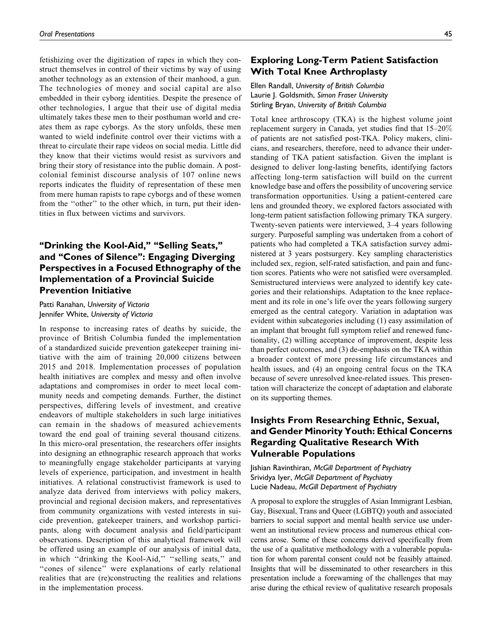fetishizing over the digitization of rapes in which they construct themselves in control of their victims by way of using another technology as an extension of their manhood, a gun. The technologies of money and social capital are also embedded in their cyborg identities. Despite the presence of other technologies, I argue that their use of digital media ultimately takes these men to their posthuman world and creates them as rape cyborgs. As the story unfolds, these men wanted to wield indefinite control over their victims with a threat to circulate their rape videos on social media. Little did they know that their victims would resist as survivors and bring their story of resistance into the public domain. A postcolonial feminist discourse analysis of 107 online news reports indicates the fluidity of representation of these men from mere human rapists to rape cyborgs and of these women from the "other" to the other which, in turn, put their identities in flux between victims and survivors.

# ''Drinking the Kool-Aid,'' ''Selling Seats,'' and ''Cones of Silence'': Engaging Diverging Perspectives in a Focused Ethnography of the Implementation of a Provincial Suicide Prevention Initiative

Patti Ranahan, University of Victoria Jennifer White, University of Victoria

In response to increasing rates of deaths by suicide, the province of British Columbia funded the implementation of a standardized suicide prevention gatekeeper training initiative with the aim of training 20,000 citizens between 2015 and 2018. Implementation processes of population health initiatives are complex and messy and often involve adaptations and compromises in order to meet local community needs and competing demands. Further, the distinct perspectives, differing levels of investment, and creative endeavors of multiple stakeholders in such large initiatives can remain in the shadows of measured achievements toward the end goal of training several thousand citizens. In this micro-oral presentation, the researchers offer insights into designing an ethnographic research approach that works to meaningfully engage stakeholder participants at varying levels of experience, participation, and investment in health initiatives. A relational constructivist framework is used to analyze data derived from interviews with policy makers, provincial and regional decision makers, and representatives from community organizations with vested interests in suicide prevention, gatekeeper trainers, and workshop participants, along with document analysis and field/participant observations. Description of this analytical framework will be offered using an example of our analysis of initial data, in which "drinking the Kool-Aid," "selling seats," and "cones of silence" were explanations of early relational realities that are (re)constructing the realities and relations in the implementation process.

## Exploring Long-Term Patient Satisfaction With Total Knee Arthroplasty

## Ellen Randall, University of British Columbia Laurie J. Goldsmith, Simon Fraser University Stirling Bryan, University of British Columbia

Total knee arthroscopy (TKA) is the highest volume joint replacement surgery in Canada, yet studies find that 15–20% of patients are not satisfied post-TKA. Policy makers, clinicians, and researchers, therefore, need to advance their understanding of TKA patient satisfaction. Given the implant is designed to deliver long-lasting benefits, identifying factors affecting long-term satisfaction will build on the current knowledge base and offers the possibility of uncovering service transformation opportunities. Using a patient-centered care lens and grounded theory, we explored factors associated with long-term patient satisfaction following primary TKA surgery. Twenty-seven patients were interviewed, 3–4 years following surgery. Purposeful sampling was undertaken from a cohort of patients who had completed a TKA satisfaction survey administered at 3 years postsurgery. Key sampling characteristics included sex, region, self-rated satisfaction, and pain and function scores. Patients who were not satisfied were oversampled. Semistructured interviews were analyzed to identify key categories and their relationships. Adaptation to the knee replacement and its role in one's life over the years following surgery emerged as the central category. Variation in adaptation was evident within subcategories including (1) easy assimilation of an implant that brought full symptom relief and renewed functionality, (2) willing acceptance of improvement, despite less than perfect outcomes, and (3) de-emphasis on the TKA within a broader context of more pressing life circumstances and health issues, and (4) an ongoing central focus on the TKA because of severe unresolved knee-related issues. This presentation will characterize the concept of adaptation and elaborate on its supporting themes.

## Insights From Researching Ethnic, Sexual, and Gender Minority Youth: Ethical Concerns Regarding Qualitative Research With Vulnerable Populations

Jishian Ravinthiran, McGill Department of Psychiatry Srividya Iyer, McGill Department of Psychiatry Lucie Nadeau, McGill Department of Psychiatry

A proposal to explore the struggles of Asian Immigrant Lesbian, Gay, Bisexual, Trans and Queer (LGBTQ) youth and associated barriers to social support and mental health service use underwent an institutional review process and numerous ethical concerns arose. Some of these concerns derived specifically from the use of a qualitative methodology with a vulnerable population for whom parental consent could not be feasibly attained. Insights that will be disseminated to other researchers in this presentation include a forewarning of the challenges that may arise during the ethical review of qualitative research proposals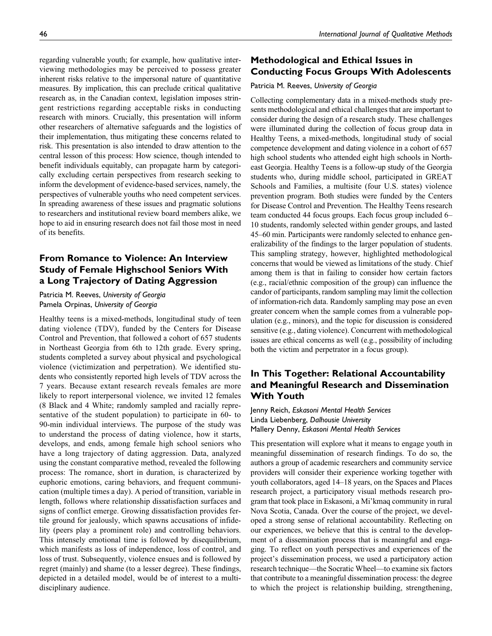regarding vulnerable youth; for example, how qualitative interviewing methodologies may be perceived to possess greater inherent risks relative to the impersonal nature of quantitative measures. By implication, this can preclude critical qualitative research as, in the Canadian context, legislation imposes stringent restrictions regarding acceptable risks in conducting research with minors. Crucially, this presentation will inform other researchers of alternative safeguards and the logistics of their implementation, thus mitigating these concerns related to risk. This presentation is also intended to draw attention to the central lesson of this process: How science, though intended to benefit individuals equitably, can propagate harm by categorically excluding certain perspectives from research seeking to inform the development of evidence-based services, namely, the perspectives of vulnerable youths who need competent services. In spreading awareness of these issues and pragmatic solutions to researchers and institutional review board members alike, we hope to aid in ensuring research does not fail those most in need of its benefits.

# From Romance to Violence: An Interview Study of Female Highschool Seniors With a Long Trajectory of Dating Aggression

Patricia M. Reeves, University of Georgia Pamela Orpinas, University of Georgia

Healthy teens is a mixed-methods, longitudinal study of teen dating violence (TDV), funded by the Centers for Disease Control and Prevention, that followed a cohort of 657 students in Northeast Georgia from 6th to 12th grade. Every spring, students completed a survey about physical and psychological violence (victimization and perpetration). We identified students who consistently reported high levels of TDV across the 7 years. Because extant research reveals females are more likely to report interpersonal violence, we invited 12 females (8 Black and 4 White; randomly sampled and racially representative of the student population) to participate in 60- to 90-min individual interviews. The purpose of the study was to understand the process of dating violence, how it starts, develops, and ends, among female high school seniors who have a long trajectory of dating aggression. Data, analyzed using the constant comparative method, revealed the following process: The romance, short in duration, is characterized by euphoric emotions, caring behaviors, and frequent communication (multiple times a day). A period of transition, variable in length, follows where relationship dissatisfaction surfaces and signs of conflict emerge. Growing dissatisfaction provides fertile ground for jealously, which spawns accusations of infidelity (peers play a prominent role) and controlling behaviors. This intensely emotional time is followed by disequilibrium, which manifests as loss of independence, loss of control, and loss of trust. Subsequently, violence ensues and is followed by regret (mainly) and shame (to a lesser degree). These findings, depicted in a detailed model, would be of interest to a multidisciplinary audience.

## Methodological and Ethical Issues in Conducting Focus Groups With Adolescents

## Patricia M. Reeves, University of Georgia

Collecting complementary data in a mixed-methods study presents methodological and ethical challenges that are important to consider during the design of a research study. These challenges were illuminated during the collection of focus group data in Healthy Teens, a mixed-methods, longitudinal study of social competence development and dating violence in a cohort of 657 high school students who attended eight high schools in Northeast Georgia. Healthy Teens is a follow-up study of the Georgia students who, during middle school, participated in GREAT Schools and Families, a multisite (four U.S. states) violence prevention program. Both studies were funded by the Centers for Disease Control and Prevention. The Healthy Teens research team conducted 44 focus groups. Each focus group included 6– 10 students, randomly selected within gender groups, and lasted 45–60 min. Participants were randomly selected to enhance generalizability of the findings to the larger population of students. This sampling strategy, however, highlighted methodological concerns that would be viewed as limitations of the study. Chief among them is that in failing to consider how certain factors (e.g., racial/ethnic composition of the group) can influence the candor of participants, random sampling may limit the collection of information-rich data. Randomly sampling may pose an even greater concern when the sample comes from a vulnerable population (e.g., minors), and the topic for discussion is considered sensitive (e.g., dating violence). Concurrent with methodological issues are ethical concerns as well (e.g., possibility of including both the victim and perpetrator in a focus group).

## In This Together: Relational Accountability and Meaningful Research and Dissemination With Youth

Jenny Reich, Eskasoni Mental Health Services Linda Liebenberg, Dalhousie University Mallery Denny, Eskasoni Mental Health Services

This presentation will explore what it means to engage youth in meaningful dissemination of research findings. To do so, the authors a group of academic researchers and community service providers will consider their experience working together with youth collaborators, aged 14–18 years, on the Spaces and Places research project, a participatory visual methods research program that took place in Eskasoni, a Mi'kmaq community in rural Nova Scotia, Canada. Over the course of the project, we developed a strong sense of relational accountability. Reflecting on our experiences, we believe that this is central to the development of a dissemination process that is meaningful and engaging. To reflect on youth perspectives and experiences of the project's dissemination process, we used a participatory action research technique—the Socratic Wheel—to examine six factors that contribute to a meaningful dissemination process: the degree to which the project is relationship building, strengthening,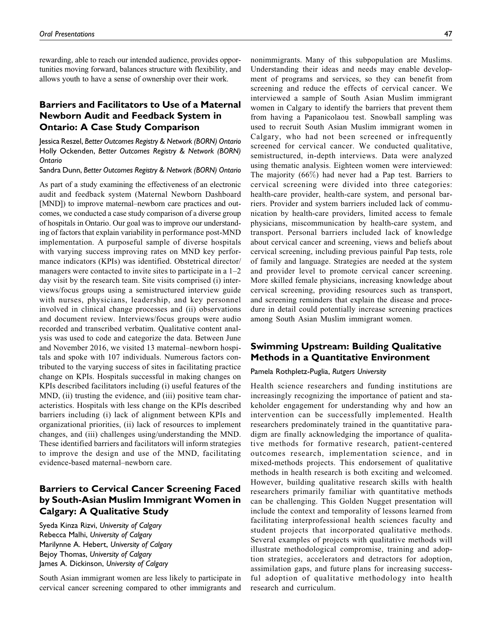rewarding, able to reach our intended audience, provides opportunities moving forward, balances structure with flexibility, and allows youth to have a sense of ownership over their work.

## Barriers and Facilitators to Use of a Maternal Newborn Audit and Feedback System in Ontario: A Case Study Comparison

Jessica Reszel, Better Outcomes Registry & Network (BORN) Ontario Holly Ockenden, Better Outcomes Registry & Network (BORN) Ontario

Sandra Dunn, Better Outcomes Registry & Network (BORN) Ontario

As part of a study examining the effectiveness of an electronic audit and feedback system (Maternal Newborn Dashboard [MND]) to improve maternal–newborn care practices and outcomes, we conducted a case study comparison of a diverse group of hospitals in Ontario. Our goal was to improve our understanding of factors that explain variability in performance post-MND implementation. A purposeful sample of diverse hospitals with varying success improving rates on MND key performance indicators (KPIs) was identified. Obstetrical director/ managers were contacted to invite sites to participate in a  $1-2$ day visit by the research team. Site visits comprised (i) interviews/focus groups using a semistructured interview guide with nurses, physicians, leadership, and key personnel involved in clinical change processes and (ii) observations and document review. Interviews/focus groups were audio recorded and transcribed verbatim. Qualitative content analysis was used to code and categorize the data. Between June and November 2016, we visited 13 maternal–newborn hospitals and spoke with 107 individuals. Numerous factors contributed to the varying success of sites in facilitating practice change on KPIs. Hospitals successful in making changes on KPIs described facilitators including (i) useful features of the MND, (ii) trusting the evidence, and (iii) positive team characteristics. Hospitals with less change on the KPIs described barriers including (i) lack of alignment between KPIs and organizational priorities, (ii) lack of resources to implement changes, and (iii) challenges using/understanding the MND. These identified barriers and facilitators will inform strategies to improve the design and use of the MND, facilitating evidence-based maternal–newborn care.

# Barriers to Cervical Cancer Screening Faced by South-Asian Muslim Immigrant Women in Calgary: A Qualitative Study

Syeda Kinza Rizvi, University of Calgary Rebecca Malhi, University of Calgary Marilynne A. Hebert, University of Calgary Bejoy Thomas, University of Calgary James A. Dickinson, University of Calgary

South Asian immigrant women are less likely to participate in cervical cancer screening compared to other immigrants and nonimmigrants. Many of this subpopulation are Muslims. Understanding their ideas and needs may enable development of programs and services, so they can benefit from screening and reduce the effects of cervical cancer. We interviewed a sample of South Asian Muslim immigrant women in Calgary to identify the barriers that prevent them from having a Papanicolaou test. Snowball sampling was used to recruit South Asian Muslim immigrant women in Calgary, who had not been screened or infrequently screened for cervical cancer. We conducted qualitative, semistructured, in-depth interviews. Data were analyzed using thematic analysis. Eighteen women were interviewed: The majority (66%) had never had a Pap test. Barriers to cervical screening were divided into three categories: health-care provider, health-care system, and personal barriers. Provider and system barriers included lack of communication by health-care providers, limited access to female physicians, miscommunication by health-care system, and transport. Personal barriers included lack of knowledge about cervical cancer and screening, views and beliefs about cervical screening, including previous painful Pap tests, role of family and language. Strategies are needed at the system and provider level to promote cervical cancer screening. More skilled female physicians, increasing knowledge about cervical screening, providing resources such as transport, and screening reminders that explain the disease and procedure in detail could potentially increase screening practices among South Asian Muslim immigrant women.

## Swimming Upstream: Building Qualitative Methods in a Quantitative Environment

## Pamela Rothpletz-Puglia, Rutgers University

Health science researchers and funding institutions are increasingly recognizing the importance of patient and stakeholder engagement for understanding why and how an intervention can be successfully implemented. Health researchers predominately trained in the quantitative paradigm are finally acknowledging the importance of qualitative methods for formative research, patient-centered outcomes research, implementation science, and in mixed-methods projects. This endorsement of qualitative methods in health research is both exciting and welcomed. However, building qualitative research skills with health researchers primarily familiar with quantitative methods can be challenging. This Golden Nugget presentation will include the context and temporality of lessons learned from facilitating interprofessional health sciences faculty and student projects that incorporated qualitative methods. Several examples of projects with qualitative methods will illustrate methodological compromise, training and adoption strategies, accelerators and detractors for adoption, assimilation gaps, and future plans for increasing successful adoption of qualitative methodology into health research and curriculum.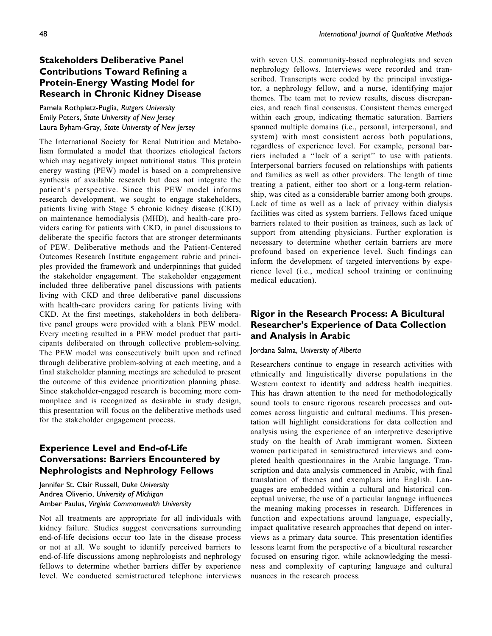# Stakeholders Deliberative Panel Contributions Toward Refining a Protein-Energy Wasting Model for Research in Chronic Kidney Disease

Pamela Rothpletz-Puglia, Rutgers University Emily Peters, State University of New Jersey Laura Byham-Gray, State University of New Jersey

The International Society for Renal Nutrition and Metabolism formulated a model that theorizes etiological factors which may negatively impact nutritional status. This protein energy wasting (PEW) model is based on a comprehensive synthesis of available research but does not integrate the patient's perspective. Since this PEW model informs research development, we sought to engage stakeholders, patients living with Stage 5 chronic kidney disease (CKD) on maintenance hemodialysis (MHD), and health-care providers caring for patients with CKD, in panel discussions to deliberate the specific factors that are stronger determinants of PEW. Deliberative methods and the Patient-Centered Outcomes Research Institute engagement rubric and principles provided the framework and underpinnings that guided the stakeholder engagement. The stakeholder engagement included three deliberative panel discussions with patients living with CKD and three deliberative panel discussions with health-care providers caring for patients living with CKD. At the first meetings, stakeholders in both deliberative panel groups were provided with a blank PEW model. Every meeting resulted in a PEW model product that participants deliberated on through collective problem-solving. The PEW model was consecutively built upon and refined through deliberative problem-solving at each meeting, and a final stakeholder planning meetings are scheduled to present the outcome of this evidence prioritization planning phase. Since stakeholder-engaged research is becoming more commonplace and is recognized as desirable in study design, this presentation will focus on the deliberative methods used for the stakeholder engagement process.

# Experience Level and End-of-Life Conversations: Barriers Encountered by Nephrologists and Nephrology Fellows

Jennifer St. Clair Russell, Duke University Andrea Oliverio, University of Michigan Amber Paulus, Virginia Commonwealth University

Not all treatments are appropriate for all individuals with kidney failure. Studies suggest conversations surrounding end-of-life decisions occur too late in the disease process or not at all. We sought to identify perceived barriers to end-of-life discussions among nephrologists and nephrology fellows to determine whether barriers differ by experience level. We conducted semistructured telephone interviews

with seven U.S. community-based nephrologists and seven nephrology fellows. Interviews were recorded and transcribed. Transcripts were coded by the principal investigator, a nephrology fellow, and a nurse, identifying major themes. The team met to review results, discuss discrepancies, and reach final consensus. Consistent themes emerged within each group, indicating thematic saturation. Barriers spanned multiple domains (i.e., personal, interpersonal, and system) with most consistent across both populations, regardless of experience level. For example, personal barriers included a ''lack of a script'' to use with patients. Interpersonal barriers focused on relationships with patients and families as well as other providers. The length of time treating a patient, either too short or a long-term relationship, was cited as a considerable barrier among both groups. Lack of time as well as a lack of privacy within dialysis facilities was cited as system barriers. Fellows faced unique barriers related to their position as trainees, such as lack of support from attending physicians. Further exploration is necessary to determine whether certain barriers are more profound based on experience level. Such findings can inform the development of targeted interventions by experience level (i.e., medical school training or continuing medical education).

## Rigor in the Research Process: A Bicultural Researcher's Experience of Data Collection and Analysis in Arabic

## Jordana Salma, University of Alberta

Researchers continue to engage in research activities with ethnically and linguistically diverse populations in the Western context to identify and address health inequities. This has drawn attention to the need for methodologically sound tools to ensure rigorous research processes and outcomes across linguistic and cultural mediums. This presentation will highlight considerations for data collection and analysis using the experience of an interpretive descriptive study on the health of Arab immigrant women. Sixteen women participated in semistructured interviews and completed health questionnaires in the Arabic language. Transcription and data analysis commenced in Arabic, with final translation of themes and exemplars into English. Languages are embedded within a cultural and historical conceptual universe; the use of a particular language influences the meaning making processes in research. Differences in function and expectations around language, especially, impact qualitative research approaches that depend on interviews as a primary data source. This presentation identifies lessons learnt from the perspective of a bicultural researcher focused on ensuring rigor, while acknowledging the messiness and complexity of capturing language and cultural nuances in the research process.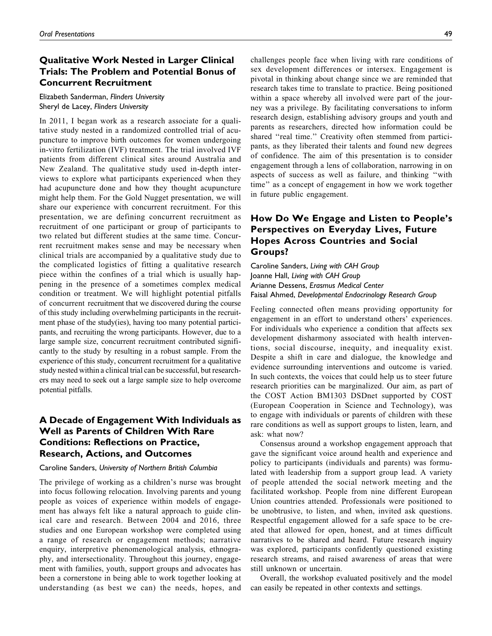# Qualitative Work Nested in Larger Clinical Trials: The Problem and Potential Bonus of Concurrent Recruitment

Elizabeth Sanderman, Flinders University Sheryl de Lacey, Flinders University

In 2011, I began work as a research associate for a qualitative study nested in a randomized controlled trial of acupuncture to improve birth outcomes for women undergoing in-vitro fertilization (IVF) treatment. The trial involved IVF patients from different clinical sites around Australia and New Zealand. The qualitative study used in-depth interviews to explore what participants experienced when they had acupuncture done and how they thought acupuncture might help them. For the Gold Nugget presentation, we will share our experience with concurrent recruitment. For this presentation, we are defining concurrent recruitment as recruitment of one participant or group of participants to two related but different studies at the same time. Concurrent recruitment makes sense and may be necessary when clinical trials are accompanied by a qualitative study due to the complicated logistics of fitting a qualitative research piece within the confines of a trial which is usually happening in the presence of a sometimes complex medical condition or treatment. We will highlight potential pitfalls of concurrent recruitment that we discovered during the course of this study including overwhelming participants in the recruitment phase of the study(ies), having too many potential participants, and recruiting the wrong participants. However, due to a large sample size, concurrent recruitment contributed significantly to the study by resulting in a robust sample. From the experience of this study, concurrent recruitment for a qualitative study nested within a clinical trial can be successful, but researchers may need to seek out a large sample size to help overcome potential pitfalls.

## A Decade of Engagement With Individuals as Well as Parents of Children With Rare Conditions: Reflections on Practice, Research, Actions, and Outcomes

## Caroline Sanders, University of Northern British Columbia

The privilege of working as a children's nurse was brought into focus following relocation. Involving parents and young people as voices of experience within models of engagement has always felt like a natural approach to guide clinical care and research. Between 2004 and 2016, three studies and one European workshop were completed using a range of research or engagement methods; narrative enquiry, interpretive phenomenological analysis, ethnography, and intersectionality. Throughout this journey, engagement with families, youth, support groups and advocates has been a cornerstone in being able to work together looking at understanding (as best we can) the needs, hopes, and challenges people face when living with rare conditions of sex development differences or intersex. Engagement is pivotal in thinking about change since we are reminded that research takes time to translate to practice. Being positioned within a space whereby all involved were part of the journey was a privilege. By facilitating conversations to inform research design, establishing advisory groups and youth and parents as researchers, directed how information could be shared "real time." Creativity often stemmed from participants, as they liberated their talents and found new degrees of confidence. The aim of this presentation is to consider engagement through a lens of collaboration, narrowing in on aspects of success as well as failure, and thinking ''with time'' as a concept of engagement in how we work together in future public engagement.

# How Do We Engage and Listen to People's Perspectives on Everyday Lives, Future Hopes Across Countries and Social Groups?

Caroline Sanders, Living with CAH Group Joanne Hall, Living with CAH Group Arianne Dessens, Erasmus Medical Center Faisal Ahmed, Developmental Endocrinology Research Group

Feeling connected often means providing opportunity for engagement in an effort to understand others' experiences. For individuals who experience a condition that affects sex development disharmony associated with health interventions, social discourse, inequity, and inequality exist. Despite a shift in care and dialogue, the knowledge and evidence surrounding interventions and outcome is varied. In such contexts, the voices that could help us to steer future research priorities can be marginalized. Our aim, as part of the COST Action BM1303 DSDnet supported by COST (European Cooperation in Science and Technology), was to engage with individuals or parents of children with these rare conditions as well as support groups to listen, learn, and ask: what now?

Consensus around a workshop engagement approach that gave the significant voice around health and experience and policy to participants (individuals and parents) was formulated with leadership from a support group lead. A variety of people attended the social network meeting and the facilitated workshop. People from nine different European Union countries attended. Professionals were positioned to be unobtrusive, to listen, and when, invited ask questions. Respectful engagement allowed for a safe space to be created that allowed for open, honest, and at times difficult narratives to be shared and heard. Future research inquiry was explored, participants confidently questioned existing research streams, and raised awareness of areas that were still unknown or uncertain.

Overall, the workshop evaluated positively and the model can easily be repeated in other contexts and settings.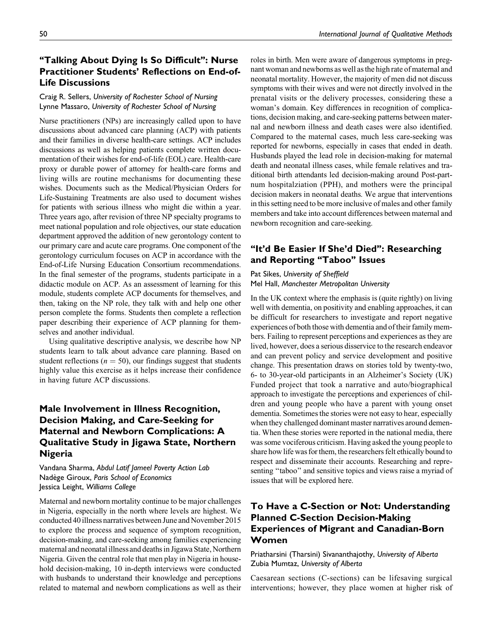Life Discussions

# 50 International Journal of Qualitative Methods

# "Talking About Dying Is So Difficult": Nurse Practitioner Students' Reflections on End-of-

# Craig R. Sellers, University of Rochester School of Nursing Lynne Massaro, University of Rochester School of Nursing

Nurse practitioners (NPs) are increasingly called upon to have discussions about advanced care planning (ACP) with patients and their families in diverse health-care settings. ACP includes discussions as well as helping patients complete written documentation of their wishes for end-of-life (EOL) care. Health-care proxy or durable power of attorney for health-care forms and living wills are routine mechanisms for documenting these wishes. Documents such as the Medical/Physician Orders for Life-Sustaining Treatments are also used to document wishes for patients with serious illness who might die within a year. Three years ago, after revision of three NP specialty programs to meet national population and role objectives, our state education department approved the addition of new gerontology content to our primary care and acute care programs. One component of the gerontology curriculum focuses on ACP in accordance with the End-of-Life Nursing Education Consortium recommendations. In the final semester of the programs, students participate in a didactic module on ACP. As an assessment of learning for this module, students complete ACP documents for themselves, and then, taking on the NP role, they talk with and help one other person complete the forms. Students then complete a reflection paper describing their experience of ACP planning for themselves and another individual.

Using qualitative descriptive analysis, we describe how NP students learn to talk about advance care planning. Based on student reflections ( $n = 50$ ), our findings suggest that students highly value this exercise as it helps increase their confidence in having future ACP discussions.

# Male Involvement in Illness Recognition, Decision Making, and Care-Seeking for Maternal and Newborn Complications: A Qualitative Study in Jigawa State, Northern Nigeria

Vandana Sharma, Abdul Latif Jameel Poverty Action Lab Nadège Giroux, Paris School of Economics Jessica Leight, Williams College

Maternal and newborn mortality continue to be major challenges in Nigeria, especially in the north where levels are highest. We conducted 40illness narratives between June and November 2015 to explore the process and sequence of symptom recognition, decision-making, and care-seeking among families experiencing maternal and neonatal illness and deaths in Jigawa State, Northern Nigeria. Given the central role that men play in Nigeria in household decision-making, 10 in-depth interviews were conducted with husbands to understand their knowledge and perceptions related to maternal and newborn complications as well as their roles in birth. Men were aware of dangerous symptoms in pregnant woman and newborns as well as the high rate of maternal and neonatal mortality. However, the majority of men did not discuss symptoms with their wives and were not directly involved in the prenatal visits or the delivery processes, considering these a woman's domain. Key differences in recognition of complications, decision making, and care-seeking patterns between maternal and newborn illness and death cases were also identified. Compared to the maternal cases, much less care-seeking was reported for newborns, especially in cases that ended in death. Husbands played the lead role in decision-making for maternal death and neonatal illness cases, while female relatives and traditional birth attendants led decision-making around Post-partnum hospitalziation (PPH), and mothers were the principal decision makers in neonatal deaths. We argue that interventions in this setting need to be more inclusive of males and other family members and take into account differences between maternal and newborn recognition and care-seeking.

# "It'd Be Easier If She'd Died": Researching and Reporting "Taboo" Issues

## Pat Sikes, University of Sheffield Mel Hall, Manchester Metropolitan University

In the UK context where the emphasis is (quite rightly) on living well with dementia, on positivity and enabling approaches, it can be difficult for researchers to investigate and report negative experiences of both those with dementia and of their family members. Failing to represent perceptions and experiences as they are lived, however, does a serious disservice to the research endeavor and can prevent policy and service development and positive change. This presentation draws on stories told by twenty-two, 6- to 30-year-old participants in an Alzheimer's Society (UK) Funded project that took a narrative and auto/biographical approach to investigate the perceptions and experiences of children and young people who have a parent with young onset dementia. Sometimes the stories were not easy to hear, especially when they challenged dominant master narratives around dementia. When these stories were reported in the national media, there was some vociferous criticism. Having asked the young people to share how life was for them, the researchers felt ethically bound to respect and disseminate their accounts. Researching and representing "taboo" and sensitive topics and views raise a myriad of issues that will be explored here.

# To Have a C-Section or Not: Understanding Planned C-Section Decision-Making Experiences of Migrant and Canadian-Born Women

Priatharsini (Tharsini) Sivananthajothy, University of Alberta Zubia Mumtaz, University of Alberta

Caesarean sections (C-sections) can be lifesaving surgical interventions; however, they place women at higher risk of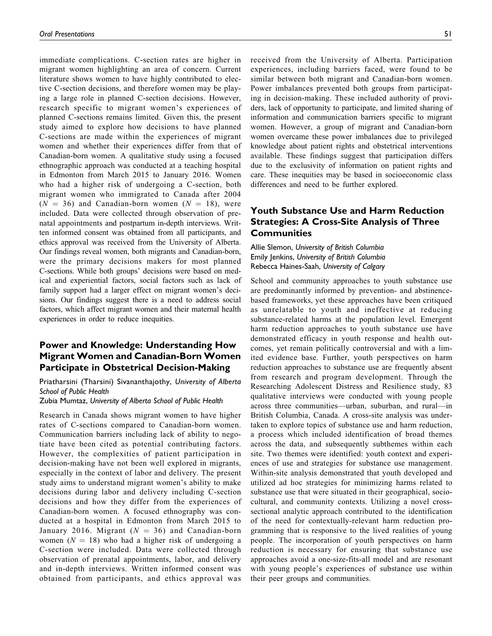immediate complications. C-section rates are higher in migrant women highlighting an area of concern. Current literature shows women to have highly contributed to elective C-section decisions, and therefore women may be playing a large role in planned C-section decisions. However, research specific to migrant women's experiences of planned C-sections remains limited. Given this, the present study aimed to explore how decisions to have planned C-sections are made within the experiences of migrant women and whether their experiences differ from that of Canadian-born women. A qualitative study using a focused ethnographic approach was conducted at a teaching hospital in Edmonton from March 2015 to January 2016. Women who had a higher risk of undergoing a C-section, both migrant women who immigrated to Canada after 2004  $(N = 36)$  and Canadian-born women  $(N = 18)$ , were included. Data were collected through observation of prenatal appointments and postpartum in-depth interviews. Written informed consent was obtained from all participants, and ethics approval was received from the University of Alberta. Our findings reveal women, both migrants and Canadian-born, were the primary decisions makers for most planned C-sections. While both groups' decisions were based on medical and experiential factors, social factors such as lack of family support had a larger effect on migrant women's decisions. Our findings suggest there is a need to address social factors, which affect migrant women and their maternal health experiences in order to reduce inequities.

# Power and Knowledge: Understanding How Migrant Women and Canadian-Born Women Participate in Obstetrical Decision-Making

Priatharsini (Tharsini) Sivananthajothy, University of Alberta School of Public Health

Zubia Mumtaz, University of Alberta School of Public Health

Research in Canada shows migrant women to have higher rates of C-sections compared to Canadian-born women. Communication barriers including lack of ability to negotiate have been cited as potential contributing factors. However, the complexities of patient participation in decision-making have not been well explored in migrants, especially in the context of labor and delivery. The present study aims to understand migrant women's ability to make decisions during labor and delivery including C-section decisions and how they differ from the experiences of Canadian-born women. A focused ethnography was conducted at a hospital in Edmonton from March 2015 to January 2016. Migrant  $(N = 36)$  and Canadian-born women  $(N = 18)$  who had a higher risk of undergoing a C-section were included. Data were collected through observation of prenatal appointments, labor, and delivery and in-depth interviews. Written informed consent was obtained from participants, and ethics approval was

received from the University of Alberta. Participation experiences, including barriers faced, were found to be similar between both migrant and Canadian-born women. Power imbalances prevented both groups from participating in decision-making. These included authority of providers, lack of opportunity to participate, and limited sharing of information and communication barriers specific to migrant women. However, a group of migrant and Canadian-born women overcame these power imbalances due to privileged knowledge about patient rights and obstetrical interventions available. These findings suggest that participation differs due to the exclusivity of information on patient rights and care. These inequities may be based in socioeconomic class differences and need to be further explored.

## Youth Substance Use and Harm Reduction Strategies: A Cross-Site Analysis of Three **Communities**

Allie Slemon, University of British Columbia Emily Jenkins, University of British Columbia Rebecca Haines-Saah, University of Calgary

School and community approaches to youth substance use are predominantly informed by prevention- and abstinencebased frameworks, yet these approaches have been critiqued as unrelatable to youth and ineffective at reducing substance-related harms at the population level. Emergent harm reduction approaches to youth substance use have demonstrated efficacy in youth response and health outcomes, yet remain politically controversial and with a limited evidence base. Further, youth perspectives on harm reduction approaches to substance use are frequently absent from research and program development. Through the Researching Adolescent Distress and Resilience study, 83 qualitative interviews were conducted with young people across three communities—urban, suburban, and rural—in British Columbia, Canada. A cross-site analysis was undertaken to explore topics of substance use and harm reduction, a process which included identification of broad themes across the data, and subsequently subthemes within each site. Two themes were identified: youth context and experiences of use and strategies for substance use management. Within-site analysis demonstrated that youth developed and utilized ad hoc strategies for minimizing harms related to substance use that were situated in their geographical, sociocultural, and community contexts. Utilizing a novel crosssectional analytic approach contributed to the identification of the need for contextually-relevant harm reduction programming that is responsive to the lived realities of young people. The incorporation of youth perspectives on harm reduction is necessary for ensuring that substance use approaches avoid a one-size-fits-all model and are resonant with young people's experiences of substance use within their peer groups and communities.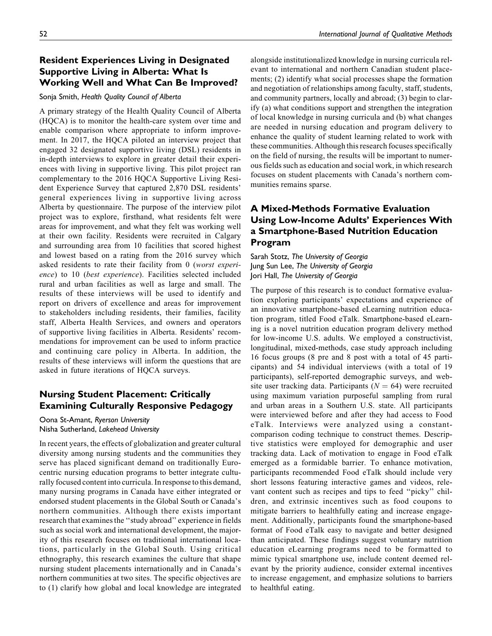# Resident Experiences Living in Designated Supportive Living in Alberta: What Is Working Well and What Can Be Improved?

#### Sonja Smith, Health Quality Council of Alberta

A primary strategy of the Health Quality Council of Alberta (HQCA) is to monitor the health-care system over time and enable comparison where appropriate to inform improvement. In 2017, the HQCA piloted an interview project that engaged 32 designated supportive living (DSL) residents in in-depth interviews to explore in greater detail their experiences with living in supportive living. This pilot project ran complementary to the 2016 HQCA Supportive Living Resident Experience Survey that captured 2,870 DSL residents' general experiences living in supportive living across Alberta by questionnaire. The purpose of the interview pilot project was to explore, firsthand, what residents felt were areas for improvement, and what they felt was working well at their own facility. Residents were recruited in Calgary and surrounding area from 10 facilities that scored highest and lowest based on a rating from the 2016 survey which asked residents to rate their facility from 0 (worst experience) to 10 (best experience). Facilities selected included rural and urban facilities as well as large and small. The results of these interviews will be used to identify and report on drivers of excellence and areas for improvement to stakeholders including residents, their families, facility staff, Alberta Health Services, and owners and operators of supportive living facilities in Alberta. Residents' recommendations for improvement can be used to inform practice and continuing care policy in Alberta. In addition, the results of these interviews will inform the questions that are asked in future iterations of HQCA surveys.

## Nursing Student Placement: Critically Examining Culturally Responsive Pedagogy

Oona St-Amant, Ryerson University Nisha Sutherland, Lakehead University

In recent years, the effects of globalization and greater cultural diversity among nursing students and the communities they serve has placed significant demand on traditionally Eurocentric nursing education programs to better integrate culturally focused content into curricula. In response to this demand, many nursing programs in Canada have either integrated or endorsed student placements in the Global South or Canada's northern communities. Although there exists important research that examines the ''study abroad'' experience in fields such as social work and international development, the majority of this research focuses on traditional international locations, particularly in the Global South. Using critical ethnography, this research examines the culture that shape nursing student placements internationally and in Canada's northern communities at two sites. The specific objectives are to (1) clarify how global and local knowledge are integrated alongside institutionalized knowledge in nursing curricula relevant to international and northern Canadian student placements; (2) identify what social processes shape the formation and negotiation of relationships among faculty, staff, students, and community partners, locally and abroad; (3) begin to clarify (a) what conditions support and strengthen the integration of local knowledge in nursing curricula and (b) what changes are needed in nursing education and program delivery to enhance the quality of student learning related to work with these communities. Although thisresearch focuses specifically on the field of nursing, the results will be important to numerous fields such as education and social work, in which research focuses on student placements with Canada's northern communities remains sparse.

# A Mixed-Methods Formative Evaluation Using Low-Income Adults' Experiences With a Smartphone-Based Nutrition Education Program

Sarah Stotz, The University of Georgia Jung Sun Lee, The University of Georgia Jori Hall, The University of Georgia

The purpose of this research is to conduct formative evaluation exploring participants' expectations and experience of an innovative smartphone-based eLearning nutrition education program, titled Food eTalk. Smartphone-based eLearning is a novel nutrition education program delivery method for low-income U.S. adults. We employed a constructivist, longitudinal, mixed-methods, case study approach including 16 focus groups (8 pre and 8 post with a total of 45 participants) and 54 individual interviews (with a total of 19 participants), self-reported demographic surveys, and website user tracking data. Participants ( $N = 64$ ) were recruited using maximum variation purposeful sampling from rural and urban areas in a Southern U.S. state. All participants were interviewed before and after they had access to Food eTalk. Interviews were analyzed using a constantcomparison coding technique to construct themes. Descriptive statistics were employed for demographic and user tracking data. Lack of motivation to engage in Food eTalk emerged as a formidable barrier. To enhance motivation, participants recommended Food eTalk should include very short lessons featuring interactive games and videos, relevant content such as recipes and tips to feed ''picky'' children, and extrinsic incentives such as food coupons to mitigate barriers to healthfully eating and increase engagement. Additionally, participants found the smartphone-based format of Food eTalk easy to navigate and better designed than anticipated. These findings suggest voluntary nutrition education eLearning programs need to be formatted to mimic typical smartphone use, include content deemed relevant by the priority audience, consider external incentives to increase engagement, and emphasize solutions to barriers to healthful eating.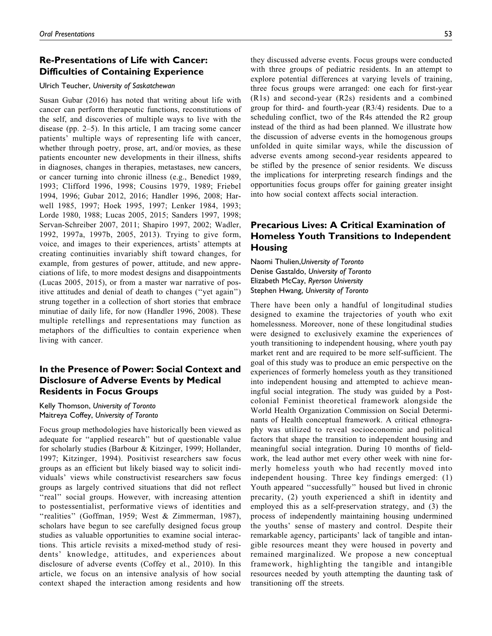## Re-Presentations of Life with Cancer: Difficulties of Containing Experience

#### Ulrich Teucher, University of Saskatchewan

Susan Gubar (2016) has noted that writing about life with cancer can perform therapeutic functions, reconstitutions of the self, and discoveries of multiple ways to live with the disease (pp. 2–5). In this article, I am tracing some cancer patients' multiple ways of representing life with cancer, whether through poetry, prose, art, and/or movies, as these patients encounter new developments in their illness, shifts in diagnoses, changes in therapies, metastases, new cancers, or cancer turning into chronic illness (e.g., Benedict 1989, 1993; Clifford 1996, 1998; Cousins 1979, 1989; Friebel 1994, 1996; Gubar 2012, 2016; Handler 1996, 2008; Harwell 1985, 1997; Hoek 1995, 1997; Lenker 1984, 1993; Lorde 1980, 1988; Lucas 2005, 2015; Sanders 1997, 1998; Servan-Schreiber 2007, 2011; Shapiro 1997, 2002; Wadler, 1992, 1997a, 1997b, 2005, 2013). Trying to give form, voice, and images to their experiences, artists' attempts at creating continuities invariably shift toward changes, for example, from gestures of power, attitude, and new appreciations of life, to more modest designs and disappointments (Lucas 2005, 2015), or from a master war narrative of positive attitudes and denial of death to changes (''yet again'') strung together in a collection of short stories that embrace minutiae of daily life, for now (Handler 1996, 2008). These multiple retellings and representations may function as metaphors of the difficulties to contain experience when living with cancer.

## In the Presence of Power: Social Context and Disclosure of Adverse Events by Medical Residents in Focus Groups

Kelly Thomson, University of Toronto Maitreya Coffey, University of Toronto

Focus group methodologies have historically been viewed as adequate for ''applied research'' but of questionable value for scholarly studies (Barbour & Kitzinger, 1999; Hollander, 1997; Kitzinger, 1994). Positivist researchers saw focus groups as an efficient but likely biased way to solicit individuals' views while constructivist researchers saw focus groups as largely contrived situations that did not reflect "real" social groups. However, with increasing attention to postessentialist, performative views of identities and "realities" (Goffman, 1959; West & Zimmerman, 1987), scholars have begun to see carefully designed focus group studies as valuable opportunities to examine social interactions. This article revisits a mixed-method study of residents' knowledge, attitudes, and experiences about disclosure of adverse events (Coffey et al., 2010). In this article, we focus on an intensive analysis of how social context shaped the interaction among residents and how

they discussed adverse events. Focus groups were conducted with three groups of pediatric residents. In an attempt to explore potential differences at varying levels of training, three focus groups were arranged: one each for first-year (R1s) and second-year (R2s) residents and a combined group for third- and fourth-year (R3/4) residents. Due to a scheduling conflict, two of the R4s attended the R2 group instead of the third as had been planned. We illustrate how the discussion of adverse events in the homogenous groups unfolded in quite similar ways, while the discussion of adverse events among second-year residents appeared to be stifled by the presence of senior residents. We discuss the implications for interpreting research findings and the opportunities focus groups offer for gaining greater insight into how social context affects social interaction.

# Precarious Lives: A Critical Examination of Homeless Youth Transitions to Independent **Housing**

Naomi Thulien,University of Toronto Denise Gastaldo, University of Toronto Elizabeth McCay, Ryerson University Stephen Hwang, University of Toronto

There have been only a handful of longitudinal studies designed to examine the trajectories of youth who exit homelessness. Moreover, none of these longitudinal studies were designed to exclusively examine the experiences of youth transitioning to independent housing, where youth pay market rent and are required to be more self-sufficient. The goal of this study was to produce an emic perspective on the experiences of formerly homeless youth as they transitioned into independent housing and attempted to achieve meaningful social integration. The study was guided by a Postcolonial Feminist theoretical framework alongside the World Health Organization Commission on Social Determinants of Health conceptual framework. A critical ethnography was utilized to reveal socioeconomic and political factors that shape the transition to independent housing and meaningful social integration. During 10 months of fieldwork, the lead author met every other week with nine formerly homeless youth who had recently moved into independent housing. Three key findings emerged: (1) Youth appeared ''successfully'' housed but lived in chronic precarity, (2) youth experienced a shift in identity and employed this as a self-preservation strategy, and (3) the process of independently maintaining housing undermined the youths' sense of mastery and control. Despite their remarkable agency, participants' lack of tangible and intangible resources meant they were housed in poverty and remained marginalized. We propose a new conceptual framework, highlighting the tangible and intangible resources needed by youth attempting the daunting task of transitioning off the streets.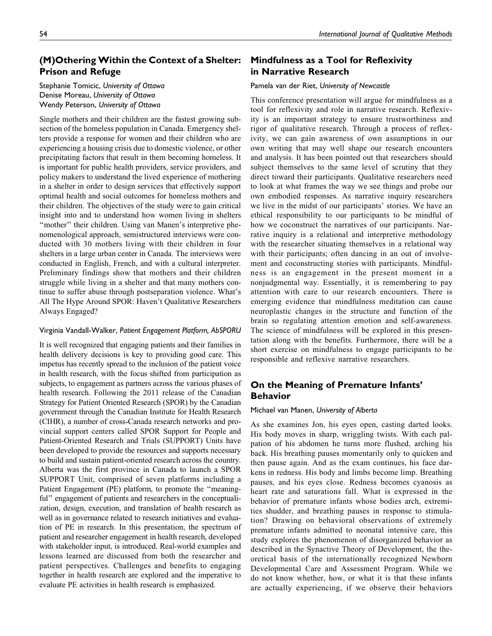# (M)Othering Within the Context of a Shelter: Prison and Refuge

## Stephanie Tomicic, University of Ottawa Denise Moreau, University of Ottawa Wendy Peterson, University of Ottawa

Single mothers and their children are the fastest growing subsection of the homeless population in Canada. Emergency shelters provide a response for women and their children who are experiencing a housing crisis due to domestic violence, or other precipitating factors that result in them becoming homeless. It is important for public health providers, service providers, and policy makers to understand the lived experience of mothering in a shelter in order to design services that effectively support optimal health and social outcomes for homeless mothers and their children. The objectives of the study were to gain critical insight into and to understand how women living in shelters "mother" their children. Using van Manen's interpretive phenomenological approach, semistructured interviews were conducted with 30 mothers living with their children in four shelters in a large urban center in Canada. The interviews were conducted in English, French, and with a cultural interpreter. Preliminary findings show that mothers and their children struggle while living in a shelter and that many mothers continue to suffer abuse through postseparation violence. What's All The Hype Around SPOR: Haven't Qualitative Researchers Always Engaged?

#### Virginia Vandall-Walker, Patient Engagement Platform, AbSPORU

It is well recognized that engaging patients and their families in health delivery decisions is key to providing good care. This impetus has recently spread to the inclusion of the patient voice in health research, with the focus shifted from participation as subjects, to engagement as partners across the various phases of health research. Following the 2011 release of the Canadian Strategy for Patient Oriented Research (SPOR) by the Canadian government through the Canadian Institute for Health Research (CIHR), a number of cross-Canada research networks and provincial support centers called SPOR Support for People and Patient-Oriented Research and Trials (SUPPORT) Units have been developed to provide the resources and supports necessary to build and sustain patient-oriented research across the country. Alberta was the first province in Canada to launch a SPOR SUPPORT Unit, comprised of seven platforms including a Patient Engagement (PE) platform, to promote the ''meaningful" engagement of patients and researchers in the conceptualization, design, execution, and translation of health research as well as in governance related to research initiatives and evaluation of PE in research. In this presentation, the spectrum of patient and researcher engagement in health research, developed with stakeholder input, is introduced. Real-world examples and lessons learned are discussed from both the researcher and patient perspectives. Challenges and benefits to engaging together in health research are explored and the imperative to evaluate PE activities in health research is emphasized.

## Mindfulness as a Tool for Reflexivity in Narrative Research

#### Pamela van der Riet, University of Newcastle

This conference presentation will argue for mindfulness as a tool for reflexivity and role in narrative research. Reflexivity is an important strategy to ensure trustworthiness and rigor of qualitative research. Through a process of reflexivity, we can gain awareness of own assumptions in our own writing that may well shape our research encounters and analysis. It has been pointed out that researchers should subject themselves to the same level of scrutiny that they direct toward their participants. Qualitative researchers need to look at what frames the way we see things and probe our own embodied responses. As narrative inquiry researchers we live in the midst of our participants' stories. We have an ethical responsibility to our participants to be mindful of how we coconstruct the narratives of our participants. Narrative inquiry is a relational and interpretive methodology with the researcher situating themselves in a relational way with their participants; often dancing in an out of involvement and coconstructing stories with participants. Mindfulness is an engagement in the present moment in a nonjudgmental way. Essentially, it is remembering to pay attention with care to our research encounters. There is emerging evidence that mindfulness meditation can cause neuroplastic changes in the structure and function of the brain so regulating attention emotion and self-awareness. The science of mindfulness will be explored in this presentation along with the benefits. Furthermore, there will be a short exercise on mindfulness to engage participants to be responsible and reflexive narrative researchers.

## On the Meaning of Premature Infants' Behavior

#### Michael van Manen, University of Alberta

As she examines Jon, his eyes open, casting darted looks. His body moves in sharp, wriggling twists. With each palpation of his abdomen he turns more flushed, arching his back. His breathing pauses momentarily only to quicken and then pause again. And as the exam continues, his face darkens in redness. His body and limbs become limp. Breathing pauses, and his eyes close. Redness becomes cyanosis as heart rate and saturations fall. What is expressed in the behavior of premature infants whose bodies arch, extremities shudder, and breathing pauses in response to stimulation? Drawing on behavioral observations of extremely premature infants admitted to neonatal intensive care, this study explores the phenomenon of disorganized behavior as described in the Synactive Theory of Development, the theoretical basis of the internationally recognized Newborn Developmental Care and Assessment Program. While we do not know whether, how, or what it is that these infants are actually experiencing, if we observe their behaviors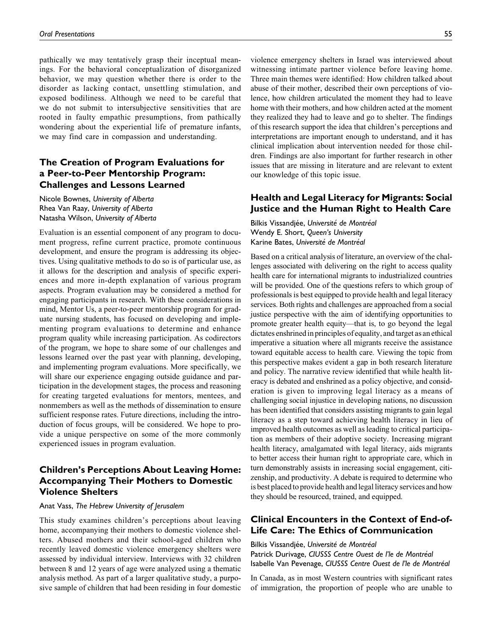pathically we may tentatively grasp their inceptual meanings. For the behavioral conceptualization of disorganized behavior, we may question whether there is order to the disorder as lacking contact, unsettling stimulation, and exposed bodiliness. Although we need to be careful that we do not submit to intersubjective sensitivities that are rooted in faulty empathic presumptions, from pathically wondering about the experiential life of premature infants, we may find care in compassion and understanding.

## The Creation of Program Evaluations for a Peer-to-Peer Mentorship Program: Challenges and Lessons Learned

Nicole Bownes, University of Alberta Rhea Van Raay, University of Alberta Natasha Wilson, University of Alberta

Evaluation is an essential component of any program to document progress, refine current practice, promote continuous development, and ensure the program is addressing its objectives. Using qualitative methods to do so is of particular use, as it allows for the description and analysis of specific experiences and more in-depth explanation of various program aspects. Program evaluation may be considered a method for engaging participants in research. With these considerations in mind, Mentor Us, a peer-to-peer mentorship program for graduate nursing students, has focused on developing and implementing program evaluations to determine and enhance program quality while increasing participation. As codirectors of the program, we hope to share some of our challenges and lessons learned over the past year with planning, developing, and implementing program evaluations. More specifically, we will share our experience engaging outside guidance and participation in the development stages, the process and reasoning for creating targeted evaluations for mentors, mentees, and nonmembers as well as the methods of dissemination to ensure sufficient response rates. Future directions, including the introduction of focus groups, will be considered. We hope to provide a unique perspective on some of the more commonly experienced issues in program evaluation.

## Children's Perceptions About Leaving Home: Accompanying Their Mothers to Domestic Violence Shelters

#### Anat Vass, The Hebrew University of Jerusalem

This study examines children's perceptions about leaving home, accompanying their mothers to domestic violence shelters. Abused mothers and their school-aged children who recently leaved domestic violence emergency shelters were assessed by individual interview. Interviews with 32 children between 8 and 12 years of age were analyzed using a thematic analysis method. As part of a larger qualitative study, a purposive sample of children that had been residing in four domestic

violence emergency shelters in Israel was interviewed about witnessing intimate partner violence before leaving home. Three main themes were identified: How children talked about abuse of their mother, described their own perceptions of violence, how children articulated the moment they had to leave home with their mothers, and how children acted at the moment they realized they had to leave and go to shelter. The findings of this research support the idea that children's perceptions and interpretations are important enough to understand, and it has clinical implication about intervention needed for those children. Findings are also important for further research in other issues that are missing in literature and are relevant to extent our knowledge of this topic issue.

## Health and Legal Literacy for Migrants: Social Justice and the Human Right to Health Care

Bilkis Vissandjée, Université de Montréal Wendy E. Short, Queen's University Karine Bates, Université de Montréal

Based on a critical analysis of literature, an overview of the challenges associated with delivering on the right to access quality health care for international migrants to industrialized countries will be provided. One of the questions refers to which group of professionals is best equipped to provide health and legal literacy services. Both rights and challenges are approached from a social justice perspective with the aim of identifying opportunities to promote greater health equity—that is, to go beyond the legal dictates enshrined in principles of equality, and target as an ethical imperative a situation where all migrants receive the assistance toward equitable access to health care. Viewing the topic from this perspective makes evident a gap in both research literature and policy. The narrative review identified that while health literacy is debated and enshrined as a policy objective, and consideration is given to improving legal literacy as a means of challenging social injustice in developing nations, no discussion has been identified that considers assisting migrants to gain legal literacy as a step toward achieving health literacy in lieu of improved health outcomes as well as leading to critical participation as members of their adoptive society. Increasing migrant health literacy, amalgamated with legal literacy, aids migrants to better access their human right to appropriate care, which in turn demonstrably assists in increasing social engagement, citizenship, and productivity. A debate is required to determine who is best placed to provide health and legal literacy services and how they should be resourced, trained, and equipped.

## Clinical Encounters in the Context of End-of-Life Care: The Ethics of Communication

Bilkis Vissandiée, Université de Montréal

Patrick Durivage, CIUSSS Centre Ouest de l'le de Montréal Isabelle Van Pevenage, CIUSSS Centre Ouest de l'le de Montréal

In Canada, as in most Western countries with significant rates of immigration, the proportion of people who are unable to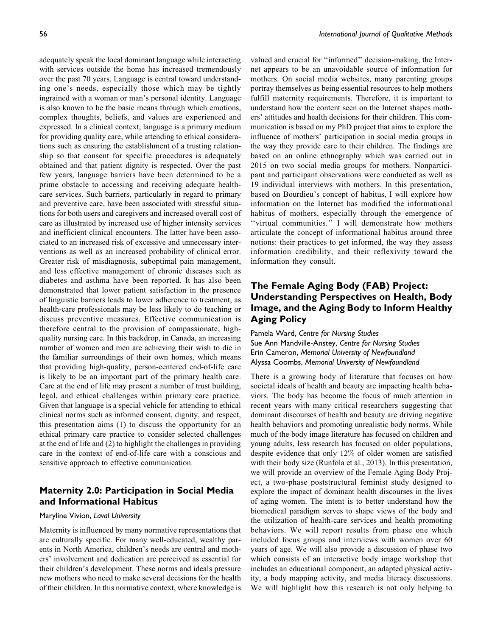adequately speak the local dominant language while interacting with services outside the home has increased tremendously over the past 70 years. Language is central toward understanding one's needs, especially those which may be tightly ingrained with a woman or man's personal identity. Language is also known to be the basic means through which emotions, complex thoughts, beliefs, and values are experienced and expressed. In a clinical context, language is a primary medium for providing quality care, while attending to ethical considerations such as ensuring the establishment of a trusting relationship so that consent for specific procedures is adequately obtained and that patient dignity is respected. Over the past few years, language barriers have been determined to be a prime obstacle to accessing and receiving adequate healthcare services. Such barriers, particularly in regard to primary and preventive care, have been associated with stressful situations for both users and caregivers and increased overall cost of care as illustrated by increased use of higher intensity services and inefficient clinical encounters. The latter have been associated to an increased risk of excessive and unnecessary interventions as well as an increased probability of clinical error. Greater risk of misdiagnosis, suboptimal pain management, and less effective management of chronic diseases such as diabetes and asthma have been reported. It has also been demonstrated that lower patient satisfaction in the presence of linguistic barriers leads to lower adherence to treatment, as health-care professionals may be less likely to do teaching or discuss preventive measures. Effective communication is therefore central to the provision of compassionate, highquality nursing care. In this backdrop, in Canada, an increasing number of women and men are achieving their wish to die in the familiar surroundings of their own homes, which means that providing high-quality, person-centered end-of-life care is likely to be an important part of the primary health care. Care at the end of life may present a number of trust building, legal, and ethical challenges within primary care practice. Given that language is a special vehicle for attending to ethical clinical norms such as informed consent, dignity, and respect, this presentation aims (1) to discuss the opportunity for an ethical primary care practice to consider selected challenges at the end of life and (2) to highlight the challenges in providing care in the context of end-of-life care with a conscious and sensitive approach to effective communication.

## Maternity 2.0: Participation in Social Media and Informational Habitus

## Maryline Vivion, Laval University

Maternity is influenced by many normative representations that are culturally specific. For many well-educated, wealthy parents in North America, children's needs are central and mothers' involvement and dedication are perceived as essential for their children's development. These norms and ideals pressure new mothers who need to make several decisions for the health of their children. In this normative context, where knowledge is

valued and crucial for ''informed'' decision-making, the Internet appears to be an unavoidable source of information for mothers. On social media websites, many parenting groups portray themselves as being essential resources to help mothers fulfill maternity requirements. Therefore, it is important to understand how the content seen on the Internet shapes mothers' attitudes and health decisions for their children. This communication is based on my PhD project that aims to explore the influence of mothers' participation in social media groups in the way they provide care to their children. The findings are based on an online ethnography which was carried out in 2015 on two social media groups for mothers. Nonparticipant and participant observations were conducted as well as 19 individual interviews with mothers. In this presentation, based on Bourdieu's concept of habitus, I will explore how information on the Internet has modified the informational habitus of mothers, especially through the emergence of ''virtual communities.'' I will demonstrate how mothers articulate the concept of informational habitus around three notions: their practices to get informed, the way they assess information credibility, and their reflexivity toward the information they consult.

# The Female Aging Body (FAB) Project: Understanding Perspectives on Health, Body Image, and the Aging Body to Inform Healthy Aging Policy

Pamela Ward, Centre for Nursing Studies Sue Ann Mandville-Anstey, Centre for Nursing Studies Erin Cameron, Memorial University of Newfoundland Alyssa Coombs, Memorial University of Newfoundland

There is a growing body of literature that focuses on how societal ideals of health and beauty are impacting health behaviors. The body has become the focus of much attention in recent years with many critical researchers suggesting that dominant discourses of health and beauty are driving negative health behaviors and promoting unrealistic body norms. While much of the body image literature has focused on children and young adults, less research has focused on older populations, despite evidence that only 12% of older women are satisfied with their body size (Runfola et al., 2013). In this presentation, we will provide an overview of the Female Aging Body Project, a two-phase poststructural feminist study designed to explore the impact of dominant health discourses in the lives of aging women. The intent is to better understand how the biomedical paradigm serves to shape views of the body and the utilization of health-care services and health promoting behaviors. We will report results from phase one which included focus groups and interviews with women over 60 years of age. We will also provide a discussion of phase two which consists of an interactive body image workshop that includes an educational component, an adapted physical activity, a body mapping activity, and media literacy discussions. We will highlight how this research is not only helping to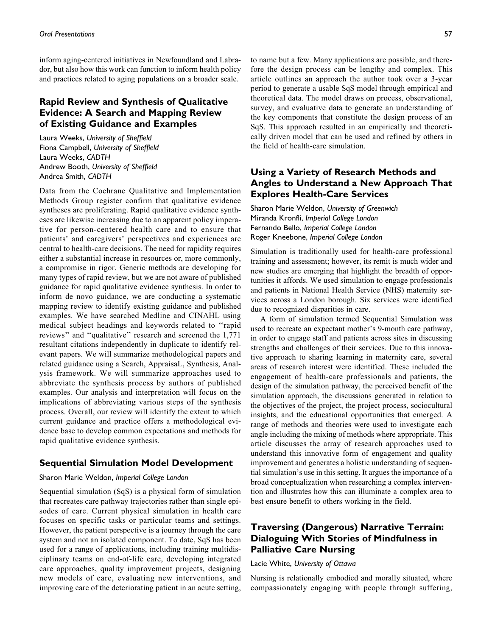inform aging-centered initiatives in Newfoundland and Labrador, but also how this work can function to inform health policy and practices related to aging populations on a broader scale.

## Rapid Review and Synthesis of Qualitative Evidence: A Search and Mapping Review of Existing Guidance and Examples

Laura Weeks, University of Sheffield Fiona Campbell, University of Sheffield Laura Weeks, CADTH Andrew Booth, University of Sheffield Andrea Smith, CADTH

Data from the Cochrane Qualitative and Implementation Methods Group register confirm that qualitative evidence syntheses are proliferating. Rapid qualitative evidence syntheses are likewise increasing due to an apparent policy imperative for person-centered health care and to ensure that patients' and caregivers' perspectives and experiences are central to health-care decisions. The need for rapidity requires either a substantial increase in resources or, more commonly, a compromise in rigor. Generic methods are developing for many types of rapid review, but we are not aware of published guidance for rapid qualitative evidence synthesis. In order to inform de novo guidance, we are conducting a systematic mapping review to identify existing guidance and published examples. We have searched Medline and CINAHL using medical subject headings and keywords related to ''rapid reviews'' and ''qualitative'' research and screened the 1,771 resultant citations independently in duplicate to identify relevant papers. We will summarize methodological papers and related guidance using a Search, AppraisaL, Synthesis, Analysis framework. We will summarize approaches used to abbreviate the synthesis process by authors of published examples. Our analysis and interpretation will focus on the implications of abbreviating various steps of the synthesis process. Overall, our review will identify the extent to which current guidance and practice offers a methodological evidence base to develop common expectations and methods for rapid qualitative evidence synthesis.

## Sequential Simulation Model Development

## Sharon Marie Weldon, Imperial College London

Sequential simulation (SqS) is a physical form of simulation that recreates care pathway trajectories rather than single episodes of care. Current physical simulation in health care focuses on specific tasks or particular teams and settings. However, the patient perspective is a journey through the care system and not an isolated component. To date, SqS has been used for a range of applications, including training multidisciplinary teams on end-of-life care, developing integrated care approaches, quality improvement projects, designing new models of care, evaluating new interventions, and improving care of the deteriorating patient in an acute setting,

to name but a few. Many applications are possible, and therefore the design process can be lengthy and complex. This article outlines an approach the author took over a 3-year period to generate a usable SqS model through empirical and theoretical data. The model draws on process, observational, survey, and evaluative data to generate an understanding of the key components that constitute the design process of an SqS. This approach resulted in an empirically and theoretically driven model that can be used and refined by others in the field of health-care simulation.

# Using a Variety of Research Methods and Angles to Understand a New Approach That Explores Health-Care Services

Sharon Marie Weldon, University of Greenwich Miranda Kronfli, Imperial College London Fernando Bello, Imperial College London Roger Kneebone, Imperial College London

Simulation is traditionally used for health-care professional training and assessment; however, its remit is much wider and new studies are emerging that highlight the breadth of opportunities it affords. We used simulation to engage professionals and patients in National Health Service (NHS) maternity services across a London borough. Six services were identified due to recognized disparities in care.

A form of simulation termed Sequential Simulation was used to recreate an expectant mother's 9-month care pathway, in order to engage staff and patients across sites in discussing strengths and challenges of their services. Due to this innovative approach to sharing learning in maternity care, several areas of research interest were identified. These included the engagement of health-care professionals and patients, the design of the simulation pathway, the perceived benefit of the simulation approach, the discussions generated in relation to the objectives of the project, the project process, sociocultural insights, and the educational opportunities that emerged. A range of methods and theories were used to investigate each angle including the mixing of methods where appropriate. This article discusses the array of research approaches used to understand this innovative form of engagement and quality improvement and generates a holistic understanding of sequential simulation's use in this setting. It argues the importance of a broad conceptualization when researching a complex intervention and illustrates how this can illuminate a complex area to best ensure benefit to others working in the field.

## Traversing (Dangerous) Narrative Terrain: Dialoguing With Stories of Mindfulness in Palliative Care Nursing

#### Lacie White, University of Ottawa

Nursing is relationally embodied and morally situated, where compassionately engaging with people through suffering,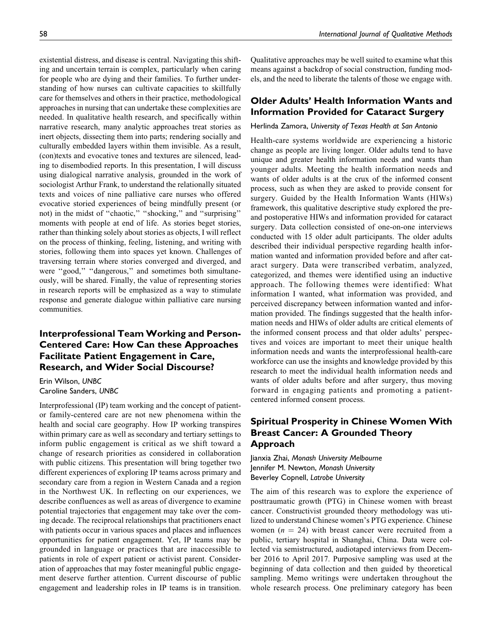existential distress, and disease is central. Navigating this shifting and uncertain terrain is complex, particularly when caring for people who are dying and their families. To further understanding of how nurses can cultivate capacities to skillfully care for themselves and others in their practice, methodological approaches in nursing that can undertake these complexities are needed. In qualitative health research, and specifically within narrative research, many analytic approaches treat stories as inert objects, dissecting them into parts; rendering socially and culturally embedded layers within them invisible. As a result, (con)texts and evocative tones and textures are silenced, leading to disembodied reports. In this presentation, I will discuss using dialogical narrative analysis, grounded in the work of sociologist Arthur Frank, to understand the relationally situated texts and voices of nine palliative care nurses who offered evocative storied experiences of being mindfully present (or not) in the midst of ''chaotic,'' ''shocking,'' and ''surprising'' moments with people at end of life. As stories beget stories, rather than thinking solely about stories as objects, I will reflect on the process of thinking, feeling, listening, and writing with stories, following them into spaces yet known. Challenges of traversing terrain where stories converged and diverged, and were "good," "dangerous," and sometimes both simultaneously, will be shared. Finally, the value of representing stories in research reports will be emphasized as a way to stimulate response and generate dialogue within palliative care nursing communities.

## Interprofessional Team Working and Person-Centered Care: How Can these Approaches Facilitate Patient Engagement in Care, Research, and Wider Social Discourse?

Erin Wilson, UNBC Caroline Sanders, UNBC

Interprofessional (IP) team working and the concept of patientor family-centered care are not new phenomena within the health and social care geography. How IP working transpires within primary care as well as secondary and tertiary settings to inform public engagement is critical as we shift toward a change of research priorities as considered in collaboration with public citizens. This presentation will bring together two different experiences of exploring IP teams across primary and secondary care from a region in Western Canada and a region in the Northwest UK. In reflecting on our experiences, we describe confluences as well as areas of divergence to examine potential trajectories that engagement may take over the coming decade. The reciprocal relationships that practitioners enact with patients occur in various spaces and places and influences opportunities for patient engagement. Yet, IP teams may be grounded in language or practices that are inaccessible to patients in role of expert patient or activist parent. Consideration of approaches that may foster meaningful public engagement deserve further attention. Current discourse of public engagement and leadership roles in IP teams is in transition.

Qualitative approaches may be well suited to examine what this means against a backdrop of social construction, funding models, and the need to liberate the talents of those we engage with.

## Older Adults' Health Information Wants and Information Provided for Cataract Surgery

#### Herlinda Zamora, University of Texas Health at San Antonio

Health-care systems worldwide are experiencing a historic change as people are living longer. Older adults tend to have unique and greater health information needs and wants than younger adults. Meeting the health information needs and wants of older adults is at the crux of the informed consent process, such as when they are asked to provide consent for surgery. Guided by the Health Information Wants (HIWs) framework, this qualitative descriptive study explored the preand postoperative HIWs and information provided for cataract surgery. Data collection consisted of one-on-one interviews conducted with 15 older adult participants. The older adults described their individual perspective regarding health information wanted and information provided before and after cataract surgery. Data were transcribed verbatim, analyzed, categorized, and themes were identified using an inductive approach. The following themes were identified: What information I wanted, what information was provided, and perceived discrepancy between information wanted and information provided. The findings suggested that the health information needs and HIWs of older adults are critical elements of the informed consent process and that older adults' perspectives and voices are important to meet their unique health information needs and wants the interprofessional health-care workforce can use the insights and knowledge provided by this research to meet the individual health information needs and wants of older adults before and after surgery, thus moving forward in engaging patients and promoting a patientcentered informed consent process.

# Spiritual Prosperity in Chinese Women With Breast Cancer: A Grounded Theory Approach

Jianxia Zhai, Monash University Melbourne Jennifer M. Newton, Monash University Beverley Copnell, Latrobe University

The aim of this research was to explore the experience of posttraumatic growth (PTG) in Chinese women with breast cancer. Constructivist grounded theory methodology was utilized to understand Chinese women's PTG experience. Chinese women ( $n = 24$ ) with breast cancer were recruited from a public, tertiary hospital in Shanghai, China. Data were collected via semistructured, audiotaped interviews from December 2016 to April 2017. Purposive sampling was used at the beginning of data collection and then guided by theoretical sampling. Memo writings were undertaken throughout the whole research process. One preliminary category has been